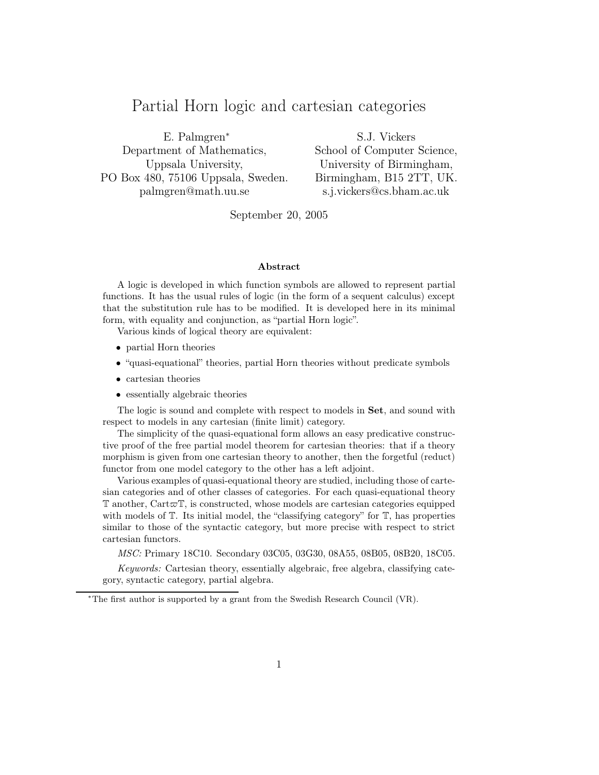# Partial Horn logic and cartesian categories

E. Palmgren<sup>∗</sup> Department of Mathematics, Uppsala University, PO Box 480, 75106 Uppsala, Sweden. palmgren@math.uu.se

S.J. Vickers School of Computer Science, University of Birmingham, Birmingham, B15 2TT, UK. s.j.vickers@cs.bham.ac.uk

September 20, 2005

#### Abstract

A logic is developed in which function symbols are allowed to represent partial functions. It has the usual rules of logic (in the form of a sequent calculus) except that the substitution rule has to be modified. It is developed here in its minimal form, with equality and conjunction, as "partial Horn logic".

Various kinds of logical theory are equivalent:

- partial Horn theories
- "quasi-equational" theories, partial Horn theories without predicate symbols
- cartesian theories
- essentially algebraic theories

The logic is sound and complete with respect to models in Set, and sound with respect to models in any cartesian (finite limit) category.

The simplicity of the quasi-equational form allows an easy predicative constructive proof of the free partial model theorem for cartesian theories: that if a theory morphism is given from one cartesian theory to another, then the forgetful (reduct) functor from one model category to the other has a left adjoint.

Various examples of quasi-equational theory are studied, including those of cartesian categories and of other classes of categories. For each quasi-equational theory  $\mathbb T$  another, Cart $\varpi\mathbb T$ , is constructed, whose models are cartesian categories equipped with models of T. Its initial model, the "classifying category" for T, has properties similar to those of the syntactic category, but more precise with respect to strict cartesian functors.

MSC: Primary 18C10. Secondary 03C05, 03G30, 08A55, 08B05, 08B20, 18C05.

Keywords: Cartesian theory, essentially algebraic, free algebra, classifying category, syntactic category, partial algebra.

<sup>∗</sup>The first author is supported by a grant from the Swedish Research Council (VR).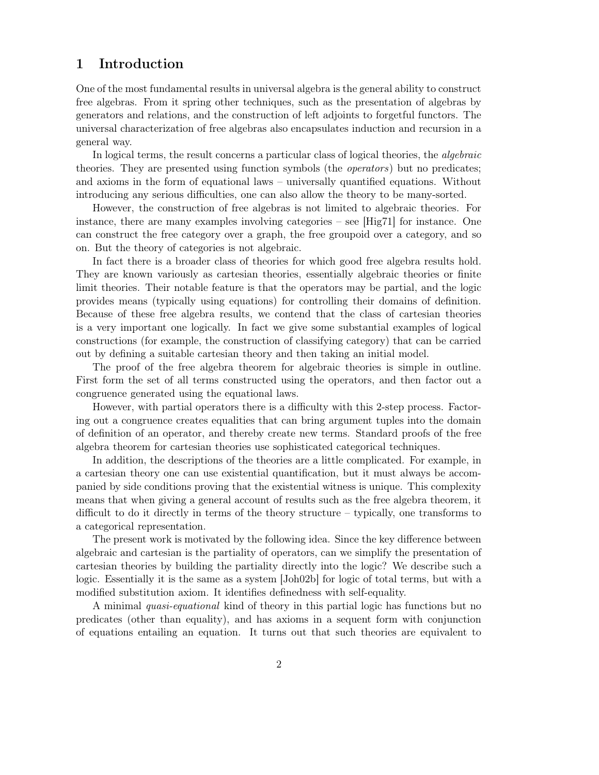### 1 Introduction

One of the most fundamental results in universal algebra is the general ability to construct free algebras. From it spring other techniques, such as the presentation of algebras by generators and relations, and the construction of left adjoints to forgetful functors. The universal characterization of free algebras also encapsulates induction and recursion in a general way.

In logical terms, the result concerns a particular class of logical theories, the algebraic theories. They are presented using function symbols (the operators) but no predicates; and axioms in the form of equational laws – universally quantified equations. Without introducing any serious difficulties, one can also allow the theory to be many-sorted.

However, the construction of free algebras is not limited to algebraic theories. For instance, there are many examples involving categories – see [Hig71] for instance. One can construct the free category over a graph, the free groupoid over a category, and so on. But the theory of categories is not algebraic.

In fact there is a broader class of theories for which good free algebra results hold. They are known variously as cartesian theories, essentially algebraic theories or finite limit theories. Their notable feature is that the operators may be partial, and the logic provides means (typically using equations) for controlling their domains of definition. Because of these free algebra results, we contend that the class of cartesian theories is a very important one logically. In fact we give some substantial examples of logical constructions (for example, the construction of classifying category) that can be carried out by defining a suitable cartesian theory and then taking an initial model.

The proof of the free algebra theorem for algebraic theories is simple in outline. First form the set of all terms constructed using the operators, and then factor out a congruence generated using the equational laws.

However, with partial operators there is a difficulty with this 2-step process. Factoring out a congruence creates equalities that can bring argument tuples into the domain of definition of an operator, and thereby create new terms. Standard proofs of the free algebra theorem for cartesian theories use sophisticated categorical techniques.

In addition, the descriptions of the theories are a little complicated. For example, in a cartesian theory one can use existential quantification, but it must always be accompanied by side conditions proving that the existential witness is unique. This complexity means that when giving a general account of results such as the free algebra theorem, it difficult to do it directly in terms of the theory structure – typically, one transforms to a categorical representation.

The present work is motivated by the following idea. Since the key difference between algebraic and cartesian is the partiality of operators, can we simplify the presentation of cartesian theories by building the partiality directly into the logic? We describe such a logic. Essentially it is the same as a system [Joh02b] for logic of total terms, but with a modified substitution axiom. It identifies definedness with self-equality.

A minimal quasi-equational kind of theory in this partial logic has functions but no predicates (other than equality), and has axioms in a sequent form with conjunction of equations entailing an equation. It turns out that such theories are equivalent to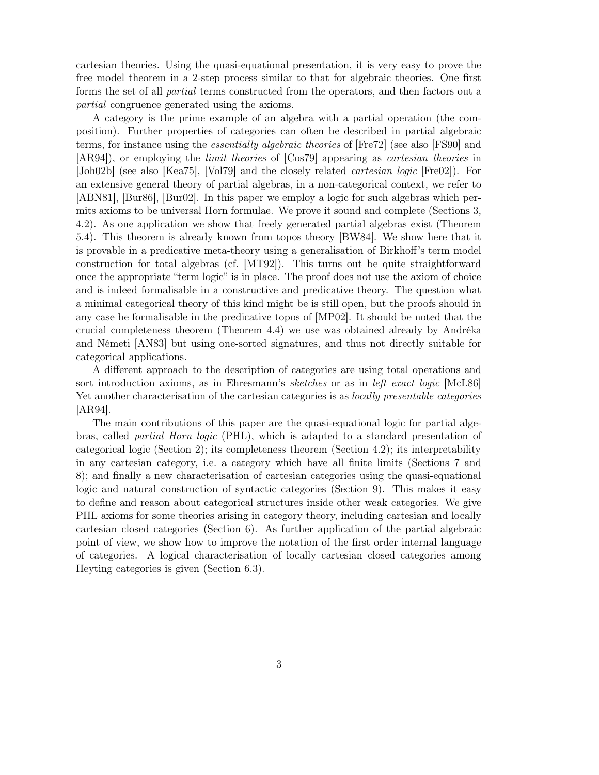cartesian theories. Using the quasi-equational presentation, it is very easy to prove the free model theorem in a 2-step process similar to that for algebraic theories. One first forms the set of all partial terms constructed from the operators, and then factors out a partial congruence generated using the axioms.

A category is the prime example of an algebra with a partial operation (the composition). Further properties of categories can often be described in partial algebraic terms, for instance using the essentially algebraic theories of [Fre72] (see also [FS90] and [AR94]), or employing the limit theories of [Cos79] appearing as cartesian theories in [Joh02b] (see also [Kea75], [Vol79] and the closely related cartesian logic [Fre02]). For an extensive general theory of partial algebras, in a non-categorical context, we refer to [ABN81], [Bur86], [Bur02]. In this paper we employ a logic for such algebras which permits axioms to be universal Horn formulae. We prove it sound and complete (Sections 3, 4.2). As one application we show that freely generated partial algebras exist (Theorem 5.4). This theorem is already known from topos theory [BW84]. We show here that it is provable in a predicative meta-theory using a generalisation of Birkhoff's term model construction for total algebras (cf. [MT92]). This turns out be quite straightforward once the appropriate "term logic" is in place. The proof does not use the axiom of choice and is indeed formalisable in a constructive and predicative theory. The question what a minimal categorical theory of this kind might be is still open, but the proofs should in any case be formalisable in the predicative topos of [MP02]. It should be noted that the crucial completeness theorem (Theorem 4.4) we use was obtained already by Andréka and Németi [AN83] but using one-sorted signatures, and thus not directly suitable for categorical applications.

A different approach to the description of categories are using total operations and sort introduction axioms, as in Ehresmann's *sketches* or as in *left exact logic* [McL86] Yet another characterisation of the cartesian categories is as *locally presentable categories* [AR94].

The main contributions of this paper are the quasi-equational logic for partial algebras, called partial Horn logic (PHL), which is adapted to a standard presentation of categorical logic (Section 2); its completeness theorem (Section 4.2); its interpretability in any cartesian category, i.e. a category which have all finite limits (Sections 7 and 8); and finally a new characterisation of cartesian categories using the quasi-equational logic and natural construction of syntactic categories (Section 9). This makes it easy to define and reason about categorical structures inside other weak categories. We give PHL axioms for some theories arising in category theory, including cartesian and locally cartesian closed categories (Section 6). As further application of the partial algebraic point of view, we show how to improve the notation of the first order internal language of categories. A logical characterisation of locally cartesian closed categories among Heyting categories is given (Section 6.3).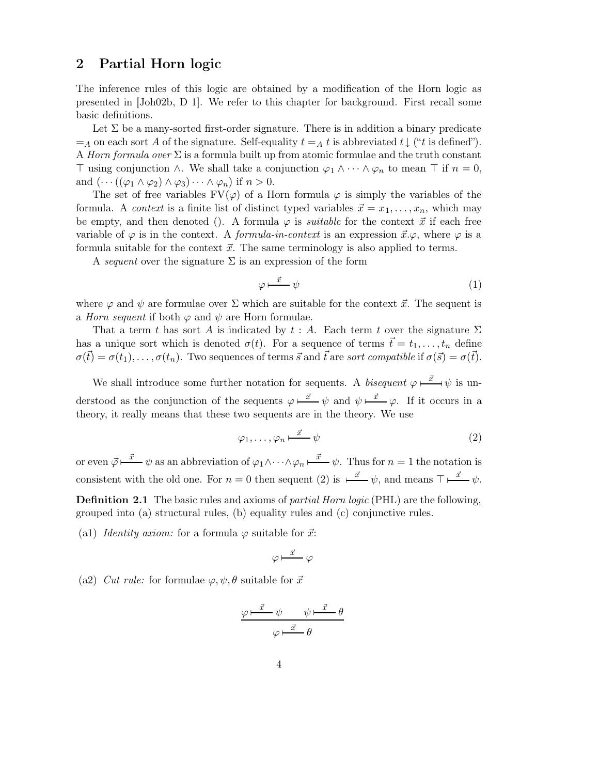### 2 Partial Horn logic

The inference rules of this logic are obtained by a modification of the Horn logic as presented in [Joh02b, D 1]. We refer to this chapter for background. First recall some basic definitions.

Let  $\Sigma$  be a many-sorted first-order signature. There is in addition a binary predicate  $=$ A on each sort A of the signature. Self-equality  $t = A$  t is abbreviated  $t \downarrow$  ("t is defined"). A Horn formula over  $\Sigma$  is a formula built up from atomic formulae and the truth constant  $\top$  using conjunction ∧. We shall take a conjunction  $\varphi_1 \wedge \cdots \wedge \varphi_n$  to mean  $\top$  if  $n = 0$ , and  $(\cdots((\varphi_1 \wedge \varphi_2) \wedge \varphi_3) \cdots \wedge \varphi_n)$  if  $n > 0$ .

The set of free variables  $FV(\varphi)$  of a Horn formula  $\varphi$  is simply the variables of the formula. A *context* is a finite list of distinct typed variables  $\vec{x} = x_1, \ldots, x_n$ , which may be empty, and then denoted (). A formula  $\varphi$  is *suitable* for the context  $\vec{x}$  if each free variable of  $\varphi$  is in the context. A *formula-in-context* is an expression  $\vec{x}.\varphi$ , where  $\varphi$  is a formula suitable for the context  $\vec{x}$ . The same terminology is also applied to terms.

A sequent over the signature  $\Sigma$  is an expression of the form

$$
\varphi \vdash^{\vec{x}} \psi \tag{1}
$$

where  $\varphi$  and  $\psi$  are formulae over  $\Sigma$  which are suitable for the context  $\vec{x}$ . The sequent is a Horn sequent if both  $\varphi$  and  $\psi$  are Horn formulae.

That a term t has sort A is indicated by  $t : A$ . Each term t over the signature  $\Sigma$ has a unique sort which is denoted  $\sigma(t)$ . For a sequence of terms  $\vec{t} = t_1, \ldots, t_n$  define  $\sigma(\vec{t}) = \sigma(t_1), \ldots, \sigma(t_n)$ . Two sequences of terms  $\vec{s}$  and  $\vec{t}$  are sort compatible if  $\sigma(\vec{s}) = \sigma(\vec{t})$ .

We shall introduce some further notation for sequents. A *bisequent*  $\varphi \mapsto \psi$  is understood as the conjunction of the sequents  $\varphi \stackrel{\vec{x}}{\longmapsto} \psi$  and  $\psi \stackrel{\vec{x}}{\longmapsto} \varphi$ . If it occurs in a theory, it really means that these two sequents are in the theory. We use

$$
\varphi_1, \ldots, \varphi_n \xrightarrow{\vec{x}} \psi \tag{2}
$$

or even  $\vec{\varphi} \mapsto \vec{x} - \psi$  as an abbreviation of  $\varphi_1 \wedge \cdots \wedge \varphi_n \mapsto \vec{x} - \psi$ . Thus for  $n = 1$  the notation is consistent with the old one. For  $n = 0$  then sequent (2) is  $\frac{\vec{x}}{\vec{x}} \neq \psi$ , and means  $\top \vdash \frac{\vec{x}}{\vec{x}} \psi$ .

**Definition 2.1** The basic rules and axioms of *partial Horn logic* (PHL) are the following, grouped into (a) structural rules, (b) equality rules and (c) conjunctive rules.

(a1) Identity axiom: for a formula  $\varphi$  suitable for  $\vec{x}$ :

$$
\varphi \longmapsto \overrightarrow{x} \varphi
$$

(a2) Cut rule: for formulae  $\varphi, \psi, \theta$  suitable for  $\vec{x}$ 

$$
\frac{\varphi \vdash^{\vec{x}} \psi}{\varphi \vdash^{\vec{x}} \theta}
$$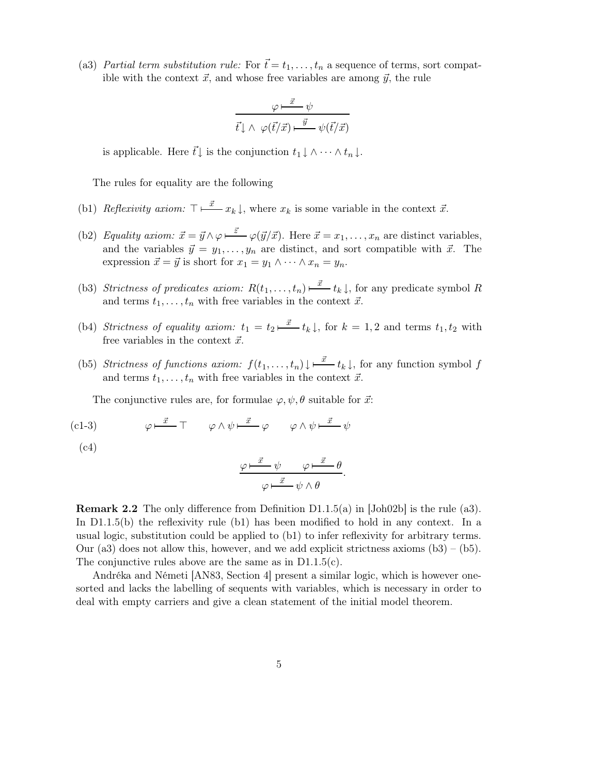(a3) Partial term substitution rule: For  $\vec{t} = t_1, \ldots, t_n$  a sequence of terms, sort compatible with the context  $\vec{x}$ , and whose free variables are among  $\vec{y}$ , the rule

$$
\frac{\varphi \longmapsto \psi}{\vec{t} \downarrow \wedge \varphi(\vec{t}/\vec{x}) \longmapsto \psi(\vec{t}/\vec{x})}
$$

is applicable. Here  $\vec{t} \downarrow$  is the conjunction  $t_1 \downarrow \wedge \cdots \wedge t_n \downarrow$ .

The rules for equality are the following

- (b1) Reflexivity axiom:  $\top \vdash^{\vec{x}} x_k \downarrow$ , where  $x_k$  is some variable in the context  $\vec{x}$ .
- (b2) Equality axiom:  $\vec{x} = \vec{y} \wedge \varphi \mapsto \vec{z} \varphi(\vec{y}/\vec{x})$ . Here  $\vec{x} = x_1, \dots, x_n$  are distinct variables, and the variables  $\vec{y} = y_1, \ldots, y_n$  are distinct, and sort compatible with  $\vec{x}$ . The expression  $\vec{x} = \vec{y}$  is short for  $x_1 = y_1 \wedge \cdots \wedge x_n = y_n$ .
- (b3) Strictness of predicates axiom:  $R(t_1, \ldots, t_n) \stackrel{\vec{x}}{\longleftarrow} t_k \downarrow$ , for any predicate symbol R and terms  $t_1, \ldots, t_n$  with free variables in the context  $\vec{x}$ .
- (b4) Strictness of equality axiom:  $t_1 = t_2 \frac{\vec{x}}{1} + t_k \cdot \vec{v}$ , for  $k = 1, 2$  and terms  $t_1, t_2$  with free variables in the context  $\vec{x}$ .
- (b5) Strictness of functions axiom:  $f(t_1,\ldots,t_n) \downarrow \frac{\vec{x}}{\cdot} t_k \downarrow$ , for any function symbol f and terms  $t_1, \ldots, t_n$  with free variables in the context  $\vec{x}$ .

The conjunctive rules are, for formulae  $\varphi, \psi, \theta$  suitable for  $\vec{x}$ :

 $(c1-3)$  $\frac{\vec{x}}{\sqrt{2}}$   $\top$   $\qquad \varphi \wedge \psi \vdash \frac{\vec{x}}{\sqrt{2}}$   $\qquad \varphi \wedge \psi \vdash \frac{\vec{x}}{\sqrt{2}}$   $\psi$ 

 $(c4)$ 

$$
\frac{\varphi \vdash^{\vec{x}} \psi \qquad \varphi \vdash^{\vec{x}} \theta}{\varphi \vdash^{\vec{x}} \psi \land \theta}
$$

.

**Remark 2.2** The only difference from Definition  $D1.1.5(a)$  in [Joh02b] is the rule (a3). In D1.1.5(b) the reflexivity rule (b1) has been modified to hold in any context. In a usual logic, substitution could be applied to (b1) to infer reflexivity for arbitrary terms. Our (a3) does not allow this, however, and we add explicit strictness axioms  $(b3) - (b5)$ . The conjunctive rules above are the same as in D1.1.5(c).

Andréka and Németi [AN83, Section 4] present a similar logic, which is however onesorted and lacks the labelling of sequents with variables, which is necessary in order to deal with empty carriers and give a clean statement of the initial model theorem.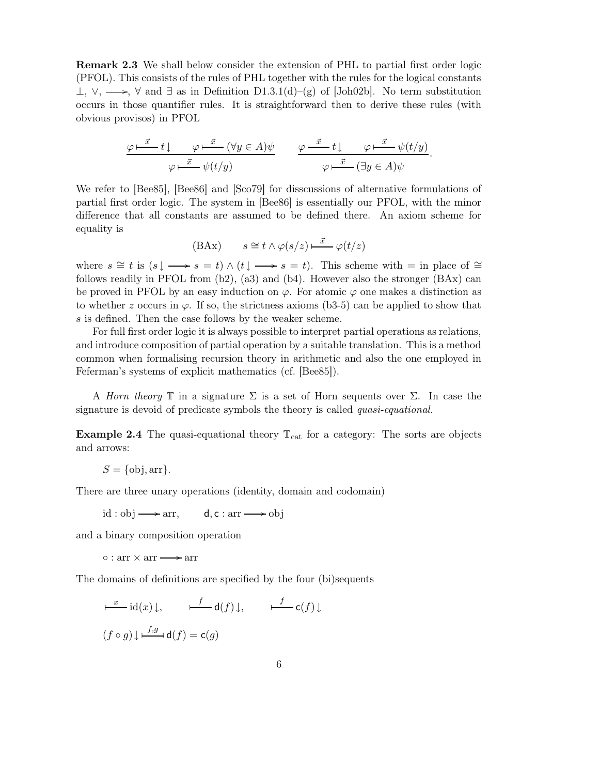Remark 2.3 We shall below consider the extension of PHL to partial first order logic (PFOL). This consists of the rules of PHL together with the rules for the logical constants  $\perp$ ,  $\vee$ ,  $\longrightarrow$ ,  $\forall$  and  $\exists$  as in Definition D1.3.1(d)–(g) of [Joh02b]. No term substitution occurs in those quantifier rules. It is straightforward then to derive these rules (with obvious provisos) in PFOL

$$
\frac{\varphi \vdash^{\vec{x}} t \downarrow \qquad \varphi \vdash^{\vec{x}} \quad (\forall y \in A)\psi}{\varphi \vdash^{\vec{x}} \psi(t/y)} \qquad \frac{\varphi \vdash^{\vec{x}} t \downarrow \qquad \varphi \vdash^{\vec{x}} \psi(t/y)}{\varphi \vdash^{\vec{x}} (\exists y \in A)\psi}.
$$

We refer to [Bee85], [Bee86] and [Sco79] for disscussions of alternative formulations of partial first order logic. The system in [Bee86] is essentially our PFOL, with the minor difference that all constants are assumed to be defined there. An axiom scheme for equality is

$$
(BAx) \qquad s \cong t \wedge \varphi(s/z) \xrightarrow{\vec{x}} \varphi(t/z)
$$

where  $s \cong t$  is  $(s \downarrow \longrightarrow s = t) \wedge (t \downarrow \longrightarrow s = t)$ . This scheme with  $=$  in place of  $\cong$ follows readily in PFOL from  $(b2)$ ,  $(a3)$  and  $(b4)$ . However also the stronger  $(BAx)$  can be proved in PFOL by an easy induction on  $\varphi$ . For atomic  $\varphi$  one makes a distinction as to whether z occurs in  $\varphi$ . If so, the strictness axioms (b3-5) can be applied to show that s is defined. Then the case follows by the weaker scheme.

For full first order logic it is always possible to interpret partial operations as relations, and introduce composition of partial operation by a suitable translation. This is a method common when formalising recursion theory in arithmetic and also the one employed in Feferman's systems of explicit mathematics (cf. [Bee85]).

A Horn theory T in a signature  $\Sigma$  is a set of Horn sequents over  $\Sigma$ . In case the signature is devoid of predicate symbols the theory is called *quasi-equational*.

**Example 2.4** The quasi-equational theory  $\mathbb{T}_{cat}$  for a category: The sorts are objects and arrows:

$$
S = \{obj, arr\}.
$$

There are three unary operations (identity, domain and codomain)

 $id : obj \longrightarrow arr,$  $d, c : arr \longrightarrow obj$ 

and a binary composition operation

 $\circ$  : arr  $\times$  arr  $\longrightarrow$  arr

The domains of definitions are specified by the four (bi)sequents

$$
\frac{x}{f} \operatorname{id}(x) \downarrow, \qquad \frac{f}{f} \operatorname{id}(f) \downarrow, \qquad \frac{f}{f} \operatorname{c}(f) \downarrow
$$

$$
(f \circ g) \downarrow \frac{f,g}{f} \operatorname{id}(f) = \operatorname{c}(g)
$$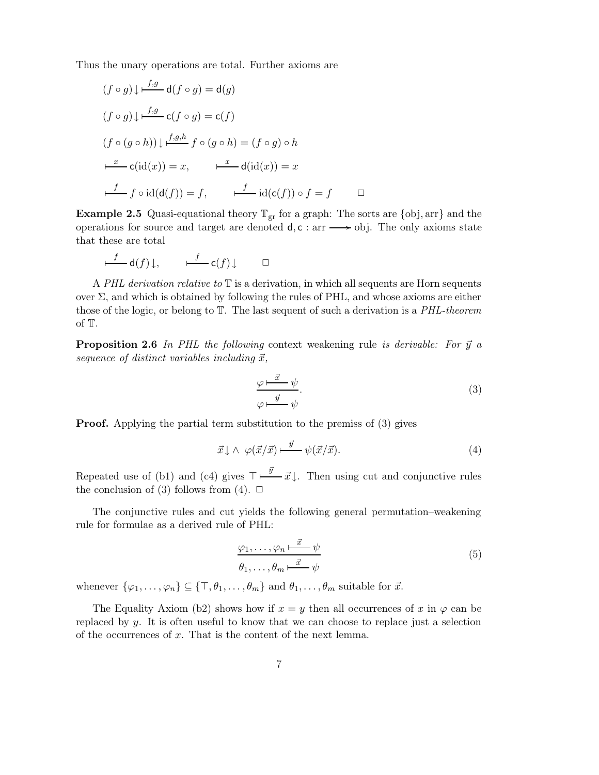Thus the unary operations are total. Further axioms are

$$
(f \circ g) \downarrow \frac{f,g}{\longrightarrow} d(f \circ g) = d(g)
$$
  

$$
(f \circ g) \downarrow \frac{f,g}{\longrightarrow} c(f \circ g) = c(f)
$$
  

$$
(f \circ (g \circ h)) \downarrow \frac{f,g,h}{\longrightarrow} f \circ (g \circ h) = (f \circ g) \circ h
$$
  

$$
\frac{x}{\longrightarrow} c(id(x)) = x, \qquad \frac{x}{\longrightarrow} d(id(x)) = x
$$
  

$$
\frac{f}{\longrightarrow} f \circ id(d(f)) = f, \qquad \frac{f}{\longrightarrow} id(c(f)) \circ f = f \qquad \Box
$$

**Example 2.5** Quasi-equational theory  $\mathbb{T}_{gr}$  for a graph: The sorts are {obj, arr} and the operations for source and target are denoted  $d, c : arr \longrightarrow obj$ . The only axioms state that these are total

$$
\stackrel{f}{\longmapsto} \mathrm{d}(f)\downarrow, \qquad \stackrel{f}{\longmapsto} \mathrm{c}(f)\downarrow \qquad \square
$$

A PHL derivation relative to  $T$  is a derivation, in which all sequents are Horn sequents over Σ, and which is obtained by following the rules of PHL, and whose axioms are either those of the logic, or belong to  $T$ . The last sequent of such a derivation is a  $PHL-theorem$ of T.

**Proposition 2.6** In PHL the following context weakening rule is derivable: For  $\vec{y}$  a sequence of distinct variables including  $\vec{x}$ ,

$$
\frac{\varphi \xrightarrow{\vec{x}} \psi}{\varphi \xrightarrow{\vec{y}} \psi}.
$$
\n(3)

**Proof.** Applying the partial term substitution to the premiss of (3) gives

$$
\vec{x} \downarrow \wedge \varphi(\vec{x}/\vec{x}) \xrightarrow{\vec{y}} \psi(\vec{x}/\vec{x}). \tag{4}
$$

Repeated use of (b1) and (c4) gives  $\top \stackrel{\vec{y}}{\longmapsto} \vec{x} \downarrow$ . Then using cut and conjunctive rules  $\vdash$ the conclusion of (3) follows from (4).  $\Box$ 

The conjunctive rules and cut yields the following general permutation–weakening rule for formulae as a derived rule of PHL:

$$
\frac{\varphi_1, \dots, \varphi_n \xrightarrow{\vec{x}} \psi}{\theta_1, \dots, \theta_m \xrightarrow{\vec{x}} \psi}
$$
\n
$$
(5)
$$

whenever  $\{\varphi_1,\ldots,\varphi_n\} \subseteq \{\top, \theta_1,\ldots,\theta_m\}$  and  $\theta_1,\ldots,\theta_m$  suitable for  $\vec{x}$ .

The Equality Axiom (b2) shows how if  $x = y$  then all occurrences of x in  $\varphi$  can be replaced by y. It is often useful to know that we can choose to replace just a selection of the occurrences of  $x$ . That is the content of the next lemma.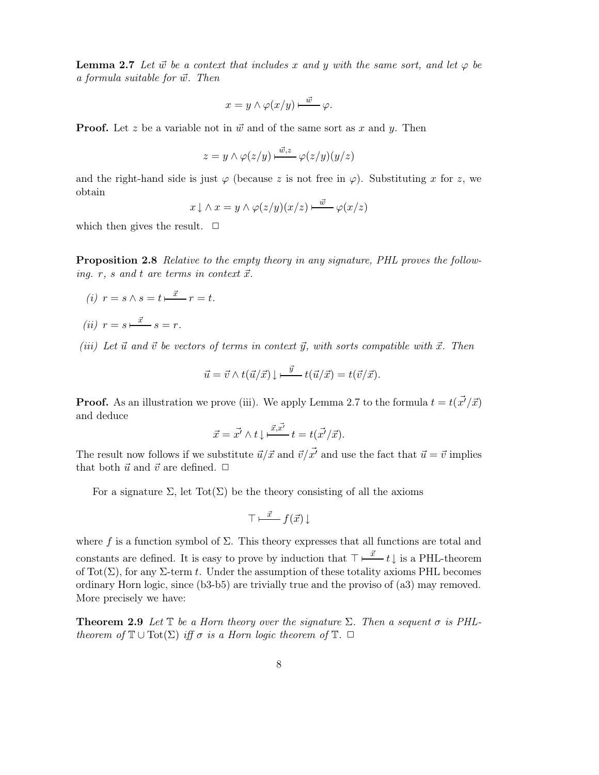**Lemma 2.7** Let  $\vec{w}$  be a context that includes x and y with the same sort, and let  $\varphi$  be a formula suitable for  $\vec{w}$ . Then

$$
x = y \wedge \varphi(x/y) \xrightarrow{\vec{w}} \varphi.
$$

**Proof.** Let z be a variable not in  $\vec{w}$  and of the same sort as x and y. Then

$$
z=y \wedge \varphi(z/y) \stackrel{\vec{w},z}{\longleftarrow} \varphi(z/y)(y/z)
$$

and the right-hand side is just  $\varphi$  (because z is not free in  $\varphi$ ). Substituting x for z, we obtain

$$
x \downarrow \wedge x = y \wedge \varphi(z/y)(x/z) \xrightarrow{\vec{w}} \varphi(x/z)
$$

which then gives the result.  $\Box$ 

Proposition 2.8 Relative to the empty theory in any signature, PHL proves the following.  $r, s$  and  $t$  are terms in context  $\vec{x}$ .

- (*i*)  $r = s \wedge s = t \frac{\vec{x}}{1 \vec{x}}$   $r = t$ .
- (ii)  $r = s \frac{\vec{x}}{s}$  = r.
- (iii) Let  $\vec{u}$  and  $\vec{v}$  be vectors of terms in context  $\vec{u}$ , with sorts compatible with  $\vec{x}$ . Then

$$
\vec{u} = \vec{v} \wedge t(\vec{u}/\vec{x}) \downarrow \frac{\vec{y}}{\sqrt{2\pi}} t(\vec{u}/\vec{x}) = t(\vec{v}/\vec{x}).
$$

**Proof.** As an illustration we prove (iii). We apply Lemma 2.7 to the formula  $t = t(\vec{x'}/\vec{x})$ and deduce

$$
\vec{x} = \vec{x'} \wedge t \downarrow \frac{\vec{x} \cdot \vec{x'}}{t} = t(\vec{x'} / \vec{x}).
$$

The result now follows if we substitute  $\vec{u}/\vec{x}$  and  $\vec{v}/\vec{x'}$  and use the fact that  $\vec{u} = \vec{v}$  implies that both  $\vec{u}$  and  $\vec{v}$  are defined.  $\Box$ 

For a signature  $\Sigma$ , let Tot( $\Sigma$ ) be the theory consisting of all the axioms

$$
\top \longmapsto \vec{x} - f(\vec{x}) \downarrow
$$

where f is a function symbol of  $\Sigma$ . This theory expresses that all functions are total and constants are defined. It is easy to prove by induction that  $\top \vdash^{\vec{x}} t \downarrow$  is a PHL-theorem of Tot( $\Sigma$ ), for any  $\Sigma$ -term t. Under the assumption of these totality axioms PHL becomes ordinary Horn logic, since (b3-b5) are trivially true and the proviso of (a3) may removed. More precisely we have:

**Theorem 2.9** Let  $\mathbb T$  be a Horn theory over the signature  $\Sigma$ . Then a sequent  $\sigma$  is PHLtheorem of  $\mathbb{T} \cup \text{Tot}(\Sigma)$  iff  $\sigma$  is a Horn logic theorem of  $\mathbb{T}$ .  $\Box$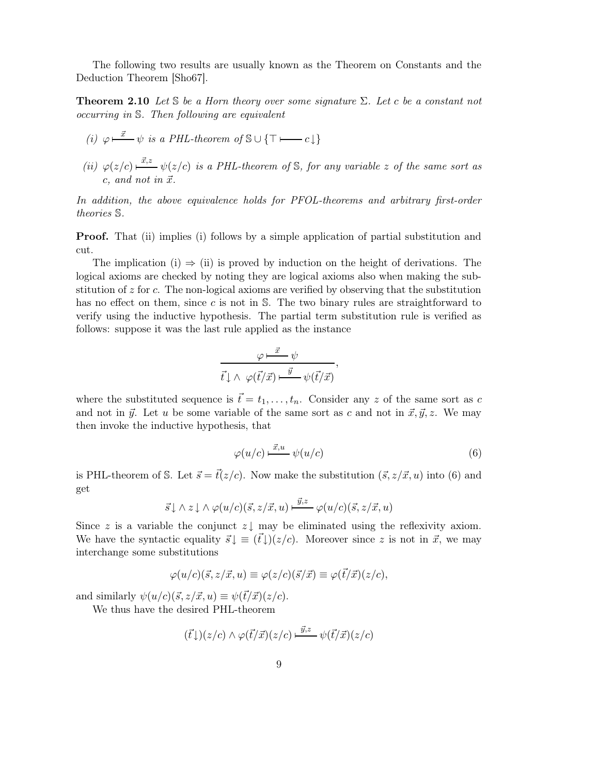The following two results are usually known as the Theorem on Constants and the Deduction Theorem [Sho67].

**Theorem 2.10** Let S be a Horn theory over some signature  $\Sigma$ . Let c be a constant not occurring in S. Then following are equivalent

- (i)  $\varphi \xrightarrow{\vec{x}} \psi$  is a PHL-theorem of  $\mathbb{S} \cup \{T \longmapsto c \downarrow\}$
- (ii)  $\varphi(z/c) \stackrel{\vec{x},z}{\longmapsto} \psi(z/c)$  is a PHL-theorem of S, for any variable z of the same sort as c, and not in  $\vec{x}$ .

In addition, the above equivalence holds for PFOL-theorems and arbitrary first-order theories S.

**Proof.** That (ii) implies (i) follows by a simple application of partial substitution and cut.

The implication (i)  $\Rightarrow$  (ii) is proved by induction on the height of derivations. The logical axioms are checked by noting they are logical axioms also when making the substitution of z for c. The non-logical axioms are verified by observing that the substitution has no effect on them, since  $c$  is not in S. The two binary rules are straightforward to verify using the inductive hypothesis. The partial term substitution rule is verified as follows: suppose it was the last rule applied as the instance

$$
\frac{\varphi \longmapsto \psi}{\vec{t} \downarrow \wedge \varphi(\vec{t}/\vec{x}) \longmapsto \psi(\vec{t}/\vec{x})},
$$

where the substituted sequence is  $\vec{t} = t_1, \ldots, t_n$ . Consider any z of the same sort as c and not in  $\vec{y}$ . Let u be some variable of the same sort as c and not in  $\vec{x}, \vec{y}, z$ . We may then invoke the inductive hypothesis, that

$$
\varphi(u/c) \xrightarrow{\vec{x}, u} \psi(u/c) \tag{6}
$$

is PHL-theorem of S. Let  $\vec{s} = \vec{t}(z/c)$ . Now make the substitution  $(\vec{s}, z/\vec{x}, u)$  into (6) and get

$$
\vec{s} \downarrow \wedge z \downarrow \wedge \varphi(u/c)(\vec{s}, z/\vec{x}, u) \xleftarrow{\vec{y}, z} \varphi(u/c)(\vec{s}, z/\vec{x}, u)
$$

Since z is a variable the conjunct  $z \downarrow$  may be eliminated using the reflexivity axiom. We have the syntactic equality  $\vec{s} \downarrow = (\vec{t} \downarrow)(z/c)$ . Moreover since z is not in  $\vec{x}$ , we may interchange some substitutions

$$
\varphi(u/c)(\vec{s},z/\vec{x},u) \equiv \varphi(z/c)(\vec{s}/\vec{x}) \equiv \varphi(\vec{t}/\vec{x})(z/c),
$$

and similarly  $\psi(u/c)(\vec{s}, z/\vec{x}, u) \equiv \psi(\vec{t}/\vec{x})(z/c)$ .

We thus have the desired PHL-theorem

$$
(\vec{t}\downarrow)(z/c) \wedge \varphi(\vec{t}/\vec{x})(z/c) \xrightarrow{\vec{y},z} \psi(\vec{t}/\vec{x})(z/c)
$$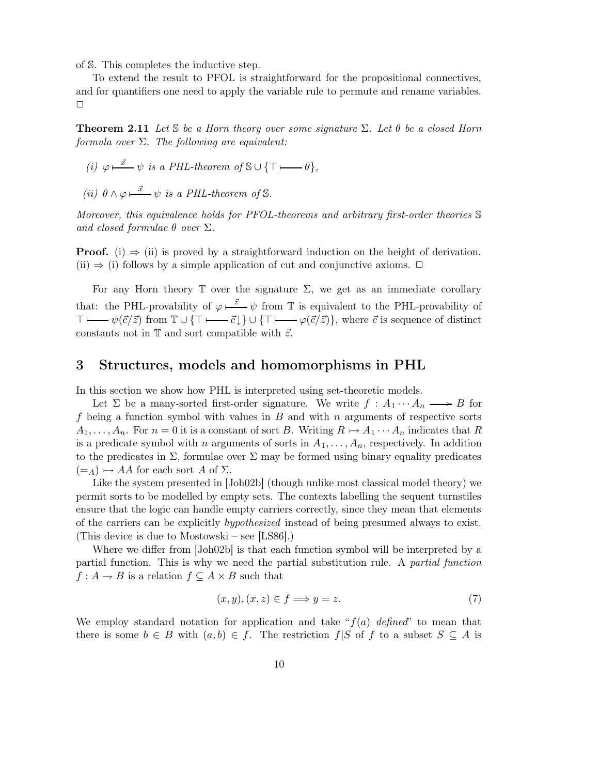of S. This completes the inductive step.

To extend the result to PFOL is straightforward for the propositional connectives, and for quantifiers one need to apply the variable rule to permute and rename variables.  $\Box$ 

**Theorem 2.11** Let S be a Horn theory over some signature  $\Sigma$ . Let  $\theta$  be a closed Horn formula over  $\Sigma$ . The following are equivalent:

(i) 
$$
\varphi \xrightarrow{\vec{x}} \psi
$$
 is a PHL-theorem of  $\mathbb{S} \cup \{T \longmapsto \theta\}$ ,

(ii)  $\theta \wedge \varphi \xrightarrow{\vec{x}} \psi$  is a PHL-theorem of S.

Moreover, this equivalence holds for PFOL-theorems and arbitrary first-order theories S and closed formulae  $\theta$  over  $\Sigma$ .

**Proof.** (i)  $\Rightarrow$  (ii) is proved by a straightforward induction on the height of derivation.  $(ii) \Rightarrow (i)$  follows by a simple application of cut and conjunctive axioms.  $\Box$ 

For any Horn theory  $\mathbb T$  over the signature  $\Sigma$ , we get as an immediate corollary that: the PHL-provability of  $\varphi \stackrel{\vec{z}}{\longleftarrow} \psi$  from  $\mathbb T$  is equivalent to the PHL-provability of  $\top \longmapsto \psi(\vec{c}/\vec{z})$  from  $\mathbb{T} \cup {\{\top \longmapsto \vec{c}\}} \cup {\{\top \longmapsto \varphi(\vec{c}/\vec{z})\}}$ , where  $\vec{c}$  is sequence of distinct constants not in  $\mathbb T$  and sort compatible with  $\vec{z}$ .

### 3 Structures, models and homomorphisms in PHL

In this section we show how PHL is interpreted using set-theoretic models.

Let  $\Sigma$  be a many-sorted first-order signature. We write  $f : A_1 \cdots A_n \longrightarrow B$  for f being a function symbol with values in  $B$  and with n arguments of respective sorts  $A_1, \ldots, A_n$ . For  $n = 0$  it is a constant of sort B. Writing  $R \rightarrowtail A_1 \cdots A_n$  indicates that R is a predicate symbol with n arguments of sorts in  $A_1, \ldots, A_n$ , respectively. In addition to the predicates in  $\Sigma$ , formulae over  $\Sigma$  may be formed using binary equality predicates  $(=_A) \rightarrow A$  for each sort A of  $\Sigma$ .

Like the system presented in [Joh02b] (though unlike most classical model theory) we permit sorts to be modelled by empty sets. The contexts labelling the sequent turnstiles ensure that the logic can handle empty carriers correctly, since they mean that elements of the carriers can be explicitly hypothesized instead of being presumed always to exist. (This device is due to Mostowski – see [LS86].)

Where we differ from [Joh02b] is that each function symbol will be interpreted by a partial function. This is why we need the partial substitution rule. A partial function  $f: A \to B$  is a relation  $f \subseteq A \times B$  such that

$$
(x, y), (x, z) \in f \Longrightarrow y = z. \tag{7}
$$

We employ standard notation for application and take " $f(a)$  defined" to mean that there is some  $b \in B$  with  $(a, b) \in f$ . The restriction  $f|S$  of f to a subset  $S \subseteq A$  is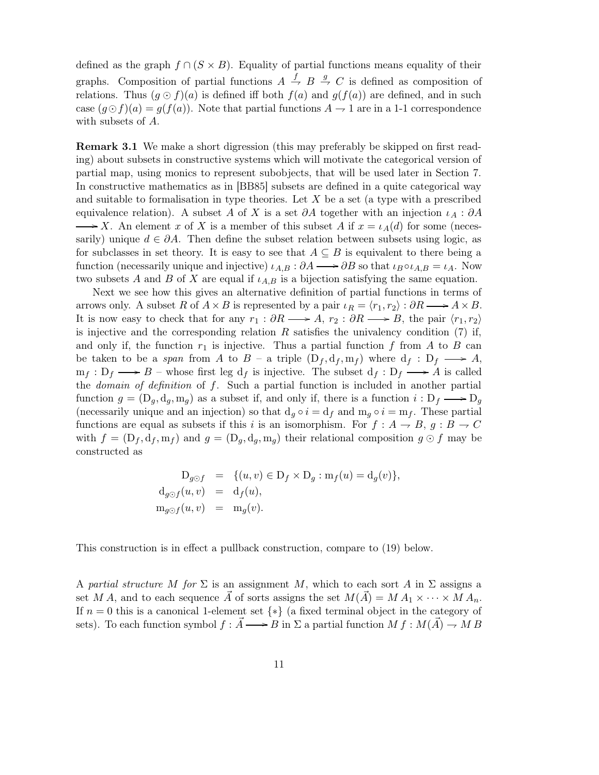defined as the graph  $f \cap (S \times B)$ . Equality of partial functions means equality of their graphs. Composition of partial functions  $A \stackrel{f}{\rightarrow} B \stackrel{g}{\rightarrow} C$  is defined as composition of relations. Thus  $(q \circ f)(a)$  is defined iff both  $f(a)$  and  $q(f(a))$  are defined, and in such case  $(g \odot f)(a) = g(f(a))$ . Note that partial functions  $A \rightarrow 1$  are in a 1-1 correspondence with subsets of A.

Remark 3.1 We make a short digression (this may preferably be skipped on first reading) about subsets in constructive systems which will motivate the categorical version of partial map, using monics to represent subobjects, that will be used later in Section 7. In constructive mathematics as in [BB85] subsets are defined in a quite categorical way and suitable to formalisation in type theories. Let  $X$  be a set (a type with a prescribed equivalence relation). A subset A of X is a set  $\partial A$  together with an injection  $\iota_A : \partial A$  $\rightarrow X$ . An element x of X is a member of this subset A if  $x = \iota_A(d)$  for some (necessarily) unique  $d \in \partial A$ . Then define the subset relation between subsets using logic, as for subclasses in set theory. It is easy to see that  $A \subseteq B$  is equivalent to there being a function (necessarily unique and injective)  $\iota_{A,B} : \partial A \longrightarrow \partial B$  so that  $\iota_B \circ \iota_{A,B} = \iota_A$ . Now two subsets A and B of X are equal if  $\iota_{A,B}$  is a bijection satisfying the same equation.

Next we see how this gives an alternative definition of partial functions in terms of arrows only. A subset R of  $A \times B$  is represented by a pair  $\iota_R = \langle r_1, r_2 \rangle : \partial R \longrightarrow A \times B$ . It is now easy to check that for any  $r_1 : \partial R \longrightarrow A$ ,  $r_2 : \partial R \longrightarrow B$ , the pair  $\langle r_1, r_2 \rangle$ is injective and the corresponding relation R satisfies the univalency condition  $(7)$  if, and only if, the function  $r_1$  is injective. Thus a partial function f from A to B can be taken to be a span from A to B – a triple  $(D_f, d_f, m_f)$  where  $d_f : D_f \longrightarrow A$ ,  $m_f: D_f \longrightarrow B$  – whose first leg  $d_f$  is injective. The subset  $d_f: D_f \longrightarrow A$  is called the *domain of definition* of  $f$ . Such a partial function is included in another partial function  $g = (D_g, d_g, m_g)$  as a subset if, and only if, there is a function  $i: D_f \longrightarrow D_g$ (necessarily unique and an injection) so that  $d_q \circ i = d_f$  and  $m_q \circ i = m_f$ . These partial functions are equal as subsets if this i is an isomorphism. For  $f : A \rightarrow B$ ,  $g : B \rightarrow C$ with  $f = (D_f, d_f, m_f)$  and  $g = (D_q, d_q, m_q)$  their relational composition  $g \odot f$  may be constructed as

$$
D_{g \odot f} = \{(u, v) \in D_f \times D_g : m_f(u) = d_g(v)\},
$$
  
\n
$$
d_{g \odot f}(u, v) = d_f(u),
$$
  
\n
$$
m_{g \odot f}(u, v) = m_g(v).
$$

This construction is in effect a pullback construction, compare to (19) below.

A partial structure M for  $\Sigma$  is an assignment M, which to each sort A in  $\Sigma$  assigns a set M A, and to each sequence  $\vec{A}$  of sorts assigns the set  $M(\vec{A}) = M A_1 \times \cdots \times M A_n$ . If  $n = 0$  this is a canonical 1-element set  $\{*\}$  (a fixed terminal object in the category of sets). To each function symbol  $f : \overline{A} \longrightarrow B$  in  $\Sigma$  a partial function  $M f : M(\overline{A}) \longrightarrow M B$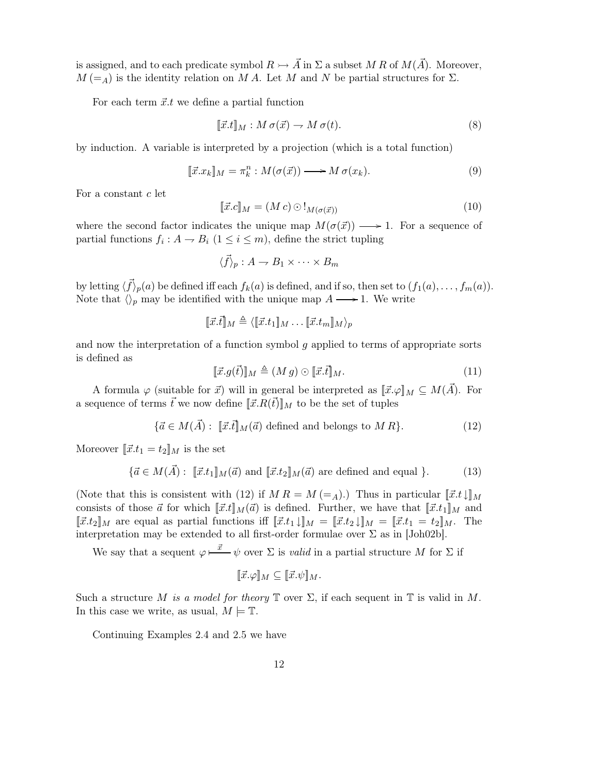is assigned, and to each predicate symbol  $R \rightarrowtail \vec{A}$  in  $\Sigma$  a subset M R of  $M(\vec{A})$ . Moreover,  $M = A$ ) is the identity relation on M A. Let M and N be partial structures for  $\Sigma$ .

For each term  $\vec{x}.t$  we define a partial function

$$
\llbracket \vec{x}.t \rrbracket_M : M \sigma(\vec{x}) \to M \sigma(t). \tag{8}
$$

by induction. A variable is interpreted by a projection (which is a total function)

$$
\llbracket \vec{x}.x_k \rrbracket_M = \pi_k^n : M(\sigma(\vec{x})) \longrightarrow M \sigma(x_k). \tag{9}
$$

For a constant c let

$$
\llbracket \vec{x} . c \rrbracket_M = (M \, c) \odot \mathbf{1}_{M(\sigma(\vec{x}))} \tag{10}
$$

where the second factor indicates the unique map  $M(\sigma(\vec{x})) \longrightarrow 1$ . For a sequence of partial functions  $f_i: A \to B_i \ (1 \leq i \leq m)$ , define the strict tupling

$$
\langle \vec{f} \rangle_p : A \to B_1 \times \cdots \times B_m
$$

by letting  $\langle \vec{f} \rangle_p(a)$  be defined iff each  $f_k(a)$  is defined, and if so, then set to  $(f_1(a), \ldots, f_m(a))$ . Note that  $\langle \rangle_p$  may be identified with the unique map  $A \longrightarrow 1$ . We write

$$
[\![\vec{x}.\vec{t}]\!]_M \triangleq \langle [\![\vec{x}.t_1]\!]_M \dots [\![\vec{x}.t_m]\!]_M \rangle_p
$$

and now the interpretation of a function symbol  $q$  applied to terms of appropriate sorts is defined as

$$
[\![\vec{x}.g(\vec{t})\!]_M \triangleq (M\,g) \odot [\![\vec{x}.\vec{t}]\!]_M. \tag{11}
$$

A formula  $\varphi$  (suitable for  $\vec{x}$ ) will in general be interpreted as  $[\![\vec{x}.\varphi]\!]_M \subseteq M(A)$ . For a sequence of terms  $\vec{t}$  we now define  $[\vec{x}.R(\vec{t})]_M$  to be the set of tuples

$$
\{\vec{a} \in M(\vec{A}): [\![\vec{x}.\vec{t}]\!]_M(\vec{a}) \text{ defined and belongs to } M R\}. \tag{12}
$$

Moreover  $[\![\vec{x}.t_1 = t_2]\!]_M$  is the set

$$
\{\vec{a} \in M(\vec{A}): \ [\![\vec{x}.t_1]\!]_M(\vec{a}) \text{ and } [\![\vec{x}.t_2]\!]_M(\vec{a}) \text{ are defined and equal }\}.
$$
 (13)

(Note that this is consistent with (12) if  $M R = M = (A).$ ) Thus in particular  $[\![\vec{x}.t]\!]_M$ consists of those  $\vec{a}$  for which  $[\![\vec{x}.t]\!]_M(\vec{a})$  is defined. Further, we have that  $[\![\vec{x}.t_1]\!]_M$  and  $[\![\vec{x}.t_2]\!]_M$  are equal as partial functions iff  $[\![\vec{x}.t_1\!\downarrow\!]]_M = [\![\vec{x}.t_2\!\downarrow\!]]_M = [\![\vec{x}.t_1 = t_2\!]]_M$ . The interpretation may be extended to all first-order formulae over  $\Sigma$  as in [Joh02b].

We say that a sequent  $\varphi \mapsto \psi$  over  $\Sigma$  is valid in a partial structure M for  $\Sigma$  if

$$
[\![\vec{x}.\varphi]\!]_M \subseteq [\![\vec{x}.\psi]\!]_M.
$$

Such a structure M is a model for theory  $\mathbb T$  over  $\Sigma$ , if each sequent in  $\mathbb T$  is valid in M. In this case we write, as usual,  $M \models \mathbb{T}$ .

Continuing Examples 2.4 and 2.5 we have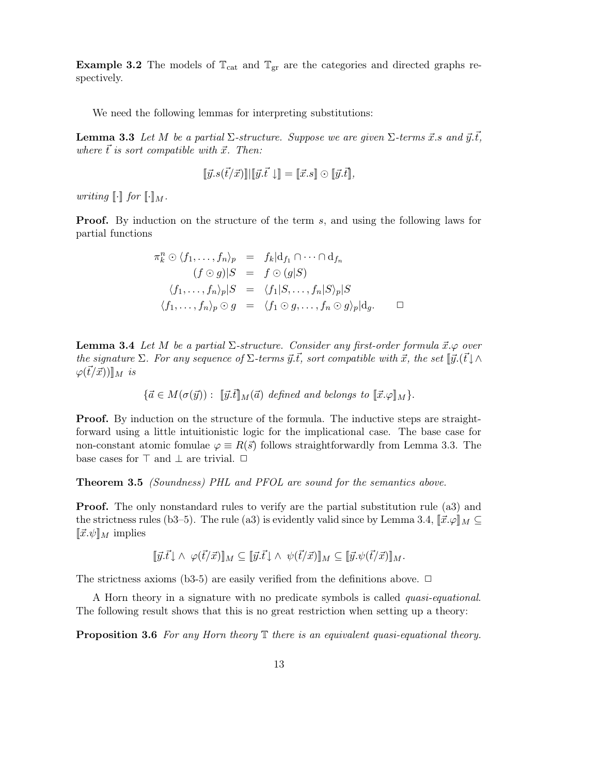**Example 3.2** The models of  $T_{cat}$  and  $T_{gr}$  are the categories and directed graphs respectively.

We need the following lemmas for interpreting substitutions:

**Lemma 3.3** Let M be a partial  $\Sigma$ -structure. Suppose we are given  $\Sigma$ -terms  $\vec{x}$ .s and  $\vec{y}$ . $\vec{t}$ , where  $\vec{t}$  is sort compatible with  $\vec{x}$ . Then:

$$
[\![\vec{y}.s(\vec{t}/\vec{x})]\!][\![\vec{y}.\vec{t}]\!] = [\![\vec{x}.s]\!] \odot [\![\vec{y}.\vec{t}]\!],
$$

writing  $\lbrack \cdot \rbrack$  for  $\lbrack \cdot \rbrack_M$ .

**Proof.** By induction on the structure of the term s, and using the following laws for partial functions

$$
\pi_k^n \odot \langle f_1, \dots, f_n \rangle_p = f_k | d_{f_1} \cap \dots \cap d_{f_n}
$$
  
\n
$$
(f \odot g)|S = f \odot (g|S)
$$
  
\n
$$
\langle f_1, \dots, f_n \rangle_p |S = \langle f_1 | S, \dots, f_n | S \rangle_p |S
$$
  
\n
$$
\langle f_1, \dots, f_n \rangle_p \odot g = \langle f_1 \odot g, \dots, f_n \odot g \rangle_p | d_g. \square
$$

**Lemma 3.4** Let M be a partial  $\Sigma$ -structure. Consider any first-order formula  $\vec{x}.\varphi$  over the signature  $\Sigma$ . For any sequence of  $\Sigma$ -terms  $\vec{y}.\vec{t}$ , sort compatible with  $\vec{x}$ , the set  $[\vec{y}.\vec{t}]\wedge \vec{y}$  $\varphi(\vec{t}/\vec{x})\Vert_M$  is

$$
\{\vec{a} \in M(\sigma(\vec{y})) : [\![\vec{y}.\vec{t}]\!]_M(\vec{a}) \text{ defined and belongs to } [\![\vec{x}.\varphi]\!]_M\}.
$$

**Proof.** By induction on the structure of the formula. The inductive steps are straightforward using a little intuitionistic logic for the implicational case. The base case for non-constant atomic fomulae  $\varphi \equiv R(\vec{s})$  follows straightforwardly from Lemma 3.3. The base cases for  $\top$  and  $\bot$  are trivial.  $\Box$ 

Theorem 3.5 (Soundness) PHL and PFOL are sound for the semantics above.

Proof. The only nonstandard rules to verify are the partial substitution rule (a3) and the strictness rules (b3–5). The rule (a3) is evidently valid since by Lemma 3.4,  $\left[\vec{x}.\varphi\right]_M \subseteq$  $[\![\vec{x}. \psi]\!]_M$  implies

$$
[\![\vec{y}.\vec{t}\!] \wedge \varphi(\vec{t}/\vec{x})\!]_M \subseteq [\![\vec{y}.\vec{t}\!] \wedge \psi(\vec{t}/\vec{x})\!]_M \subseteq [\![\vec{y}.\psi(\vec{t}/\vec{x})\!]_M.
$$

The strictness axioms (b3-5) are easily verified from the definitions above.  $\Box$ 

A Horn theory in a signature with no predicate symbols is called quasi-equational. The following result shows that this is no great restriction when setting up a theory:

**Proposition 3.6** For any Horn theory  $\mathbb T$  there is an equivalent quasi-equational theory.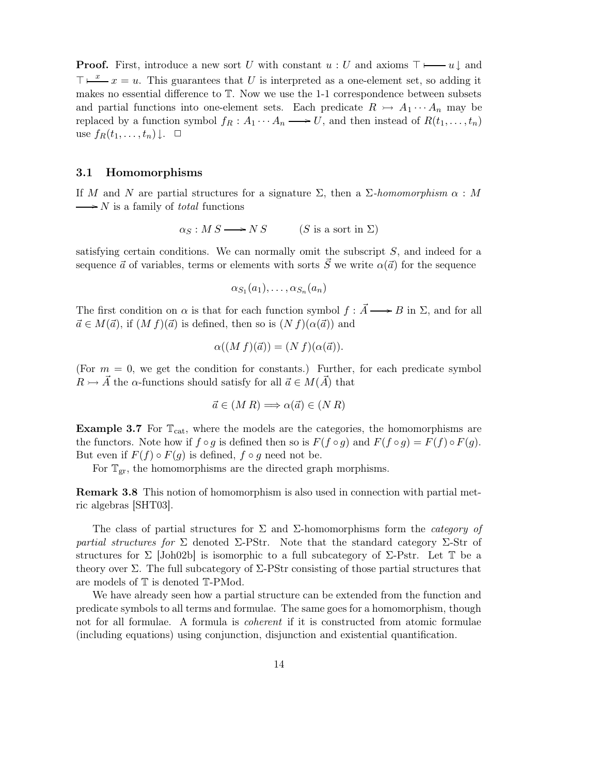**Proof.** First, introduce a new sort U with constant  $u: U$  and axioms  $\top \longmapsto u\downarrow$  and  $\mathsf{I}$  $\top \vdash^{x} x = u$ . This guarantees that U is interpreted as a one-element set, so adding it makes no essential difference to T. Now we use the 1-1 correspondence between subsets and partial functions into one-element sets. Each predicate  $R \rightarrow A_1 \cdots A_n$  may be replaced by a function symbol  $f_R: A_1 \cdots A_n \longrightarrow U$ , and then instead of  $R(t_1, \ldots, t_n)$ use  $f_R(t_1,\ldots,t_n)\downarrow$ .  $\Box$ 

#### 3.1 Homomorphisms

If M and N are partial structures for a signature  $\Sigma$ , then a  $\Sigma$ -homomorphism  $\alpha : M$  $\longrightarrow N$  is a family of *total* functions

$$
\alpha_S: M S \longrightarrow NS \qquad (S \text{ is a sort in } \Sigma)
$$

satisfying certain conditions. We can normally omit the subscript  $S$ , and indeed for a sequence  $\vec{a}$  of variables, terms or elements with sorts  $\vec{S}$  we write  $\alpha(\vec{a})$  for the sequence

$$
\alpha_{S_1}(a_1),\ldots,\alpha_{S_n}(a_n)
$$

The first condition on  $\alpha$  is that for each function symbol  $f : \vec{A} \longrightarrow B$  in  $\Sigma$ , and for all  $\vec{a} \in M(\vec{a})$ , if  $(M f)(\vec{a})$  is defined, then so is  $(N f)(\alpha(\vec{a}))$  and

$$
\alpha((M f)(\vec{a})) = (N f)(\alpha(\vec{a})).
$$

(For  $m = 0$ , we get the condition for constants.) Further, for each predicate symbol  $R \rightarrowtail \vec{A}$  the  $\alpha$ -functions should satisfy for all  $\vec{a} \in M(\vec{A})$  that

$$
\vec{a} \in (M\,R) \Longrightarrow \alpha(\vec{a}) \in (N\,R)
$$

**Example 3.7** For  $T_{\text{cat}}$ , where the models are the categories, the homomorphisms are the functors. Note how if  $f \circ g$  is defined then so is  $F(f \circ g)$  and  $F(f \circ g) = F(f) \circ F(g)$ . But even if  $F(f) \circ F(g)$  is defined,  $f \circ g$  need not be.

For  $\mathbb{T}_{gr}$ , the homomorphisms are the directed graph morphisms.

Remark 3.8 This notion of homomorphism is also used in connection with partial metric algebras [SHT03].

The class of partial structures for  $\Sigma$  and  $\Sigma$ -homomorphisms form the *category of partial structures for* Σ denoted Σ-PStr. Note that the standard category Σ-Str of structures for  $\Sigma$  [Joh02b] is isomorphic to a full subcategory of  $\Sigma$ -Pstr. Let T be a theory over  $\Sigma$ . The full subcategory of  $\Sigma$ -PStr consisting of those partial structures that are models of T is denoted T-PMod.

We have already seen how a partial structure can be extended from the function and predicate symbols to all terms and formulae. The same goes for a homomorphism, though not for all formulae. A formula is *coherent* if it is constructed from atomic formulae (including equations) using conjunction, disjunction and existential quantification.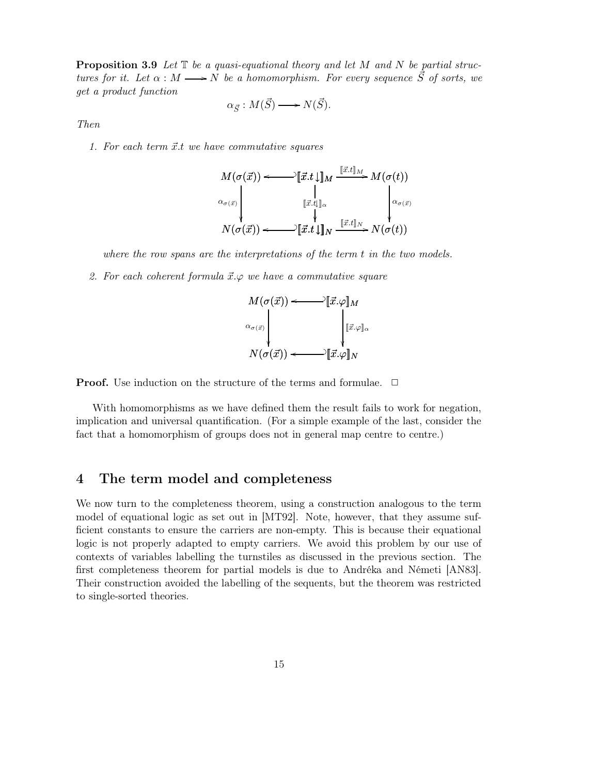**Proposition 3.9** Let  $\mathbb T$  be a quasi-equational theory and let M and N be partial structures for it. Let  $\alpha : M \longrightarrow N$  be a homomorphism. For every sequence  $\hat{\vec{S}}$  of sorts, we get a product function

$$
\alpha_{\vec{S}} : M(\vec{S}) \longrightarrow N(\vec{S}).
$$

Then

1. For each term  $\vec{x}.t$  we have commutative squares



where the row spans are the interpretations of the term t in the two models.

2. For each coherent formula  $\vec{x}.\varphi$  we have a commutative square



**Proof.** Use induction on the structure of the terms and formulae.  $\Box$ 

With homomorphisms as we have defined them the result fails to work for negation, implication and universal quantification. (For a simple example of the last, consider the fact that a homomorphism of groups does not in general map centre to centre.)

### 4 The term model and completeness

We now turn to the completeness theorem, using a construction analogous to the term model of equational logic as set out in [MT92]. Note, however, that they assume sufficient constants to ensure the carriers are non-empty. This is because their equational logic is not properly adapted to empty carriers. We avoid this problem by our use of contexts of variables labelling the turnstiles as discussed in the previous section. The first completeness theorem for partial models is due to Andréka and Németi [AN83]. Their construction avoided the labelling of the sequents, but the theorem was restricted to single-sorted theories.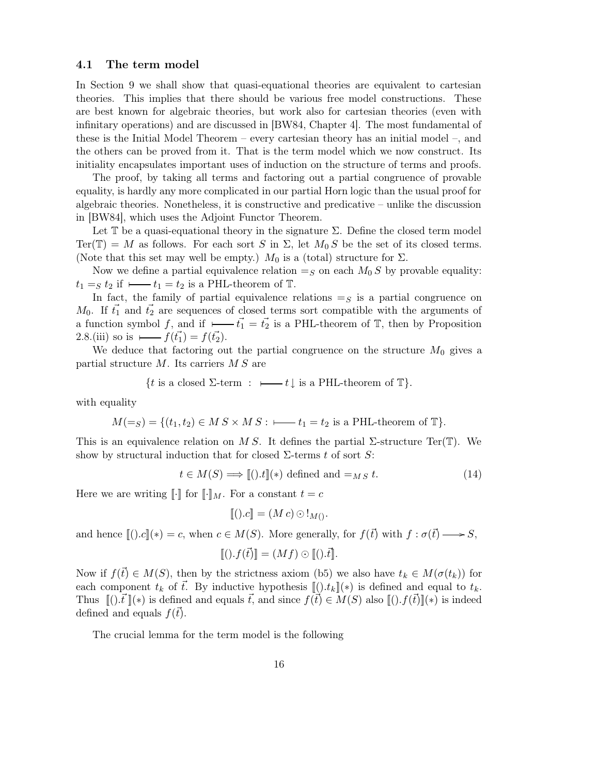### 4.1 The term model

In Section 9 we shall show that quasi-equational theories are equivalent to cartesian theories. This implies that there should be various free model constructions. These are best known for algebraic theories, but work also for cartesian theories (even with infinitary operations) and are discussed in [BW84, Chapter 4]. The most fundamental of these is the Initial Model Theorem – every cartesian theory has an initial model –, and the others can be proved from it. That is the term model which we now construct. Its initiality encapsulates important uses of induction on the structure of terms and proofs.

The proof, by taking all terms and factoring out a partial congruence of provable equality, is hardly any more complicated in our partial Horn logic than the usual proof for algebraic theories. Nonetheless, it is constructive and predicative – unlike the discussion in [BW84], which uses the Adjoint Functor Theorem.

Let  $\mathbb T$  be a quasi-equational theory in the signature  $\Sigma$ . Define the closed term model Ter(T) = M as follows. For each sort S in  $\Sigma$ , let  $M_0 S$  be the set of its closed terms. (Note that this set may well be empty.)  $M_0$  is a (total) structure for  $\Sigma$ .

Now we define a partial equivalence relation  $=$  s on each  $M_0 S$  by provable equality:  $t_1 =_S t_2$  if  $\longleftarrow t_1 = t_2$  is a PHL-theorem of T.

In fact, the family of partial equivalence relations  $=$  s is a partial congruence on  $M_0$ . If  $\bar{t_1}$  and  $\bar{t_2}$  are sequences of closed terms sort compatible with the arguments of a function symbol f, and if  $\overline{t_1} = \overrightarrow{t_2}$  is a PHL-theorem of T, then by Proposition 2.8.(iii) so is  $\longleftarrow$   $f(\vec{t_1}) = f(\vec{t_2})$ .

We deduce that factoring out the partial congruence on the structure  $M_0$  gives a partial structure  $M$ . Its carriers  $M S$  are

$$
\{t \text{ is a closed $\Sigma$-term } : \ \longmapsto \hspace{-3mm} t \downarrow \text{ is a PHL-theorem of $\mathbb{T}$}\}.
$$

with equality

$$
M(=s) = \{(t_1, t_2) \in M \text{ } S \times M \text{ } S : \longmapsto t_1 = t_2 \text{ is a PHL-theorem of } \mathbb{T}\}.
$$

This is an equivalence relation on M S. It defines the partial  $\Sigma$ -structure Ter(T). We show by structural induction that for closed  $\Sigma$ -terms t of sort S:

$$
t \in M(S) \Longrightarrow [(.)t][(*) \text{ defined and } =_{MS} t. \tag{14}
$$

Here we are writing  $\llbracket \cdot \rrbracket$  for  $\llbracket \cdot \rrbracket_M$ . For a constant  $t = c$ 

$$
\llbracket (\cdot).c\rrbracket = (M\,c) \odot !_{M(\cdot)}.
$$

and hence  $[(\cdot, c](*) = c$ , when  $c \in M(S)$ . More generally, for  $f(\vec{t})$  with  $f : \sigma(\vec{t}) \longrightarrow S$ ,

$$
[[(.).f(\vec{t})] = (Mf) \odot [[(.).\vec{t}].
$$

Now if  $f(\vec{t}) \in M(S)$ , then by the strictness axiom (b5) we also have  $t_k \in M(\sigma(t_k))$  for each component  $t_k$  of  $\vec{t}$ . By inductive hypothesis  $[(\cdot, t_k](*)$  is defined and equal to  $t_k$ . Thus  $[(\cdot), \vec{t}]$  |(\*) is defined and equals  $\vec{t}$ , and since  $f(\vec{t}) \in M(S)$  also  $[(\cdot), f(\vec{t})](*)$  is indeed defined and equals  $f(\vec{t})$ .

The crucial lemma for the term model is the following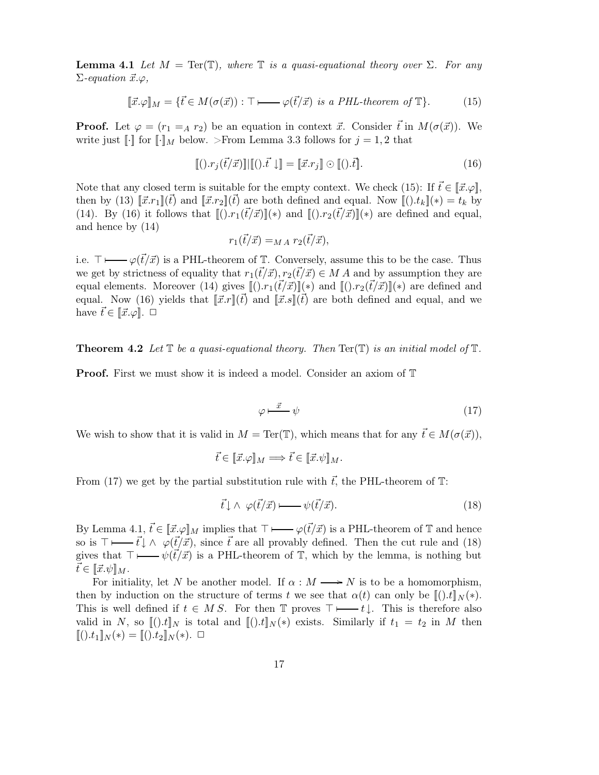**Lemma 4.1** Let  $M = \text{Ter}(\mathbb{T})$ , where  $\mathbb{T}$  is a quasi-equational theory over  $\Sigma$ . For any  $\Sigma$ -equation  $\vec{x}.\varphi$ ,

$$
[\![\vec{x}.\varphi]\!]_M = \{\vec{t} \in M(\sigma(\vec{x})): \top \longmapsto \varphi(\vec{t}/\vec{x}) \text{ is a PHL-theorem of } \mathbb{T}\}. \tag{15}
$$

**Proof.** Let  $\varphi = (r_1 =_A r_2)$  be an equation in context  $\vec{x}$ . Consider  $\vec{t}$  in  $M(\sigma(\vec{x}))$ . We write just  $[\![\cdot]\!]$  for  $[\![\cdot]\!]_M$  below. >From Lemma 3.3 follows for  $j = 1, 2$  that

$$
\llbracket (\cdot), r_j(\vec{t}/\vec{x}) \rrbracket | \llbracket (\cdot), \vec{t} \rrbracket = \llbracket \vec{x}. r_j \rrbracket \odot \llbracket (\cdot), \vec{t} \rrbracket. \tag{16}
$$

Note that any closed term is suitable for the empty context. We check (15): If  $\vec{t} \in [\vec{x} \cdot \varphi]$ , then by (13)  $\[\vec{x}.r_1\](\vec{t})$  and  $\[\vec{x}.r_2\](\vec{t})$  are both defined and equal. Now  $\[(\cdot,t_k](*)=t_k\]$ (14). By (16) it follows that  $\llbracket(.)r_1(\vec{t}/\vec{x})\rrbracket(*)$  and  $\llbracket(.)r_2(\vec{t}/\vec{x})\rrbracket(*)$  are defined and equal, and hence by (14)

$$
r_1(\vec{t}/\vec{x}) =_{MA} r_2(\vec{t}/\vec{x}),
$$

i.e.  $\top \longmapsto \varphi(\vec{t}/\vec{x})$  is a PHL-theorem of  $\mathbb{T}$ . Conversely, assume this to be the case. Thus we get by strictness of equality that  $r_1(\vec{t}/\vec{x}), r_2(\vec{t}/\vec{x}) \in M A$  and by assumption they are equal elements. Moreover (14) gives  $[().r_1(\vec{t}/\vec{x})](*)$  and  $[().r_2(\vec{t}/\vec{x})](*)$  are defined and equal. Now (16) yields that  $\llbracket \vec{x}.r \rrbracket(\vec{t})$  and  $\llbracket \vec{x}.s \rrbracket(\vec{t})$  are both defined and equal, and we have  $\vec{t} \in [\![\vec{x} \cdot \varphi]\!]$ .  $\Box$ 

**Theorem 4.2** Let  $\mathbb{T}$  be a quasi-equational theory. Then  $\text{Ter}(\mathbb{T})$  is an initial model of  $\mathbb{T}$ .

**Proof.** First we must show it is indeed a model. Consider an axiom of  $\mathbb{T}$ 

$$
\varphi \xrightarrow{\vec{x}} \psi \tag{17}
$$

We wish to show that it is valid in  $M = \text{Ter}(\mathbb{T})$ , which means that for any  $\vec{t} \in M(\sigma(\vec{x}))$ ,

$$
\vec{t} \in [\![\vec{x}.\varphi]\!]_M \Longrightarrow \vec{t} \in [\![\vec{x}.\psi]\!]_M.
$$

From (17) we get by the partial substitution rule with  $\vec{t}$ , the PHL-theorem of T:

$$
\vec{t} \downarrow \wedge \varphi(\vec{t}/\vec{x}) \longmapsto \psi(\vec{t}/\vec{x}). \tag{18}
$$

By Lemma 4.1,  $\vec{t} \in [\![\vec{x} \cdot \varphi]\!]_M$  implies that  $\top \longmapsto \varphi(\vec{t}/\vec{x})$  is a PHL-theorem of  $\mathbb T$  and hence so is  $\top \longleftarrow \vec{t} \downarrow \wedge \varphi(\vec{t}/\vec{x})$ , since  $\vec{t}$  are all provably defined. Then the cut rule and (18) gives that  $\top \longmapsto \psi(\vec{t}/\vec{x})$  is a PHL-theorem of  $\mathbb{T}$ , which by the lemma, is nothing but  $t \in \llbracket \vec{x}.\psi \rrbracket_M.$ 

For initiality, let N be another model. If  $\alpha : M \longrightarrow N$  is to be a homomorphism, then by induction on the structure of terms t we see that  $\alpha(t)$  can only be  $[(\cdot,t]_N(*).$ This is well defined if  $t \in MS$ . For then  $\mathbb T$  proves  $\top \longmapsto t \downarrow$ . This is therefore also  $\overline{a}$ valid in N, so  $[(\cdot,t]_N$  is total and  $[(\cdot,t]_N(*)$  exists. Similarly if  $t_1 = t_2$  in M then  $[(\cdot).t_1]_N(*) = [(.\cdot.t_2]_N(*)$ .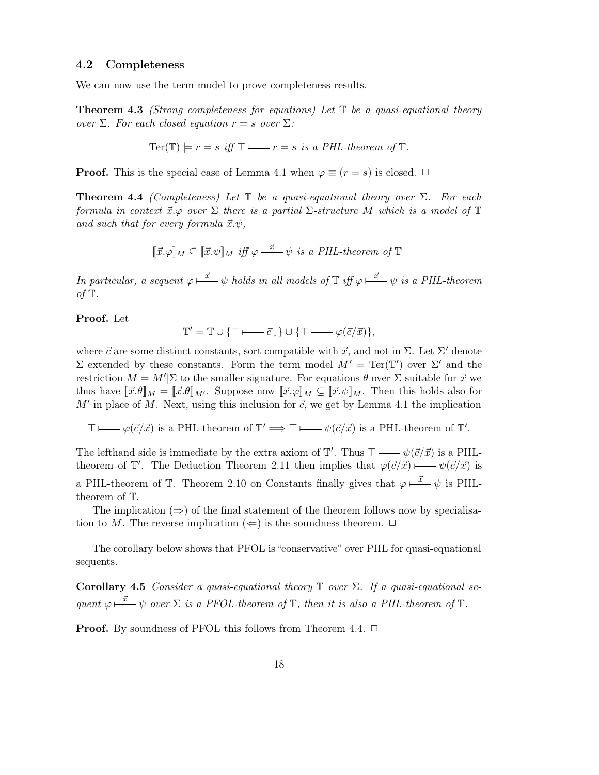#### 4.2 Completeness

We can now use the term model to prove completeness results.

**Theorem 4.3** (Strong completeness for equations) Let  $\mathbb{T}$  be a quasi-equational theory over  $\Sigma$ . For each closed equation  $r = s$  over  $\Sigma$ :

$$
Ter(\mathbb{T}) \models r = s \text{ iff } \top \longmapsto r = s \text{ is a PHL-theorem of } \mathbb{T}.
$$

**Proof.** This is the special case of Lemma 4.1 when  $\varphi \equiv (r = s)$  is closed.  $\Box$ 

**Theorem 4.4** (Completeness) Let  $\mathbb{T}$  be a quasi-equational theory over  $\Sigma$ . For each formula in context  $\vec{x}.\varphi$  over  $\Sigma$  there is a partial  $\Sigma$ -structure M which is a model of  $\mathbb T$ and such that for every formula  $\vec{x}.\psi$ ,

$$
[\![\vec{x}.\varphi]\!]_M \subseteq [\![\vec{x}.\psi]\!]_M
$$
 iff  $\varphi \vdash^{\vec{x}} \psi$  is a PHL-theorem of  $\mathbb{T}$ 

In particular, a sequent  $\varphi \mapsto \psi$  holds in all models of  $\mathbb{T}$  iff  $\varphi \mapsto \psi$  is a PHL-theorem of T.

Proof. Let

$$
\mathbb{T}' = \mathbb{T} \cup \{ \top \longmapsto \vec{c} \downarrow \} \cup \{ \top \longmapsto \varphi(\vec{c}/\vec{x}) \},
$$

where  $\vec{c}$  are some distinct constants, sort compatible with  $\vec{x}$ , and not in  $\Sigma$ . Let  $\Sigma'$  denote Σ extended by these constants. Form the term model  $M' = \text{Ter}(\mathbb{T}')$  over Σ' and the restriction  $M = M'|\Sigma$  to the smaller signature. For equations  $\theta$  over  $\Sigma$  suitable for  $\vec{x}$  we thus have  $[\![\vec{x}.\theta]\!]_M = [\![\vec{x}.\theta]\!]_{M'}$ . Suppose now  $[\![\vec{x}.\varphi]\!]_M \subseteq [\![\vec{x}.\psi]\!]_M$ . Then this holds also for  $M'$  in place of M. Next, using this inclusion for  $\vec{c}$ , we get by Lemma 4.1 the implication

 $\top \longmapsto \varphi(\vec{c}/\vec{x})$  is a PHL-theorem of  $\mathbb{T}' \Longrightarrow \top \longmapsto \psi(\vec{c}/\vec{x})$  is a PHL-theorem of  $\mathbb{T}'$ .

The lefthand side is immediate by the extra axiom of  $\mathbb{T}'$ . Thus  $\top \longmapsto \psi(\vec{c}/\vec{x})$  is a PHLtheorem of  $\mathbb{T}'$ . The Deduction Theorem 2.11 then implies that  $\varphi(\vec{c}/\vec{x}) \longmapsto \psi(\vec{c}/\vec{x})$  is a PHL-theorem of T. Theorem 2.10 on Constants finally gives that  $\varphi \mapsto \psi$  is PHLtheorem of T.

The implication  $(\Rightarrow)$  of the final statement of the theorem follows now by specialisation to M. The reverse implication  $(\Leftarrow)$  is the soundness theorem.  $\Box$ 

The corollary below shows that PFOL is "conservative" over PHL for quasi-equational sequents.

Corollary 4.5 Consider a quasi-equational theory  $\mathbb T$  over  $\Sigma$ . If a quasi-equational sequent  $\varphi \xrightarrow{\vec{x}} \psi$  over  $\Sigma$  is a PFOL-theorem of  $\mathbb{T}$ , then it is also a PHL-theorem of  $\mathbb{T}$ .

**Proof.** By soundness of PFOL this follows from Theorem 4.4.  $\Box$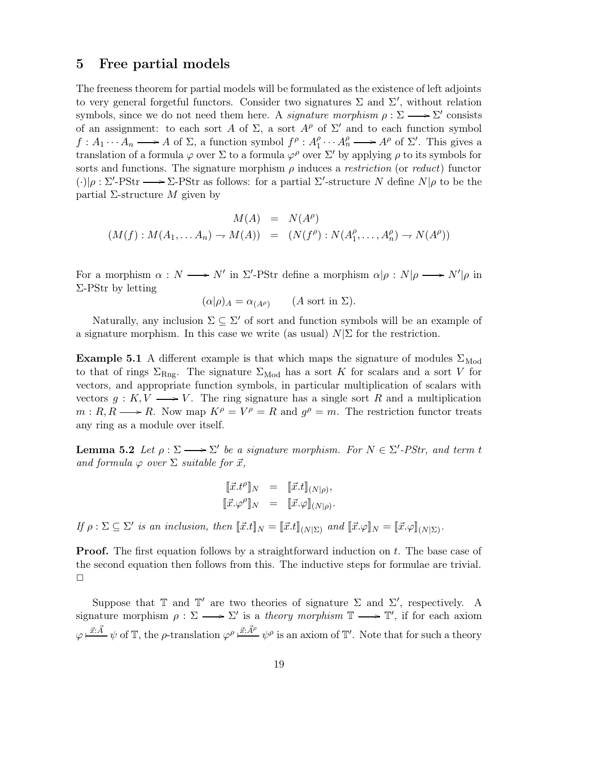### 5 Free partial models

The freeness theorem for partial models will be formulated as the existence of left adjoints to very general forgetful functors. Consider two signatures  $\Sigma$  and  $\Sigma'$ , without relation symbols, since we do not need them here. A *signature morphism*  $\rho : \Sigma \longrightarrow \Sigma'$  consists of an assignment: to each sort A of  $\Sigma$ , a sort  $A^{\rho}$  of  $\Sigma'$  and to each function symbol  $f: A_1 \cdots A_n \longrightarrow A$  of  $\Sigma$ , a function symbol  $f^{\rho}: A_1^{\rho}$  $A_1^{\rho} \longrightarrow A^{\rho}$  of  $\Sigma'$ . This gives a translation of a formula  $\varphi$  over  $\Sigma$  to a formula  $\varphi^{\rho}$  over  $\Sigma'$  by applying  $\rho$  to its symbols for sorts and functions. The signature morphism  $\rho$  induces a *restriction* (or *reduct*) functor  $(\cdot)|\rho : \Sigma'$ -PStr  $\longrightarrow$  Σ-PStr as follows: for a partial  $\Sigma'$ -structure N define  $N|\rho$  to be the partial  $\Sigma$ -structure M given by

$$
M(A) = N(A^{\rho})
$$
  

$$
(M(f) : M(A_1, ..., A_n) \to M(A)) = (N(f^{\rho}) : N(A_1^{\rho}, ..., A_n^{\rho}) \to N(A^{\rho}))
$$

For a morphism  $\alpha : N \longrightarrow N'$  in  $\Sigma'$ -PStr define a morphism  $\alpha | \rho : N | \rho \longrightarrow N' | \rho$  in Σ-PStr by letting

$$
(\alpha|\rho)_A = \alpha_{(A^{\rho})} \qquad (A \text{ sort in } \Sigma).
$$

Naturally, any inclusion  $\Sigma \subseteq \Sigma'$  of sort and function symbols will be an example of a signature morphism. In this case we write (as usual)  $N(\Sigma)$  for the restriction.

**Example 5.1** A different example is that which maps the signature of modules  $\Sigma_{\text{Mod}}$ to that of rings  $\Sigma_{\text{Rng}}$ . The signature  $\Sigma_{\text{Mod}}$  has a sort K for scalars and a sort V for vectors, and appropriate function symbols, in particular multiplication of scalars with vectors  $g: K, V \longrightarrow V$ . The ring signature has a single sort R and a multiplication  $m: R, R \longrightarrow R$ . Now map  $K^{\rho} = V^{\rho} = R$  and  $g^{\rho} = m$ . The restriction functor treats any ring as a module over itself.

**Lemma 5.2** Let  $\rho : \Sigma \longrightarrow \Sigma'$  be a signature morphism. For  $N \in \Sigma'$ -PStr, and term t and formula  $\varphi$  over  $\Sigma$  suitable for  $\vec{x}$ ,

$$
\begin{aligned}\n\llbracket \vec{x} . t^{\rho} \rrbracket_N &= \llbracket \vec{x} . t \rrbracket_{(N|\rho)}, \\
\llbracket \vec{x} . \varphi^{\rho} \rrbracket_N &= \llbracket \vec{x} . \varphi \rrbracket_{(N|\rho)}.\n\end{aligned}
$$

If  $\rho : \Sigma \subseteq \Sigma'$  is an inclusion, then  $[\![\vec{x}.t]\!]_N = [\![\vec{x}.t]\!]_{(N|\Sigma)}$  and  $[\![\vec{x}.\varphi]\!]_N = [\![\vec{x}.\varphi]\!]_{(N|\Sigma)}$ .

**Proof.** The first equation follows by a straightforward induction on t. The base case of the second equation then follows from this. The inductive steps for formulae are trivial.  $\Box$ 

Suppose that  $\mathbb T$  and  $\mathbb T'$  are two theories of signature  $\Sigma$  and  $\Sigma'$ , respectively. A signature morphism  $\rho : \Sigma \longrightarrow \Sigma'$  is a *theory morphism*  $\mathbb{T} \longrightarrow \mathbb{T}'$ , if for each axiom  $\varphi \mapsto \vec{x} : \vec{A}^{\rho} \downarrow \vec{b} \text{ and } \varphi \in \vec{A}$  is an axiom of  $\mathbb{T}'$ . Note that for such a theory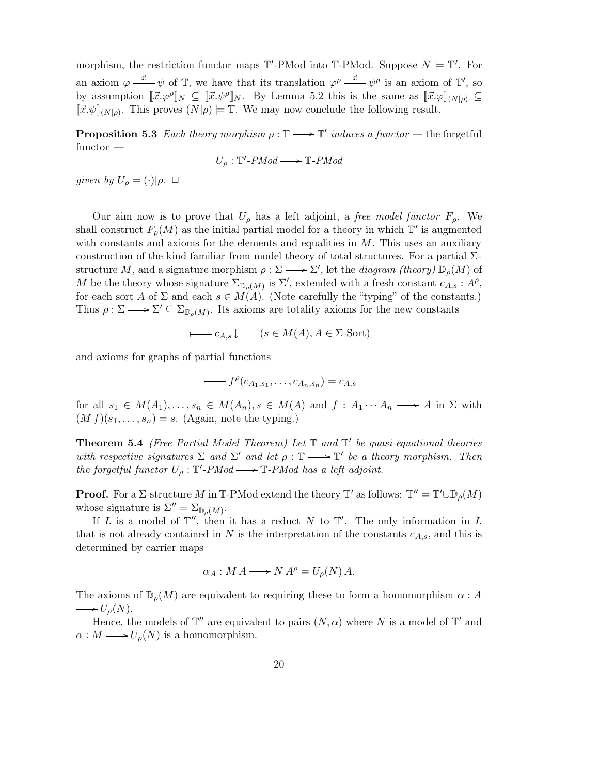morphism, the restriction functor maps  $\mathbb{T}'$ -PMod into T-PMod. Suppose  $N \models \mathbb{T}'$ . For an axiom  $\varphi \mapsto \psi$  of  $\mathbb{T}$ , we have that its translation  $\varphi^{\rho} \mapsto \psi^{\rho}$  is an axiom of  $\mathbb{T}'$ , so by assumption  $[\![\vec{x}.\varphi^\rho]\!]_N \subseteq [\![\vec{x}.\psi^\rho]\!]_N$ . By Lemma 5.2 this is the same as  $[\![\vec{x}.\varphi]\!]_{(N|\rho)} \subseteq$  $[\![\vec{x}. \psi]\!]_{(N|\rho)}$ . This proves  $(N|\rho) \models \mathbb{T}$ . We may now conclude the following result.

**Proposition 5.3** Each theory morphism  $\rho : \mathbb{T} \longrightarrow \mathbb{T}'$  induces a functor — the forgetful functor —

$$
U_{\rho} : \mathbb{T}'\text{-}PMod \longrightarrow \mathbb{T}\text{-}PMod
$$

given by  $U_{\rho} = (\cdot)|\rho$ .  $\Box$ 

Our aim now is to prove that  $U_{\rho}$  has a left adjoint, a free model functor  $F_{\rho}$ . We shall construct  $F_{\rho}(M)$  as the initial partial model for a theory in which  $\mathbb{T}'$  is augmented with constants and axioms for the elements and equalities in  $M$ . This uses an auxiliary construction of the kind familiar from model theory of total structures. For a partial  $\Sigma$ structure M, and a signature morphism  $\rho : \Sigma \longrightarrow \Sigma'$ , let the *diagram (theory)*  $\mathbb{D}_{\rho}(M)$  of M be the theory whose signature  $\Sigma_{\mathbb{D}_{\rho}(M)}$  is  $\Sigma'$ , extended with a fresh constant  $c_{A,s}: A^{\rho}$ , for each sort A of  $\Sigma$  and each  $s \in M(A)$ . (Note carefully the "typing" of the constants.) Thus  $\rho : \Sigma \longrightarrow \Sigma' \subseteq \Sigma_{\mathbb{D}_{\rho}(M)}$ . Its axioms are totality axioms for the new constants

$$
\longleftarrow c_{A,s} \downarrow \qquad (s \in M(A), A \in \Sigma\text{-Sort})
$$

and axioms for graphs of partial functions

$$
\longleftarrow f^{\rho}(c_{A_1,s_1},\ldots,c_{A_n,s_n})=c_{A,s}
$$

for all  $s_1 \in M(A_1), \ldots, s_n \in M(A_n), s \in M(A)$  and  $f : A_1 \cdots A_n \longrightarrow A$  in  $\Sigma$  with  $(M f)(s_1, \ldots, s_n) = s.$  (Again, note the typing.)

**Theorem 5.4** (Free Partial Model Theorem) Let  $\mathbb{T}$  and  $\mathbb{T}'$  be quasi-equational theories with respective signatures  $\Sigma$  and  $\Sigma'$  and let  $\rho : \mathbb{T} \longrightarrow \mathbb{T}'$  be a theory morphism. Then the forgetful functor  $U_{\rho} : \mathbb{T}'$ -PMod  $\longrightarrow \mathbb{T}$ -PMod has a left adjoint.

**Proof.** For a  $\Sigma$ -structure M in T-PMod extend the theory T' as follows:  $\mathbb{T}'' = \mathbb{T}' \cup \mathbb{D}_{\rho}(M)$ whose signature is  $\Sigma'' = \Sigma_{\mathbb{D}_{\rho}(M)}$ .

If L is a model of  $\mathbb{T}''$ , then it has a reduct N to  $\mathbb{T}'$ . The only information in L that is not already contained in N is the interpretation of the constants  $c_{A,s}$ , and this is determined by carrier maps

$$
\alpha_A: M A \longrightarrow N A^{\rho} = U_{\rho}(N) A.
$$

The axioms of  $\mathbb{D}_{\rho}(M)$  are equivalent to requiring these to form a homomorphism  $\alpha : A$  $\rightarrow U_{\rho}(N)$ .

Hence, the models of  $\mathbb{T}''$  are equivalent to pairs  $(N, \alpha)$  where N is a model of  $\mathbb{T}'$  and  $\alpha : M \longrightarrow U_{\rho}(N)$  is a homomorphism.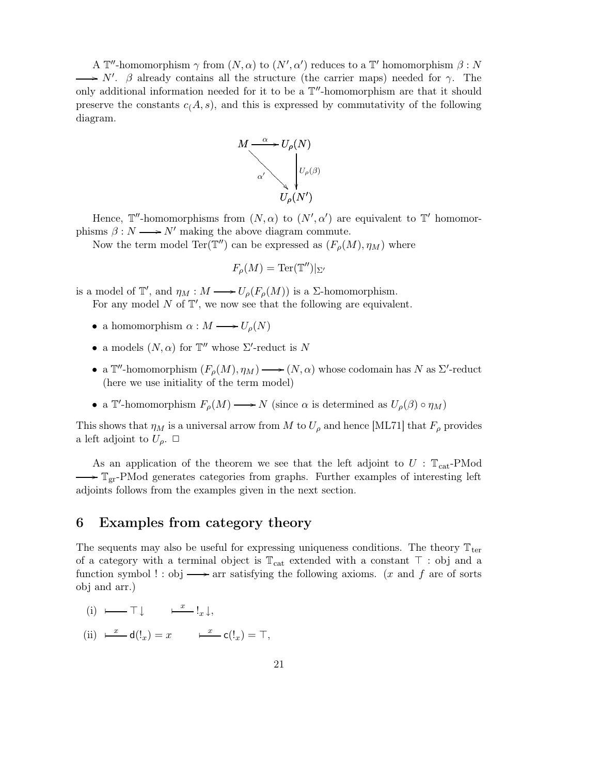A  $\mathbb{T}''$ -homomorphism  $\gamma$  from  $(N, \alpha)$  to  $(N', \alpha')$  reduces to a  $\mathbb{T}'$  homomorphism  $\beta : N$  $N'.\ \beta$  already contains all the structure (the carrier maps) needed for  $\gamma$ . The only additional information needed for it to be a  $\mathbb{T}''$ -homomorphism are that it should preserve the constants  $c(A, s)$ , and this is expressed by commutativity of the following diagram.



Hence,  $\mathbb{T}''$ -homomorphisms from  $(N, \alpha)$  to  $(N', \alpha')$  are equivalent to  $\mathbb{T}'$  homomorphisms  $\beta : N \longrightarrow N'$  making the above diagram commute.

Now the term model Ter( $\mathbb{T}''$ ) can be expressed as  $(F_{\rho}(M), \eta_M)$  where

$$
F_{\rho}(M) = \text{Ter}(\mathbb{T}'')|_{\Sigma'}
$$

is a model of  $\mathbb{T}'$ , and  $\eta_M : M \longrightarrow U_\rho(F_\rho(M))$  is a  $\Sigma$ -homomorphism.

For any model  $N$  of  $\mathbb{T}'$ , we now see that the following are equivalent.

- a homomorphism  $\alpha : M \longrightarrow U_o(N)$
- a models  $(N, \alpha)$  for  $\mathbb{T}''$  whose  $\Sigma'$ -reduct is N
- a  $\mathbb{T}''$ -homomorphism  $(F_{\rho}(M), \eta_M) \longrightarrow (N, \alpha)$  whose codomain has N as  $\Sigma'$ -reduct (here we use initiality of the term model)
- a T'-homomorphism  $F_{\rho}(M) \longrightarrow N$  (since  $\alpha$  is determined as  $U_{\rho}(\beta) \circ \eta_M$ )

This shows that  $\eta_M$  is a universal arrow from M to  $U_\rho$  and hence [ML71] that  $F_\rho$  provides a left adjoint to  $U_{\rho}$ .  $\Box$ 

As an application of the theorem we see that the left adjoint to  $U : \mathbb{T}_{cat}$ -PMod  $\longrightarrow$  T<sub>gr</sub>-PMod generates categories from graphs. Further examples of interesting left adjoints follows from the examples given in the next section.

### 6 Examples from category theory

The sequents may also be useful for expressing uniqueness conditions. The theory  $\mathbb{T}_{\text{ter}}$ of a category with a terminal object is  $\mathbb{T}_{cat}$  extended with a constant  $\top$ : obj and a function symbol ! : obj  $\longrightarrow$  arr satisfying the following axioms. (x and f are of sorts obj and arr.)

(i) 
$$
\longleftarrow \top \downarrow \qquad \longleftarrow x \downarrow,
$$

(ii)  $\frac{x}{x} \mathsf{d}(\mathsf{l}_x) = x$   $\frac{x}{x} \mathsf{c}(\mathsf{l}_x) = \top,$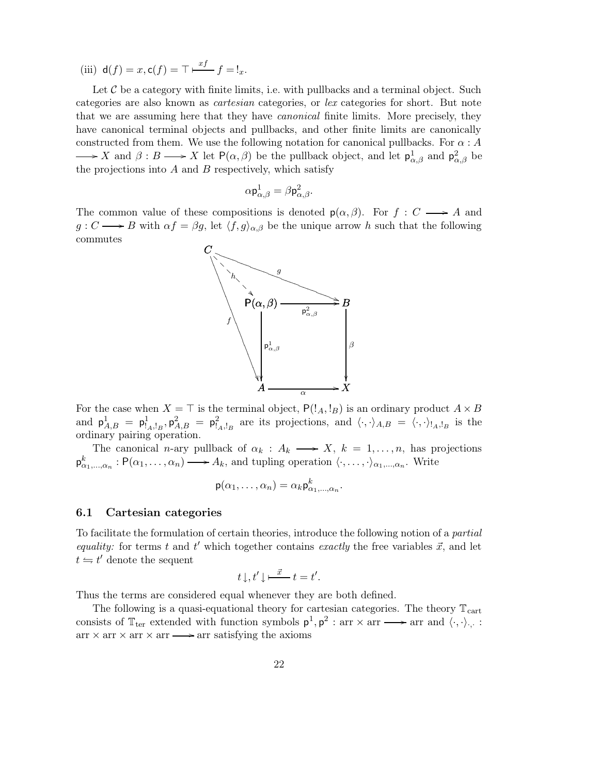(iii)  $d(f) = x, c(f) = \top \frac{xf}{f} = I_x.$  $\vdash$ 

Let  $\mathcal C$  be a category with finite limits, i.e. with pullbacks and a terminal object. Such categories are also known as cartesian categories, or lex categories for short. But note that we are assuming here that they have canonical finite limits. More precisely, they have canonical terminal objects and pullbacks, and other finite limits are canonically constructed from them. We use the following notation for canonical pullbacks. For  $\alpha$  : A X and  $\beta: B \longrightarrow X$  let  $P(\alpha, \beta)$  be the pullback object, and let  $p^1_{\alpha, \beta}$  and  $p^2_{\alpha, \beta}$  be the projections into  $A$  and  $B$  respectively, which satisfy

$$
\alpha \mathsf{p}^1_{\alpha,\beta} = \beta \mathsf{p}^2_{\alpha,\beta}.
$$

The common value of these compositions is denoted  $p(\alpha, \beta)$ . For  $f : C \longrightarrow A$  and  $g: C \longrightarrow B$  with  $\alpha f = \beta g$ , let  $\langle f, g \rangle_{\alpha, \beta}$  be the unique arrow h such that the following commutes



For the case when  $X = \top$  is the terminal object,  $P($ ! $_A$ , ! $_B)$  is an ordinary product  $A \times B$ and  $p_{A,B}^1 = p_{A,B}^1$ ,  $p_{A,B}^2 = p_{A,B}^2$  are its projections, and  $\langle \cdot, \cdot \rangle_{A,B} = \langle \cdot, \cdot \rangle_{A,B}$  is the ordinary pairing operation.

The canonical *n*-ary pullback of  $\alpha_k$ :  $A_k \longrightarrow X$ ,  $k = 1, ..., n$ , has projections  $\mathsf{p}^k_{\alpha_1,\dots,\alpha_n} : \mathsf{P}(\alpha_1,\dots,\alpha_n) \longrightarrow A_k$ , and tupling operation  $\langle \cdot,\dots,\cdot \rangle_{\alpha_1,\dots,\alpha_n}$ . Write

$$
\mathsf{p}(\alpha_1,\ldots,\alpha_n)=\alpha_k\mathsf{p}^k_{\alpha_1,\ldots,\alpha_n}.
$$

#### 6.1 Cartesian categories

To facilitate the formulation of certain theories, introduce the following notion of a partial equality: for terms t and t' which together contains exactly the free variables  $\vec{x}$ , and let  $t \leftrightharpoons t'$  denote the sequent

$$
t \downarrow, t' \downarrow \longmapsto \frac{\vec{x}}{t} = t'.
$$

Thus the terms are considered equal whenever they are both defined.

The following is a quasi-equational theory for cartesian categories. The theory  $\mathbb{T}_{\text{cart}}$ consists of  $\mathbb{T}_{\text{ter}}$  extended with function symbols  $p^1, p^2 : \text{arr} \times \text{arr} \longrightarrow \text{arr}$  and  $\langle \cdot, \cdot \rangle_{\cdot, \cdot}$ :  $\text{arr} \times \text{arr} \times \text{arr} \times \text{arr} \longrightarrow \text{arr satisfying the axioms}$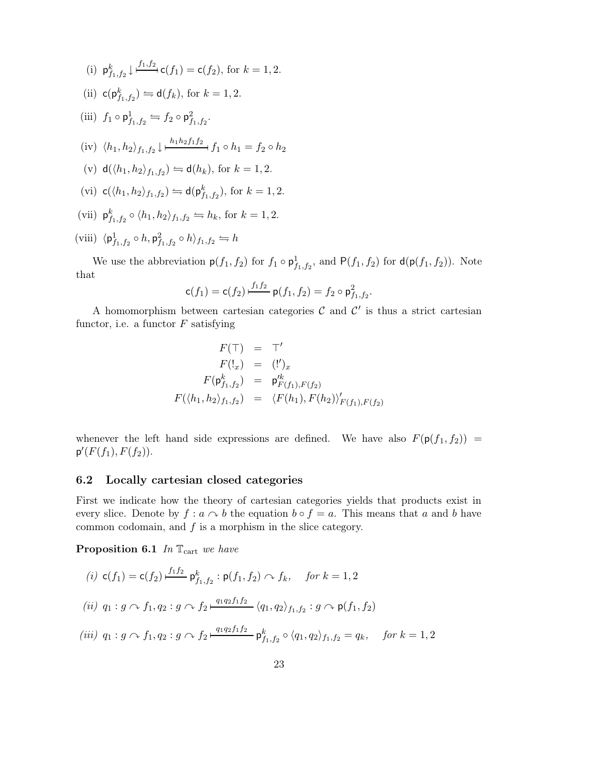(i) 
$$
p_{f_1, f_2}^k \downarrow \frac{f_1, f_2}{\cdot} c(f_1) = c(f_2)
$$
, for  $k = 1, 2$ .  
\n(ii)  $c(p_{f_1, f_2}^k) \rightleftharpoons d(f_k)$ , for  $k = 1, 2$ .  
\n(iii)  $f_1 \circ p_{f_1, f_2}^1 \rightleftharpoons f_2 \circ p_{f_1, f_2}^2$ .  
\n(iv)  $\langle h_1, h_2 \rangle_{f_1, f_2} \downarrow \frac{h_1 h_2 f_1 f_2}{\cdot} f_1 \circ h_1 = f_2 \circ h_2$   
\n(v)  $d(\langle h_1, h_2 \rangle_{f_1, f_2}) \rightleftharpoons d(h_k)$ , for  $k = 1, 2$ .  
\n(vi)  $c(\langle h_1, h_2 \rangle_{f_1, f_2}) \rightleftharpoons d(p_{f_1, f_2}^k)$ , for  $k = 1, 2$ .  
\n(vii)  $p_{f_1, f_2}^k \circ \langle h_1, h_2 \rangle_{f_1, f_2} \rightleftharpoons h_k$ , for  $k = 1, 2$ .  
\n(viii)  $\langle p_{f_1, f_2}^1 \circ h, p_{f_1, f_2}^2 \circ h \rangle_{f_1, f_2} \rightleftharpoons h$ 

We use the abbreviation  $p(f_1, f_2)$  for  $f_1 \circ p_{f_1, f_2}^1$ , and  $P(f_1, f_2)$  for  $d(p(f_1, f_2))$ . Note that

$$
\mathsf{c}(f_1) = \mathsf{c}(f_2) \xrightarrow{f_1 f_2} \mathsf{p}(f_1, f_2) = f_2 \circ \mathsf{p}_{f_1, f_2}^2.
$$

A homomorphism between cartesian categories  $\mathcal C$  and  $\mathcal C'$  is thus a strict cartesian functor, i.e. a functor  $F$  satisfying

$$
F(\top) = \top'
$$
  
\n
$$
F(!x) = (!')x
$$
  
\n
$$
F(\mathsf{p}_{f_1,f_2}^k) = \mathsf{p}_{F(f_1),F(f_2)}'^k
$$
  
\n
$$
F(\langle h_1, h_2 \rangle_{f_1,f_2}) = \langle F(h_1), F(h_2) \rangle'_{F(f_1),F(f_2)}
$$

whenever the left hand side expressions are defined. We have also  $F(p(f_1, f_2))$  =  $p'(F(f_1), F(f_2)).$ 

### 6.2 Locally cartesian closed categories

First we indicate how the theory of cartesian categories yields that products exist in every slice. Denote by  $f : a \cap b$  the equation  $b \circ f = a$ . This means that a and b have common codomain, and  $f$  is a morphism in the slice category.

**Proposition 6.1** In  $\mathbb{T}_{\text{cart}}$  we have

(i) 
$$
\mathbf{c}(f_1) = \mathbf{c}(f_2) \frac{f_1 f_2}{\mathbf{p}_{f_1, f_2}^k} \mathbf{p}_{f_1, f_2}^k : \mathbf{p}(f_1, f_2) \curvearrowright f_k, \quad \text{for } k = 1, 2
$$
  
\n(ii)  $q_1 : g \curvearrowright f_1, q_2 : g \curvearrowright f_2 \xrightarrow{q_1 q_2 f_1 f_2} \langle q_1, q_2 \rangle_{f_1, f_2} : g \curvearrowright \mathbf{p}(f_1, f_2)$   
\n(iii)  $q_1 : g \curvearrowright f_1, q_2 : g \curvearrowright f_2 \xrightarrow{q_1 q_2 f_1 f_2} \mathbf{p}_{f_1, f_2}^k \circ \langle q_1, q_2 \rangle_{f_1, f_2} = q_k, \quad \text{for } k = 1, 2$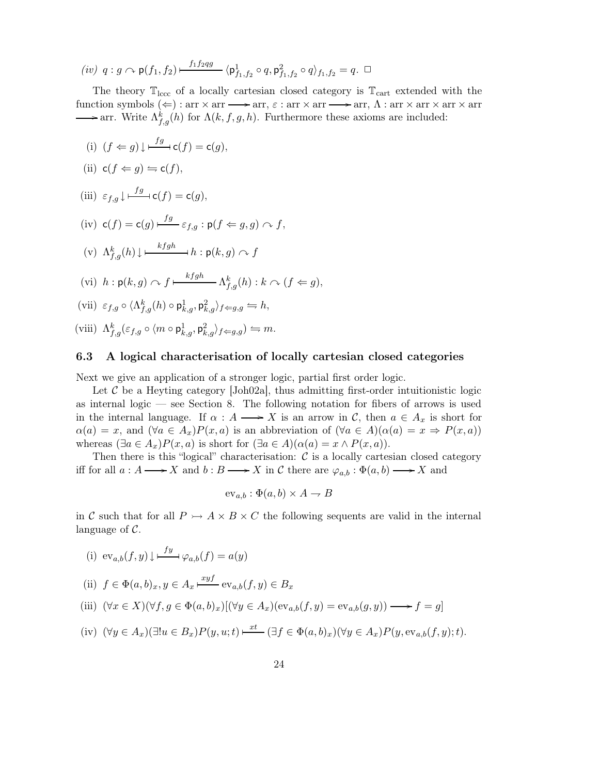$$
(iv) \ q : g \curvearrowright \mathsf{p}(f_1, f_2) \xrightarrow{f_1 f_2 q g} \langle \mathsf{p}^1_{f_1, f_2} \circ q, \mathsf{p}^2_{f_1, f_2} \circ q \rangle_{f_1, f_2} = q. \ \ \Box
$$

The theory  $\mathbb{T}_{\text{Lccc}}$  of a locally cartesian closed category is  $\mathbb{T}_{\text{cart}}$  extended with the function symbols  $(\Leftarrow)$ : arr  $\times$  arr $\longrightarrow$  arr,  $\varepsilon$ : arr  $\times$  arr $\longrightarrow$  arr,  $\Lambda$ : arr  $\times$  arr  $\times$  arr  $\times$  arr arr. Write  $\Lambda_{f,g}^k(h)$  for  $\Lambda(k,f,g,h)$ . Furthermore these axioms are included:

(i) 
$$
(f \Leftarrow g) \downarrow \xrightarrow{fg} c(f) = c(g),
$$

$$
\text{(ii)}\;\;\mathbf{c}(f\Leftarrow g)\leftrightharpoons\mathbf{c}(f),
$$

(iii) 
$$
\varepsilon_{f,g} \downarrow \frac{fg}{\longrightarrow} c(f) = c(g),
$$

(iv) 
$$
\mathbf{c}(f) = \mathbf{c}(g) \xrightarrow{fg} \varepsilon_{f,g} : \mathbf{p}(f \Leftarrow g, g) \curvearrowright f
$$
,

(v) 
$$
\Lambda_{f,g}^k(h) \downarrow \xrightarrow{kfgh} h : \mathbf{p}(k,g) \curvearrowright f
$$
  
\n(vi)  $h : \mathbf{p}(k,g) \curvearrowright f \xrightarrow{kfgh} \Lambda_{f,g}^k(h) : k \curvearrowright (f \Leftarrow g),$   
\n(vii)  $\varepsilon_{f,g} \circ \langle \Lambda_{f,g}^k(h) \circ \mathbf{p}_{k,g}^1, \mathbf{p}_{k,g}^2 \rangle_{f \Leftarrow g,g} \Leftarrow h,$ 

(viii) 
$$
\Lambda^k_{f,g}(\varepsilon_{f,g} \circ \langle m \circ \mathsf{p}^1_{k,g}, \mathsf{p}^2_{k,g} \rangle_{f \Leftarrow g,g}) \leftrightharpoons m.
$$

### 6.3 A logical characterisation of locally cartesian closed categories

Next we give an application of a stronger logic, partial first order logic.

Let  $\mathcal C$  be a Heyting category [Joh02a], thus admitting first-order intuitionistic logic as internal logic — see Section 8. The following notation for fibers of arrows is used in the internal language. If  $\alpha : A \longrightarrow X$  is an arrow in C, then  $a \in A_x$  is short for  $\alpha(a) = x$ , and  $(\forall a \in A_x) P(x, a)$  is an abbreviation of  $(\forall a \in A)(\alpha(a) = x \Rightarrow P(x, a))$ whereas  $(\exists a \in A_x) P(x, a)$  is short for  $(\exists a \in A)(\alpha(a) = x \wedge P(x, a))$ .

Then there is this "logical" characterisation:  $\mathcal C$  is a locally cartesian closed category iff for all  $a : A \longrightarrow X$  and  $b : B \longrightarrow X$  in C there are  $\varphi_{a,b} : \Phi(a, b) \longrightarrow X$  and

$$
ev_{a,b} : \Phi(a,b) \times A \to B
$$

in C such that for all  $P \rightarrow A \times B \times C$  the following sequents are valid in the internal language of  $\mathcal{C}$ .

(i) 
$$
\operatorname{ev}_{a,b}(f, y) \downarrow \xrightarrow{fy} \varphi_{a,b}(f) = a(y)
$$

(ii) 
$$
f \in \Phi(a, b)_x, y \in A_x \xrightarrow{xyf} \text{ev}_{a,b}(f, y) \in B_x
$$

(iii) 
$$
(\forall x \in X)(\forall f, g \in \Phi(a, b)_x)[(\forall y \in A_x)(ev_{a,b}(f, y) = ev_{a,b}(g, y)) \longrightarrow f = g]
$$

(iv) 
$$
(\forall y \in A_x)(\exists! u \in B_x)P(y, u; t) \xrightarrow{xt} (\exists f \in \Phi(a, b)_x)(\forall y \in A_x)P(y, \text{ev}_{a, b}(f, y); t).
$$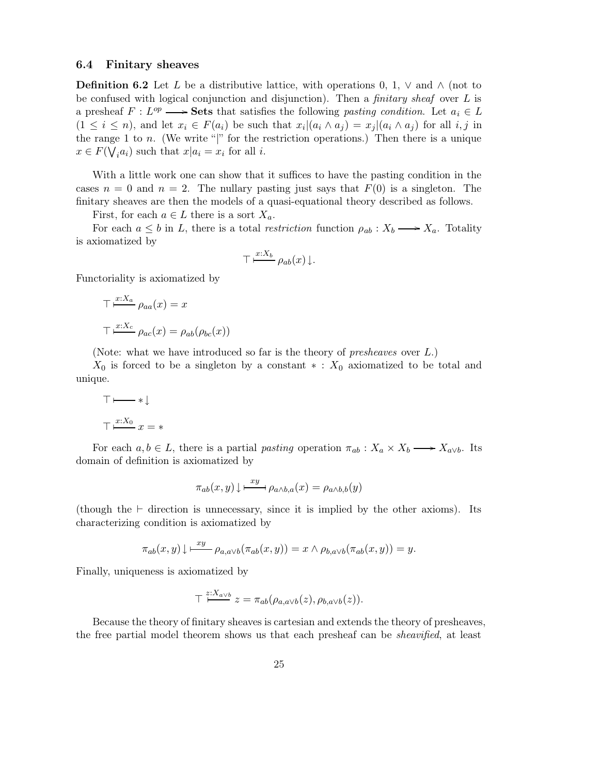#### 6.4 Finitary sheaves

**Definition 6.2** Let L be a distributive lattice, with operations 0, 1,  $\vee$  and  $\wedge$  (not to be confused with logical conjunction and disjunction). Then a *finitary sheaf* over  $L$  is a presheaf  $F: L^{op} \longrightarrow$  Sets that satisfies the following pasting condition. Let  $a_i \in L$  $(1 \leq i \leq n)$ , and let  $x_i \in F(a_i)$  be such that  $x_i|(a_i \wedge a_j) = x_j|(a_i \wedge a_j)$  for all  $i, j$  in the range 1 to n. (We write "|" for the restriction operations.) Then there is a unique  $x \in F(\bigvee_i a_i)$  such that  $x|a_i = x_i$  for all *i*.

With a little work one can show that it suffices to have the pasting condition in the cases  $n = 0$  and  $n = 2$ . The nullary pasting just says that  $F(0)$  is a singleton. The finitary sheaves are then the models of a quasi-equational theory described as follows.

First, for each  $a \in L$  there is a sort  $X_a$ .

For each  $a \leq b$  in L, there is a total restriction function  $\rho_{ab} : X_b \longrightarrow X_a$ . Totality is axiomatized by

$$
\top \stackrel{x:X_b}{\longmapsto} \rho_{ab}(x) \downarrow.
$$

Functoriality is axiomatized by

$$
\top \frac{x:X_a}{\sqrt{2\pi}} \rho_{aa}(x) = x
$$

$$
\top \frac{x:X_c}{\sqrt{2\pi}} \rho_{ac}(x) = \rho_{ab}(\rho_{bc}(x))
$$

(Note: what we have introduced so far is the theory of *presheaves* over L.)

 $X_0$  is forced to be a singleton by a constant  $* : X_0$  axiomatized to be total and unique.

$$
\top \longmapsto *\downarrow
$$

$$
\top \xrightarrow{x:X_0} x = *
$$

For each  $a, b \in L$ , there is a partial pasting operation  $\pi_{ab}: X_a \times X_b \longrightarrow X_{a \vee b}$ . Its domain of definition is axiomatized by

$$
\pi_{ab}(x,y) \downarrow \xrightarrow{xy} \rho_{a \wedge b,a}(x) = \rho_{a \wedge b,b}(y)
$$

(though the  $\vdash$  direction is unnecessary, since it is implied by the other axioms). Its characterizing condition is axiomatized by

$$
\pi_{ab}(x,y)\downarrow \frac{xy}{\sqrt{2\pi}}\rho_{a,a\vee b}(\pi_{ab}(x,y))=x\wedge \rho_{b,a\vee b}(\pi_{ab}(x,y))=y.
$$

Finally, uniqueness is axiomatized by

$$
\top \stackrel{z:X_{a\vee b}}{\vdash} z = \pi_{ab}(\rho_{a,a\vee b}(z), \rho_{b,a\vee b}(z)).
$$

Because the theory of finitary sheaves is cartesian and extends the theory of presheaves, the free partial model theorem shows us that each presheaf can be sheavified, at least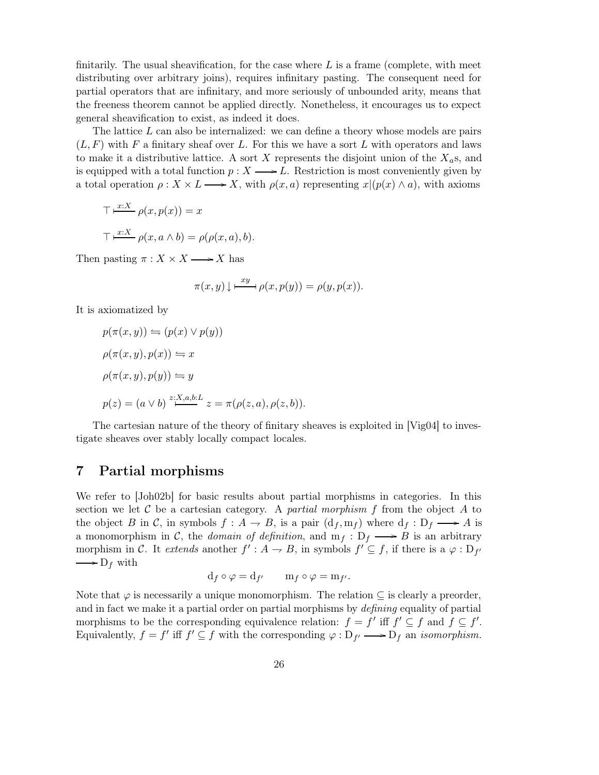finitarily. The usual sheavification, for the case where  $L$  is a frame (complete, with meet distributing over arbitrary joins), requires infinitary pasting. The consequent need for partial operators that are infinitary, and more seriously of unbounded arity, means that the freeness theorem cannot be applied directly. Nonetheless, it encourages us to expect general sheavification to exist, as indeed it does.

The lattice  $L$  can also be internalized: we can define a theory whose models are pairs  $(L, F)$  with F a finitary sheaf over L. For this we have a sort L with operators and laws to make it a distributive lattice. A sort X represents the disjoint union of the  $X_a$ s, and is equipped with a total function  $p : X \longrightarrow L$ . Restriction is most conveniently given by a total operation  $\rho: X \times L \longrightarrow X$ , with  $\rho(x, a)$  representing  $x|p(x) \wedge a$ , with axioms

$$
\top \xrightarrow{x:X} \rho(x, p(x)) = x
$$
  

$$
\top \xrightarrow{x:X} \rho(x, a \wedge b) = \rho(\rho(x, a), b).
$$

Then pasting  $\pi : X \times X \longrightarrow X$  has

$$
\pi(x, y) \downarrow \xrightarrow{xy} \rho(x, p(y)) = \rho(y, p(x)).
$$

It is axiomatized by

$$
p(\pi(x, y)) \Leftrightarrow (p(x) \lor p(y))
$$
  
\n
$$
\rho(\pi(x, y), p(x)) \Leftrightarrow x
$$
  
\n
$$
\rho(\pi(x, y), p(y)) \Leftrightarrow y
$$
  
\n
$$
p(z) = (a \lor b) \stackrel{z:X,a,b:L}{\sim} z = \pi(\rho(z, a), \rho(z, b)).
$$

The cartesian nature of the theory of finitary sheaves is exploited in [Vig04] to investigate sheaves over stably locally compact locales.

### 7 Partial morphisms

We refer to [Joh02b] for basic results about partial morphisms in categories. In this section we let C be a cartesian category. A partial morphism f from the object A to the object B in C, in symbols  $f: A \to B$ , is a pair  $(d_f, m_f)$  where  $d_f: D_f \longrightarrow A$  is a monomorphism in C, the *domain of definition*, and  $m_f: D_f \longrightarrow B$  is an arbitrary morphism in C. It extends another  $f': A \to B$ , in symbols  $f' \subseteq f$ , if there is a  $\varphi : D_{f'}$  $\longrightarrow$  D<sub>f</sub> with

$$
\mathrm{d}_f\circ\varphi=\mathrm{d}_{f'}\qquad\mathrm{m}_f\circ\varphi=\mathrm{m}_{f'}.
$$

Note that  $\varphi$  is necessarily a unique monomorphism. The relation  $\subseteq$  is clearly a preorder, and in fact we make it a partial order on partial morphisms by defining equality of partial morphisms to be the corresponding equivalence relation:  $f = f'$  iff  $f' \subseteq f$  and  $f \subseteq f'$ . Equivalently,  $f = f'$  iff  $f' \subseteq f$  with the corresponding  $\varphi : D_{f'} \longrightarrow D_f$  an *isomorphism*.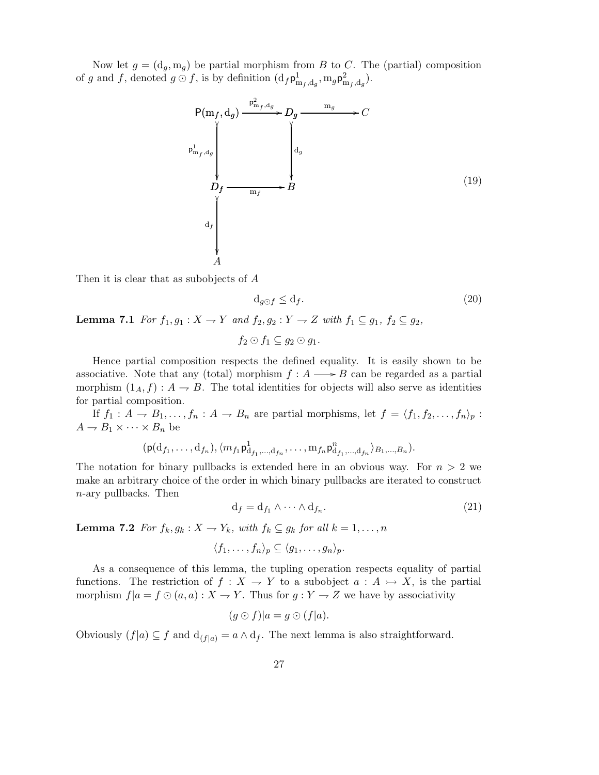Now let  $g = (d_q, m_q)$  be partial morphism from B to C. The (partial) composition of g and f, denoted  $g \odot f$ , is by definition  $(\mathrm{d}_f \mathsf{p}^1_{\mathrm{m}_f, \mathrm{d}_g}, \mathrm{m}_g \mathsf{p}^2_{\mathrm{m}_f, \mathrm{d}_g})$ .



Then it is clear that as subobjects of A

$$
d_{g \odot f} \leq d_f. \tag{20}
$$

**Lemma 7.1** For  $f_1, g_1 : X \to Y$  and  $f_2, g_2 : Y \to Z$  with  $f_1 \subseteq g_1, f_2 \subseteq g_2$ ,

$$
f_2\odot f_1\subseteq g_2\odot g_1.
$$

Hence partial composition respects the defined equality. It is easily shown to be associative. Note that any (total) morphism  $f : A \longrightarrow B$  can be regarded as a partial morphism  $(1_A, f) : A \to B$ . The total identities for objects will also serve as identities for partial composition.

If  $f_1: A \to B_1, \ldots, f_n: A \to B_n$  are partial morphisms, let  $f = \langle f_1, f_2, \ldots, f_n \rangle_p$ :  $A \rightarrow B_1 \times \cdots \times B_n$  be

$$
(\mathsf{p}(\mathrm{d}_{f_1},\ldots,\mathrm{d}_{f_n}),\langle m_{f_1} \mathsf{p}^1_{\mathrm{d}_{f_1},\ldots,\mathrm{d}_{f_n}},\ldots,m_{f_n} \mathsf{p}^n_{\mathrm{d}_{f_1},\ldots,\mathrm{d}_{f_n}}\rangle_{B_1,\ldots,B_n}).
$$

The notation for binary pullbacks is extended here in an obvious way. For  $n > 2$  we make an arbitrary choice of the order in which binary pullbacks are iterated to construct n-ary pullbacks. Then

$$
\mathbf{d}_f = \mathbf{d}_{f_1} \wedge \dots \wedge \mathbf{d}_{f_n}.\tag{21}
$$

**Lemma 7.2** For  $f_k, g_k : X \to Y_k$ , with  $f_k \subseteq g_k$  for all  $k = 1, \ldots, n$ 

$$
\langle f_1,\ldots,f_n\rangle_p\subseteq\langle g_1,\ldots,g_n\rangle_p.
$$

As a consequence of this lemma, the tupling operation respects equality of partial functions. The restriction of  $f : X \to Y$  to a subobject  $a : A \to X$ , is the partial morphism  $f|a = f \odot (a, a) : X \rightarrow Y$ . Thus for  $g: Y \rightarrow Z$  we have by associativity

$$
(g \odot f)|a = g \odot (f|a).
$$

Obviously  $(f|a) \subseteq f$  and  $d_{(f|a)} = a \wedge d_f$ . The next lemma is also straightforward.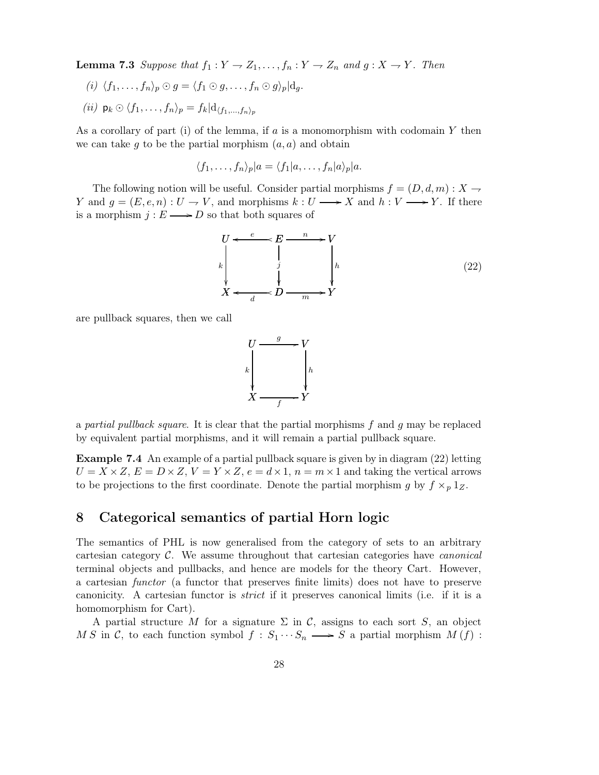**Lemma 7.3** Suppose that  $f_1: Y \to Z_1, \ldots, f_n: Y \to Z_n$  and  $g: X \to Y$ . Then

- (i)  $\langle f_1, \ldots, f_n \rangle_p \odot g = \langle f_1 \odot g, \ldots, f_n \odot g \rangle_p | d_g.$
- (ii)  $p_k \odot \langle f_1, \ldots, f_n \rangle_p = f_k|d_{\langle f_1, \ldots, f_n \rangle_p}$

As a corollary of part (i) of the lemma, if  $a$  is a monomorphism with codomain Y then we can take g to be the partial morphism  $(a, a)$  and obtain

$$
\langle f_1,\ldots,f_n\rangle_p|a=\langle f_1|a,\ldots,f_n|a\rangle_p|a.
$$

The following notion will be useful. Consider partial morphisms  $f = (D, d, m) : X \rightarrow$ Y and  $g = (E, e, n) : U \to V$ , and morphisms  $k : U \longrightarrow X$  and  $h : V \longrightarrow Y$ . If there is a morphism  $j : E \longrightarrow D$  so that both squares of



are pullback squares, then we call



a partial pullback square. It is clear that the partial morphisms  $f$  and  $g$  may be replaced by equivalent partial morphisms, and it will remain a partial pullback square.

Example 7.4 An example of a partial pullback square is given by in diagram (22) letting  $U = X \times Z, E = D \times Z, V = Y \times Z, e = d \times 1, n = m \times 1$  and taking the vertical arrows to be projections to the first coordinate. Denote the partial morphism g by  $f \times_p 1_Z$ .

## 8 Categorical semantics of partial Horn logic

The semantics of PHL is now generalised from the category of sets to an arbitrary cartesian category  $\mathcal{C}$ . We assume throughout that cartesian categories have *canonical* terminal objects and pullbacks, and hence are models for the theory Cart. However, a cartesian functor (a functor that preserves finite limits) does not have to preserve canonicity. A cartesian functor is strict if it preserves canonical limits (i.e. if it is a homomorphism for Cart).

A partial structure M for a signature  $\Sigma$  in C, assigns to each sort S, an object M S in C, to each function symbol  $f: S_1 \cdots S_n \longrightarrow S$  a partial morphism  $M(f)$ :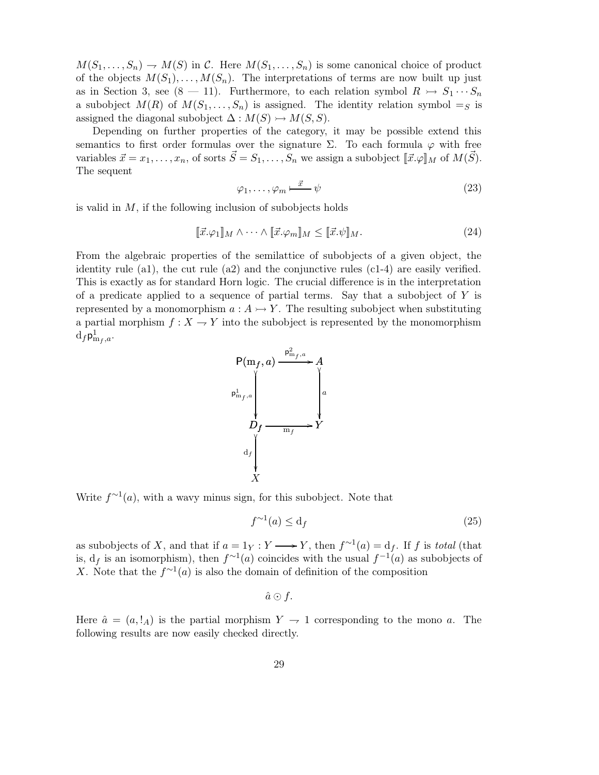$M(S_1, \ldots, S_n) \to M(S)$  in C. Here  $M(S_1, \ldots, S_n)$  is some canonical choice of product of the objects  $M(S_1), \ldots, M(S_n)$ . The interpretations of terms are now built up just as in Section 3, see  $(8 - 11)$ . Furthermore, to each relation symbol  $R \rightarrow S_1 \cdots S_n$ a subobject  $M(R)$  of  $M(S_1, \ldots, S_n)$  is assigned. The identity relation symbol  $=_S$  is assigned the diagonal subobject  $\Delta : M(S) \rightarrow M(S, S)$ .

Depending on further properties of the category, it may be possible extend this semantics to first order formulas over the signature  $\Sigma$ . To each formula  $\varphi$  with free variables  $\vec{x} = x_1, \ldots, x_n$ , of sorts  $\vec{S} = S_1, \ldots, S_n$  we assign a subobject  $[\![\vec{x} \cdot \varphi]\!]_M$  of  $M(\vec{S})$ . The sequent

$$
\varphi_1, \ldots, \varphi_m \xrightarrow{\vec{x}} \psi \tag{23}
$$

is valid in  $M$ , if the following inclusion of subobjects holds

$$
\llbracket \vec{x} \cdot \varphi_1 \rrbracket_M \wedge \dots \wedge \llbracket \vec{x} \cdot \varphi_m \rrbracket_M \leq \llbracket \vec{x} \cdot \psi \rrbracket_M. \tag{24}
$$

From the algebraic properties of the semilattice of subobjects of a given object, the identity rule  $(a1)$ , the cut rule  $(a2)$  and the conjunctive rules  $(c1-4)$  are easily verified. This is exactly as for standard Horn logic. The crucial difference is in the interpretation of a predicate applied to a sequence of partial terms. Say that a subobject of  $Y$  is represented by a monomorphism  $a: A \rightarrow Y$ . The resulting subobject when substituting a partial morphism  $f: X \to Y$  into the subobject is represented by the monomorphism  $\mathrm{d}_f \mathsf{p}^1_{\mathrm{m}_f,a}.$ 



Write  $f^{\sim 1}(a)$ , with a wavy minus sign, for this subobject. Note that

$$
f^{\sim 1}(a) \le \mathbf{d}_f \tag{25}
$$

as subobjects of X, and that if  $a = 1_Y : Y \longrightarrow Y$ , then  $f^{\sim 1}(a) = d_f$ . If f is total (that is,  $d_f$  is an isomorphism), then  $f^{\sim 1}(a)$  coincides with the usual  $f^{-1}(a)$  as subobjects of X. Note that the  $f^{\sim 1}(a)$  is also the domain of definition of the composition

 $\hat{a} \odot f$ .

Here  $\hat{a} = (a, \mathbf{l}_A)$  is the partial morphism  $Y \to 1$  corresponding to the mono a. The following results are now easily checked directly.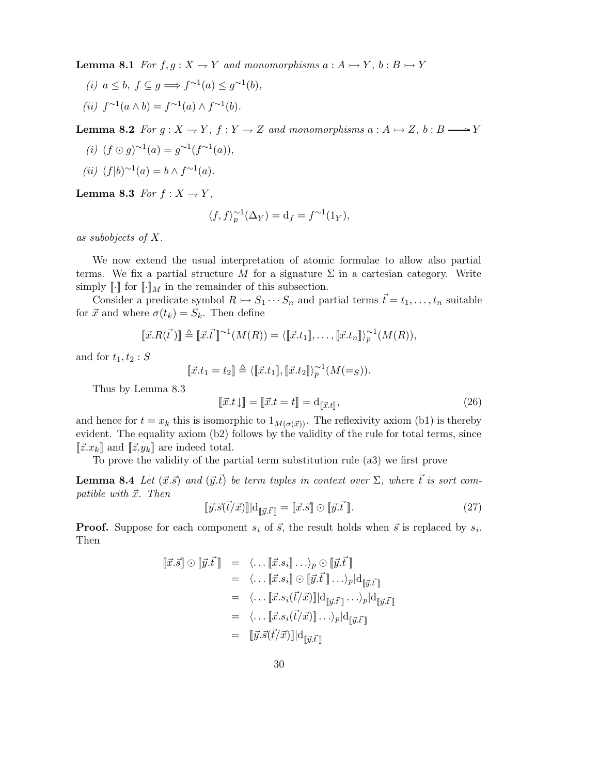**Lemma 8.1** For  $f, g: X \to Y$  and monomorphisms  $a: A \to Y$ ,  $b: B \to Y$ 

- (i)  $a \leq b, f \subseteq g \Longrightarrow f^{\sim 1}(a) \leq g^{\sim 1}(b)$ ,
- (*ii*)  $f^{\sim 1}(a \wedge b) = f^{\sim 1}(a) \wedge f^{\sim 1}(b)$ .

**Lemma 8.2** For  $g: X \to Y$ ,  $f: Y \to Z$  and monomorphisms  $a: A \mapsto Z$ ,  $b: B \longrightarrow Y$ 

- (i)  $(f \odot g)^{\sim 1}(a) = g^{\sim 1}(f^{\sim 1}(a)),$
- (ii)  $(f|b)^{\sim 1}(a) = b \wedge f^{\sim 1}(a)$ .

Lemma 8.3 For  $f: X \to Y$ ,

$$
\langle f, f \rangle_p^{\sim 1}(\Delta_Y) = d_f = f^{\sim 1}(1_Y),
$$

as subobjects of X.

We now extend the usual interpretation of atomic formulae to allow also partial terms. We fix a partial structure M for a signature  $\Sigma$  in a cartesian category. Write simply  $\llbracket \cdot \rrbracket$  for  $\llbracket \cdot \rrbracket_M$  in the remainder of this subsection.

Consider a predicate symbol  $R \rightarrow S_1 \cdots S_n$  and partial terms  $\vec{t} = t_1, \ldots, t_n$  suitable for  $\vec{x}$  and where  $\sigma(t_k) = S_k$ . Then define

$$
\llbracket \vec{x}.R(\vec{t}) \rrbracket \triangleq \llbracket \vec{x}.\vec{t} \rrbracket^{\sim 1}(M(R)) = \langle \llbracket \vec{x}.t_1 \rrbracket, \ldots, \llbracket \vec{x}.t_n \rrbracket \rangle_p^{\sim 1}(M(R)),
$$

and for  $t_1, t_2 : S$ 

$$
[\![\vec{x}.t_1 = t_2]\!] \triangleq \langle [\![\vec{x}.t_1]\!], [\![\vec{x}.t_2]\!] \rangle_p^{\sim 1}(M(=S)).
$$

Thus by Lemma 8.3

$$
\[\![\vec{x}.t\!\downarrow\!]\!] = [\![\vec{x}.t = t]\!] = \mathbf{d}_{\llbracket\vec{x}.t\rrbracket},\tag{26}
$$

and hence for  $t = x_k$  this is isomorphic to  $1_{M(\sigma(\vec{x}))}$ . The reflexivity axiom (b1) is thereby evident. The equality axiom (b2) follows by the validity of the rule for total terms, since  $\left[\vec{z}.x_k\right]$  and  $\left[\vec{z}.y_k\right]$  are indeed total.

To prove the validity of the partial term substitution rule (a3) we first prove

**Lemma 8.4** Let  $(\vec{x}.\vec{s})$  and  $(\vec{y}.\vec{t})$  be term tuples in context over  $\Sigma$ , where  $\vec{t}$  is sort compatible with  $\vec{x}$ . Then

$$
\llbracket \vec{y}.\vec{s}(\vec{t}/\vec{x}) \rrbracket |\mathbf{d}_{\llbracket \vec{y}.\vec{t} \rrbracket} = \llbracket \vec{x}.\vec{s} \rrbracket \odot \llbracket \vec{y}.\vec{t} \rrbracket. \tag{27}
$$

**Proof.** Suppose for each component  $s_i$  of  $\vec{s}$ , the result holds when  $\vec{s}$  is replaced by  $s_i$ . Then

$$
\begin{array}{rcl}\n[\![\vec{x}.\vec{s}]\!] \odot \llbracket \vec{y}.\vec{t}\!] & = & \langle \dots [\![\vec{x}.s_i]\!] \dots \rangle_p \odot \llbracket \vec{y}.\vec{t}\!] \\
& = & \langle \dots [\![\vec{x}.s_i]\!] \odot \llbracket \vec{y}.\vec{t}\!] \dots \rangle_p |\mathbf{d}_{\llbracket \vec{y}.\vec{t}\rrbracket} \\
& = & \langle \dots [\![\vec{x}.s_i(\vec{t}/\vec{x})]\!] | \mathbf{d}_{\llbracket \vec{y}.\vec{t}\rrbracket} \dots \rangle_p |\mathbf{d}_{\llbracket \vec{y}.\vec{t}\rrbracket} \\
& = & \langle \dots [\![\vec{x}.s_i(\vec{t}/\vec{x})]\!] \dots \rangle_p |\mathbf{d}_{\llbracket \vec{y}.\vec{t}\rrbracket} \\
& = & \llbracket \vec{y}.\vec{s}(\vec{t}/\vec{x}) \rrbracket |\mathbf{d}_{\llbracket \vec{y}.\vec{t}\rrbracket}\n\end{array}
$$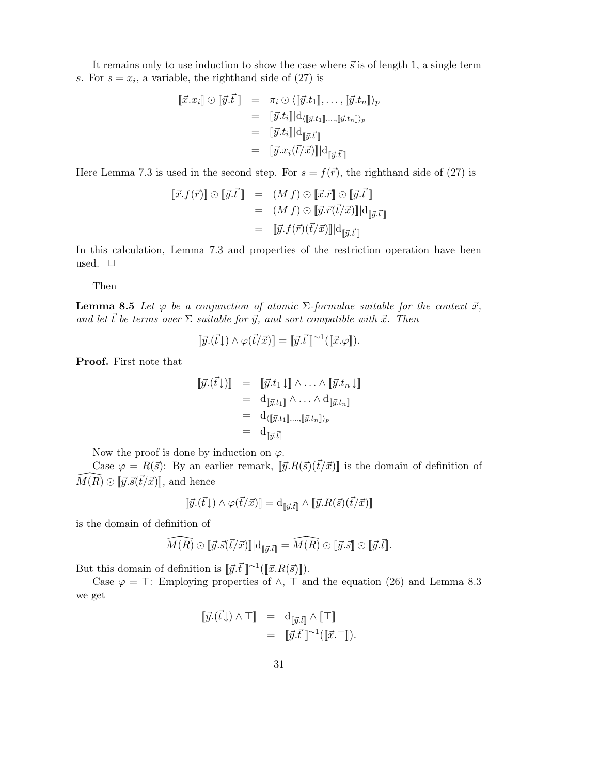It remains only to use induction to show the case where  $\vec{s}$  is of length 1, a single term s. For  $s = x_i$ , a variable, the righthand side of  $(27)$  is

$$
\begin{aligned}\n[\![\vec{x}.x_i]\!] \odot [\![\vec{y}.\vec{t}\!] \end{aligned} = \pi_i \odot \langle [\![\vec{y}.t_1]\!], \dots, [\![\vec{y}.t_n]\!] \rangle_p \\
= [\![\vec{y}.t_i]\!] \vert d_{\langle [\![\vec{y}.t_1]\!], \dots, [\![\vec{y}.t_n]\!] \rangle_p} \\
= [\![\vec{y}.t_i]\!] \vert d_{\langle [\![\vec{y}.\vec{t}\!] \rangle} \\
= [\![\vec{y}.x_i(\vec{t}/\vec{x})]\!] \vert d_{\langle [\![\vec{y}.\vec{t}\!] \rangle}
$$

Here Lemma 7.3 is used in the second step. For  $s = f(\vec{r})$ , the righthand side of (27) is

$$
\begin{array}{rcl}\n[\![\vec{x}.f(\vec{r})]\!] \odot [\![\vec{y}.\vec{t}\!] & = & (M \, f) \odot [\![\vec{x}.\vec{r}]\!] \odot [\![\vec{y}.\vec{t}\!] \\
& = & (M \, f) \odot [\![\vec{y}.\vec{r}(\vec{t}/\vec{x})]\!] \vert \mathrm{d}_{[\![\vec{y}.\vec{t}\!]} \\
& = & [\![\vec{y}.f(\vec{r})(\vec{t}/\vec{x})]\!] \vert \mathrm{d}_{[\![\vec{y}.\vec{t}\!]}\n\end{array}
$$

In this calculation, Lemma 7.3 and properties of the restriction operation have been used.  $\square$ 

Then

**Lemma 8.5** Let  $\varphi$  be a conjunction of atomic  $\Sigma$ -formulae suitable for the context  $\vec{x}$ , and let  $\vec{t}$  be terms over  $\Sigma$  suitable for  $\vec{y}$ , and sort compatible with  $\vec{x}$ . Then

$$
\llbracket \vec{y} \cdot (\vec{t} \downarrow) \wedge \varphi(\vec{t}/\vec{x}) \rrbracket = \llbracket \vec{y} \cdot \vec{t} \rrbracket^{\sim 1} (\llbracket \vec{x} \cdot \varphi \rrbracket).
$$

Proof. First note that

$$
\begin{array}{rcl}\n[\![\vec{y}.(\vec{t}\! \downarrow)]\!] & = & [\![\vec{y}.t_1 \downarrow]\!] \wedge \ldots \wedge [\![\vec{y}.t_n \downarrow]\!] \\
 & = & \mathrm{d}_{[\![\vec{y}.t_1]\!]}\wedge \ldots \wedge \mathrm{d}_{[\![\vec{y}.t_n]\!]} \\
 & = & \mathrm{d}_{\langle [\![\vec{y}.t_1]\!],\ldots,[\![\vec{y}.t_n]\!] \rangle_p} \\
 & = & \mathrm{d}_{[\![\vec{y}.\vec{t}]\!]}\n\end{array}
$$

Now the proof is done by induction on  $\varphi$ .

Case  $\varphi = R(\vec{s})$ : By an earlier remark,  $[\vec{y}.R(\vec{s})(\vec{t}/\vec{x})]$  is the domain of definition of  $\widehat{M(R)} \odot [\vec{y}.\vec{s}(\vec{t}/\vec{x})]$ , and hence

$$
[\![\vec{y}.(\vec{t}\! \downarrow) \land \varphi(\vec{t}/\vec{x})]\!] = \mathrm{d}_{[\![\vec{y}.\vec{t}]\!]} \land [\![\vec{y}.R(\vec{s})(\vec{t}/\vec{x})]\!]
$$

is the domain of definition of

$$
\widehat{M(R)} \odot [ \vec{y}.\vec{s}(\vec{t}/\vec{x}) ] | d_{[\vec{y}.\vec{t}]} = \widehat{M(R)} \odot [ \vec{y}.\vec{s} ] \odot [ \vec{y}.\vec{t} ].
$$

But this domain of definition is  $[\![\vec{y}.\vec{t}]\!]^{\sim 1}([\![\vec{x}.R(\vec{s})]\!]).$ 

Case  $\varphi = \top$ : Employing properties of  $\wedge$ ,  $\top$  and the equation (26) and Lemma 8.3 we get

$$
\begin{array}{rcl} \llbracket \vec{y}.(\vec{t}\!\downarrow) \wedge \top \rrbracket & = & \mathrm{d}_{\llbracket \vec{y}.\vec{t} \rrbracket} \wedge \llbracket \top \rrbracket \\ & = & \llbracket \vec{y}.\vec{t}\!\parallel^{\sim 1} (\llbracket \vec{x}. \top \rrbracket). \end{array}
$$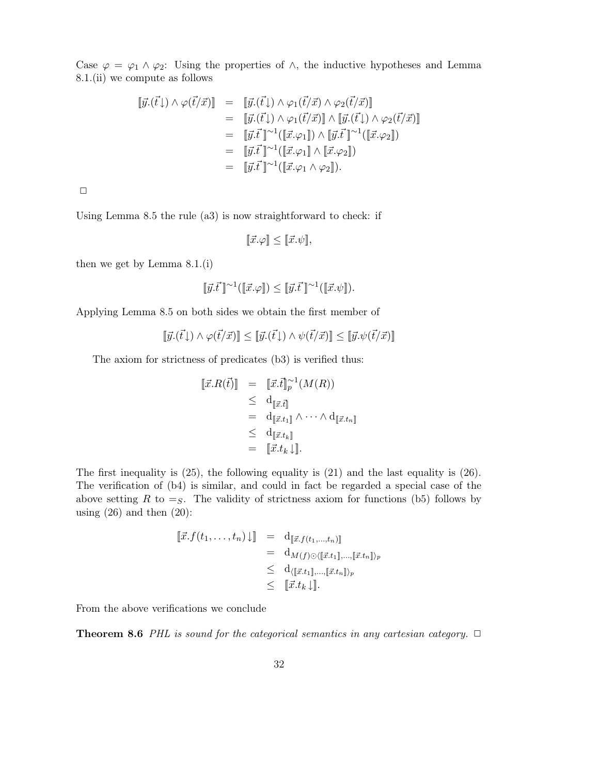Case  $\varphi = \varphi_1 \wedge \varphi_2$ : Using the properties of  $\wedge$ , the inductive hypotheses and Lemma 8.1.(ii) we compute as follows

$$
\begin{array}{rcl}\n[\![\vec{y}.(\vec{t}\! \downarrow) \land \varphi(\vec{t}/\vec{x})\!] & = & [\![\vec{y}.(\vec{t}\! \downarrow) \land \varphi_1(\vec{t}/\vec{x}) \land \varphi_2(\vec{t}/\vec{x})]\!] \\
& = & [\![\vec{y}.(\vec{t}\! \downarrow) \land \varphi_1(\vec{t}/\vec{x})\!] \land [\![\vec{y}.(\vec{t}\! \downarrow) \land \varphi_2(\vec{t}/\vec{x})]\!] \\
& = & [\![\vec{y}.\vec{t}\!]^{\sim 1}([\![\vec{x}.\varphi_1]\!]) \land [\![\vec{y}.\vec{t}\!]^{\sim 1}([\![\vec{x}.\varphi_2]\!]) \\
& = & [\![\vec{y}.\vec{t}\!]^{\sim 1}([\![\vec{x}.\varphi_1]\!] \land [\![\vec{x}.\varphi_2]\!]) \\
& = & [\![\vec{y}.\vec{t}\!]^{\sim 1}([\![\vec{x}.\varphi_1 \land \varphi_2]\!]).\n\end{array}
$$

 $\Box$ 

Using Lemma 8.5 the rule (a3) is now straightforward to check: if

$$
[\![\vec{x}.\varphi]\!] \le [\![\vec{x}.\psi]\!],
$$

then we get by Lemma 8.1.(i)

$$
[\![\vec{y}.\vec{t}\!]\!]^{\sim 1}([\![\vec{x}.\varphi]\!]) \leq [\![\vec{y}.\vec{t}\!]\!]^{\sim 1}([\![\vec{x}.\psi]\!]).
$$

Applying Lemma 8.5 on both sides we obtain the first member of

$$
[\![\vec{y}.(\vec{t}\! \downarrow) \land \varphi(\vec{t}/\vec{x})]\!] \leq [\![\vec{y}.(\vec{t}\! \downarrow) \land \psi(\vec{t}/\vec{x})]\!] \leq [\![\vec{y}. \psi(\vec{t}/\vec{x})]\!]
$$

The axiom for strictness of predicates (b3) is verified thus:

$$
\begin{array}{rcl}\n[\vec{x}.R(\vec{t})] & = & [\vec{x}.\vec{t}]_p^{\sim 1}(M(R)) \\
& \leq & \mathbf{d}_{[\vec{x}.\vec{t}]} \\
& = & \mathbf{d}_{[\vec{x}.t_1]} \wedge \cdots \wedge \mathbf{d}_{[\vec{x}.t_n]} \\
& \leq & \mathbf{d}_{[\vec{x}.t_k]} \\
& = & [\vec{x}.t_k \downarrow].\n\end{array}
$$

The first inequality is (25), the following equality is (21) and the last equality is (26). The verification of (b4) is similar, and could in fact be regarded a special case of the above setting R to  $=$ s. The validity of strictness axiom for functions (b5) follows by using  $(26)$  and then  $(20)$ :

$$
\begin{array}{rcl}\n\left[\vec{x}.f(t_1,\ldots,t_n)\downarrow\right] & = & \mathbf{d}_{\left[\vec{x}.f(t_1,\ldots,t_n)\right]} \\
& = & \mathbf{d}_{M(f)\odot\langle\left[\vec{x}.t_1\right],\ldots,\left[\vec{x}.t_n\right]\rangle_p} \\
& \leq & \mathbf{d}_{\langle\left[\vec{x}.t_1\right],\ldots,\left[\vec{x}.t_n\right]\rangle_p} \\
& \leq & \left[\vec{x}.t_k\downarrow\right].\n\end{array}
$$

From the above verifications we conclude

**Theorem 8.6** PHL is sound for the categorical semantics in any cartesian category.  $\Box$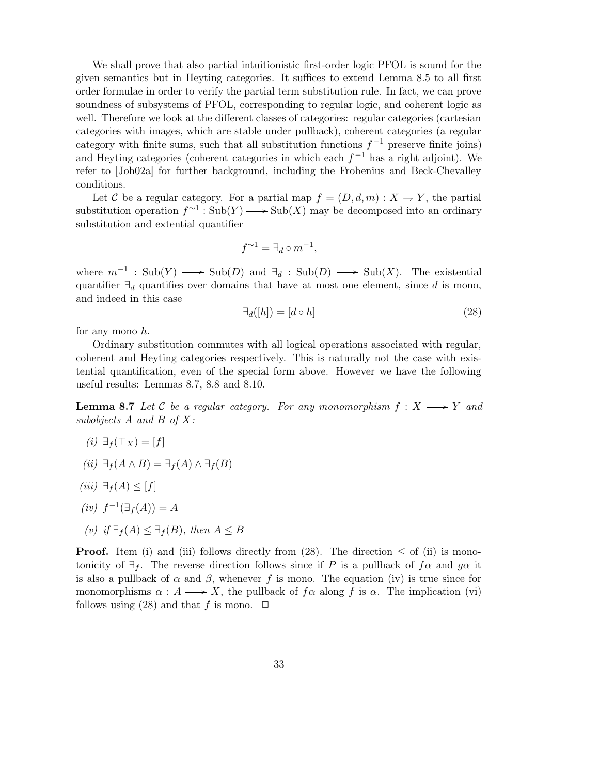We shall prove that also partial intuitionistic first-order logic PFOL is sound for the given semantics but in Heyting categories. It suffices to extend Lemma 8.5 to all first order formulae in order to verify the partial term substitution rule. In fact, we can prove soundness of subsystems of PFOL, corresponding to regular logic, and coherent logic as well. Therefore we look at the different classes of categories: regular categories (cartesian categories with images, which are stable under pullback), coherent categories (a regular category with finite sums, such that all substitution functions  $f^{-1}$  preserve finite joins) and Heyting categories (coherent categories in which each  $f^{-1}$  has a right adjoint). We refer to [Joh02a] for further background, including the Frobenius and Beck-Chevalley conditions.

Let C be a regular category. For a partial map  $f = (D, d, m) : X \to Y$ , the partial substitution operation  $f^{\sim 1}$ : Sub(Y) → Sub(X) may be decomposed into an ordinary substitution and extential quantifier

$$
f^{\sim 1} = \exists_d \circ m^{-1},
$$

where  $m^{-1}$ : Sub $(Y) \longrightarrow$  Sub $(D)$  and  $\exists_d$ : Sub $(D) \longrightarrow$  Sub $(X)$ . The existential quantifier  $\exists_d$  quantifies over domains that have at most one element, since d is mono, and indeed in this case

$$
\exists_d([h]) = [d \circ h] \tag{28}
$$

for any mono h.

Ordinary substitution commutes with all logical operations associated with regular, coherent and Heyting categories respectively. This is naturally not the case with existential quantification, even of the special form above. However we have the following useful results: Lemmas 8.7, 8.8 and 8.10.

**Lemma 8.7** Let C be a regular category. For any monomorphism  $f: X \longrightarrow Y$  and subobjects  $A$  and  $B$  of  $X$ :

- $(i) \exists f(\top_X) = [f]$
- $(ii) \ \exists_f (A \wedge B) = \exists_f (A) \wedge \exists_f (B)$
- $(iii) \; \exists f(A) \leq [f]$
- $(iv) f^{-1}(\exists_{f}(A)) = A$
- (v) if  $\exists_f(A) \leq \exists_f(B)$ , then  $A \leq B$

**Proof.** Item (i) and (iii) follows directly from (28). The direction  $\leq$  of (ii) is monotonicity of  $\exists f$ . The reverse direction follows since if P is a pullback of  $f\alpha$  and  $g\alpha$  it is also a pullback of  $\alpha$  and  $\beta$ , whenever f is mono. The equation (iv) is true since for monomorphisms  $\alpha : A \longrightarrow X$ , the pullback of  $f\alpha$  along f is  $\alpha$ . The implication (vi) follows using (28) and that f is mono.  $\Box$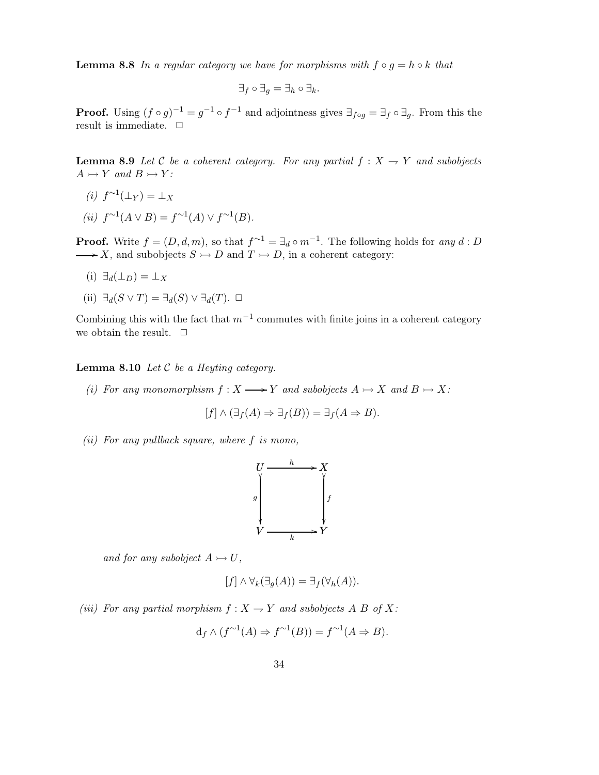**Lemma 8.8** In a regular category we have for morphisms with  $f \circ q = h \circ k$  that

$$
\exists_f \circ \exists_g = \exists_h \circ \exists_k.
$$

**Proof.** Using  $(f \circ g)^{-1} = g^{-1} \circ f^{-1}$  and adjointness gives  $\exists_{f \circ g} = \exists_f \circ \exists_g$ . From this the result is immediate.  $\Box$ 

**Lemma 8.9** Let C be a coherent category. For any partial  $f : X \to Y$  and subobjects  $A \rightarrowtail Y$  and  $B \rightarrowtail Y$ :

- (i)  $f^{\sim 1}(\perp_Y) = \perp_X$
- (*ii*)  $f^{\sim 1}(A \vee B) = f^{\sim 1}(A) \vee f^{\sim 1}(B)$ .

**Proof.** Write  $f = (D, d, m)$ , so that  $f^{\sim 1} = \exists_d \circ m^{-1}$ . The following holds for any  $d : D$  $\longrightarrow X$ , and subobjects  $S \rightarrow D$  and  $T \rightarrow D$ , in a coherent category:

- $(i) \exists d(\perp_D) = \perp x$
- (ii)  $\exists_d(S \vee T) = \exists_d(S) \vee \exists_d(T)$ .  $\Box$

Combining this with the fact that  $m^{-1}$  commutes with finite joins in a coherent category we obtain the result.  $\Box$ 

**Lemma 8.10** Let  $C$  be a Heyting category.

(i) For any monomorphism  $f : X \longrightarrow Y$  and subobjects  $A \rightarrow X$  and  $B \rightarrow X$ :

$$
[f] \wedge (\exists_f(A) \Rightarrow \exists_f(B)) = \exists_f(A \Rightarrow B).
$$

(ii) For any pullback square, where f is mono,



and for any subobject  $A \rightarrowtail U$ ,

$$
[f] \wedge \forall_k (\exists_g(A)) = \exists_f (\forall_h(A)).
$$

(iii) For any partial morphism  $f: X \to Y$  and subobjects A B of X:

$$
d_f \wedge (f^{\sim 1}(A) \Rightarrow f^{\sim 1}(B)) = f^{\sim 1}(A \Rightarrow B).
$$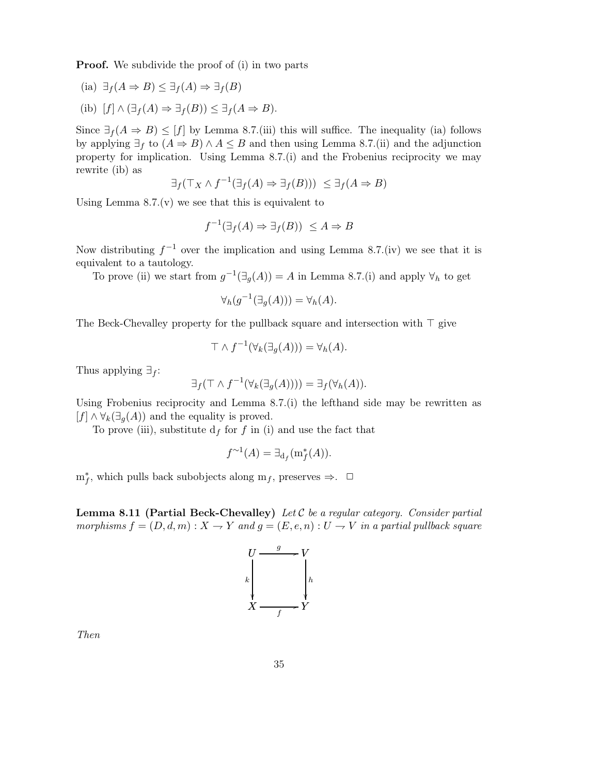**Proof.** We subdivide the proof of (i) in two parts

$$
(ia) \ \exists_f (A \Rightarrow B) \le \exists_f (A) \Rightarrow \exists_f (B)
$$

(ib)  $[f] \wedge (\exists_f(A) \Rightarrow \exists_f(B)) \leq \exists_f(A \Rightarrow B).$ 

Since  $\exists f(A \Rightarrow B) \leq [f]$  by Lemma 8.7.(iii) this will suffice. The inequality (ia) follows by applying  $\exists_f$  to  $(A \Rightarrow B) \land A \leq B$  and then using Lemma 8.7.(ii) and the adjunction property for implication. Using Lemma 8.7.(i) and the Frobenius reciprocity we may rewrite (ib) as

$$
\exists_f (\top_X \wedge f^{-1}(\exists_f(A) \Rightarrow \exists_f(B))) \leq \exists_f(A \Rightarrow B)
$$

Using Lemma  $8.7(y)$  we see that this is equivalent to

$$
f^{-1}(\exists_f(A) \Rightarrow \exists_f(B)) \le A \Rightarrow B
$$

Now distributing  $f^{-1}$  over the implication and using Lemma 8.7.(iv) we see that it is equivalent to a tautology.

To prove (ii) we start from  $g^{-1}(\exists_g(A)) = A$  in Lemma 8.7.(i) and apply  $\forall_h$  to get

$$
\forall_h(g^{-1}(\exists_g(A)))=\forall_h(A).
$$

The Beck-Chevalley property for the pullback square and intersection with  $\top$  give

$$
\top \wedge f^{-1}(\forall_k (\exists_g(A))) = \forall_h(A).
$$

Thus applying  $\exists_f$ :

$$
\exists_f (\top \wedge f^{-1}(\forall_k (\exists_g(A)))) = \exists_f (\forall_h(A)).
$$

Using Frobenius reciprocity and Lemma 8.7.(i) the lefthand side may be rewritten as  $[f] \wedge \forall_k (\exists_a(A))$  and the equality is proved.

To prove (iii), substitute  $d_f$  for f in (i) and use the fact that

$$
f^{\sim 1}(A) = \exists_{\mathrm{d}_f} (\mathrm{m}_f^*(A)).
$$

 $m_f^*$ , which pulls back subobjects along  $m_f$ , preserves  $\Rightarrow$ .  $\Box$ 

Lemma 8.11 (Partial Beck-Chevalley) Let  $C$  be a regular category. Consider partial morphisms  $f = (D, d, m) : X \to Y$  and  $g = (E, e, n) : U \to V$  in a partial pullback square



Then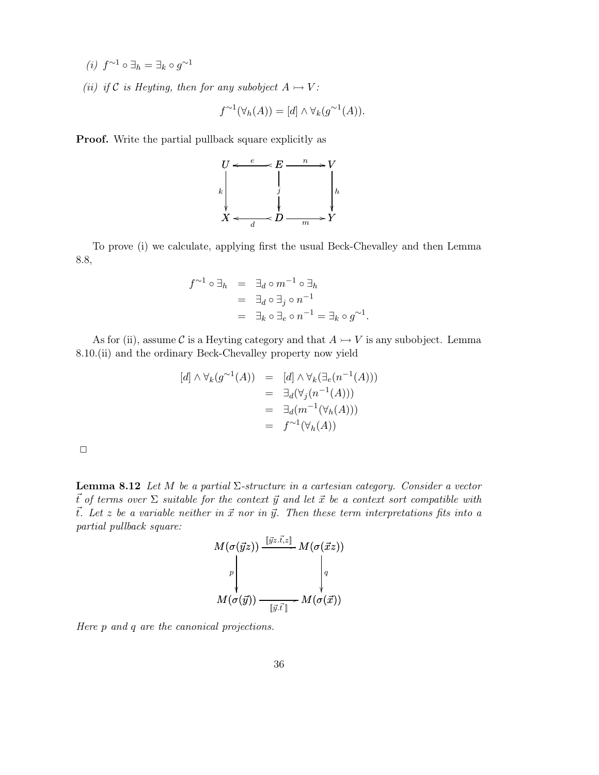- (*i*)  $f^{\sim 1} \circ \exists_h = \exists_k \circ g^{\sim 1}$
- (ii) if C is Heyting, then for any subobject  $A \rightarrowtail V$ :

$$
f^{\sim 1}(\forall_h(A)) = [d] \wedge \forall_k (g^{\sim 1}(A)).
$$

Proof. Write the partial pullback square explicitly as

![](_page_35_Figure_4.jpeg)

To prove (i) we calculate, applying first the usual Beck-Chevalley and then Lemma 8.8,

$$
f^{\sim 1} \circ \exists_h = \exists_d \circ m^{-1} \circ \exists_h
$$
  
=  $\exists_d \circ \exists_j \circ n^{-1}$   
=  $\exists_k \circ \exists_e \circ n^{-1} = \exists_k \circ g^{\sim 1}$ .

As for (ii), assume C is a Heyting category and that  $A \rightarrow V$  is any subobject. Lemma 8.10.(ii) and the ordinary Beck-Chevalley property now yield

$$
[d] \wedge \forall_k (g^{\sim 1}(A)) = [d] \wedge \forall_k (\exists_e (n^{-1}(A)))
$$
  
= 
$$
\exists_d (\forall_j (n^{-1}(A)))
$$
  
= 
$$
\exists_d (m^{-1}(\forall_h(A)))
$$
  
= 
$$
f^{\sim 1}(\forall_h(A))
$$

 $\Box$ 

**Lemma 8.12** Let M be a partial  $\Sigma$ -structure in a cartesian category. Consider a vector  $\vec{t}$  of terms over  $\Sigma$  suitable for the context  $\vec{y}$  and let  $\vec{x}$  be a context sort compatible with  $\vec{t}$ . Let z be a variable neither in  $\vec{x}$  nor in  $\vec{y}$ . Then these term interpretations fits into a partial pullback square:

$$
M(\sigma(\vec{y}z)) \xrightarrow{[\![\vec{y}z.\vec{t},z]\!]} M(\sigma(\vec{x}z))
$$

$$
p \downarrow q
$$

$$
M(\sigma(\vec{y})) \xrightarrow{[\![\vec{y}.\vec{t}\!]} M(\sigma(\vec{x}))
$$

Here p and q are the canonical projections.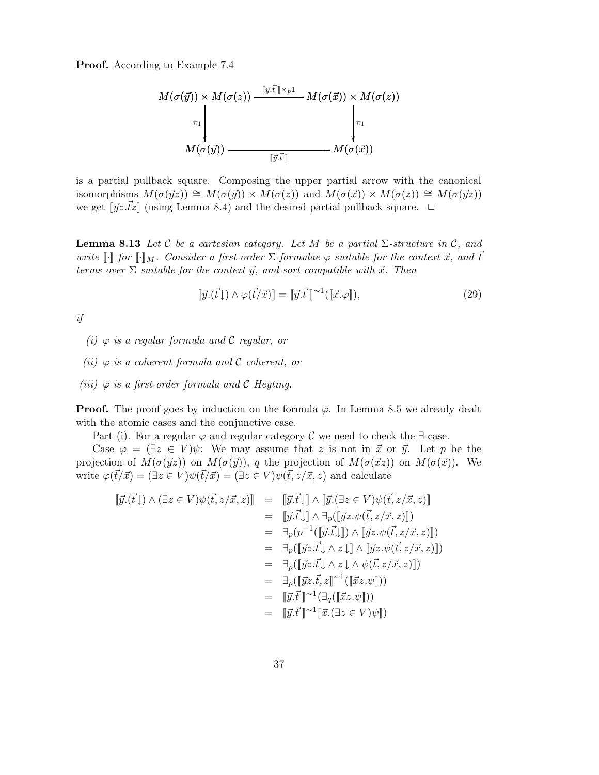Proof. According to Example 7.4

![](_page_36_Figure_1.jpeg)

is a partial pullback square. Composing the upper partial arrow with the canonical isomorphisms  $M(\sigma(\vec{y}z)) \cong M(\sigma(\vec{y})) \times M(\sigma(z))$  and  $M(\sigma(\vec{x})) \times M(\sigma(z)) \cong M(\sigma(\vec{y}z))$ we get  $\llbracket \vec{y}z.\vec{t}z \rrbracket$  (using Lemma 8.4) and the desired partial pullback square.  $\Box$ 

**Lemma 8.13** Let C be a cartesian category. Let M be a partial  $\Sigma$ -structure in C, and write  $\llbracket \cdot \rrbracket$  for  $\llbracket \cdot \rrbracket_M$ . Consider a first-order  $\Sigma$ -formulae  $\varphi$  suitable for the context  $\vec{x}$ , and  $\vec{t}$ terms over  $\Sigma$  suitable for the context  $\vec{y}$ , and sort compatible with  $\vec{x}$ . Then

$$
\llbracket \vec{y} \cdot (\vec{t}) \wedge \varphi(\vec{t}/\vec{x}) \rrbracket = \llbracket \vec{y} \cdot \vec{t} \rrbracket^{\sim 1} (\llbracket \vec{x} \cdot \varphi \rrbracket), \tag{29}
$$

if

- (i)  $\varphi$  is a regular formula and C regular, or
- (ii)  $\varphi$  is a coherent formula and C coherent, or
- (iii)  $\varphi$  is a first-order formula and  $\mathcal C$  Heyting.

**Proof.** The proof goes by induction on the formula  $\varphi$ . In Lemma 8.5 we already dealt with the atomic cases and the conjunctive case.

Part (i). For a regular  $\varphi$  and regular category C we need to check the  $\exists$ -case.

Case  $\varphi = (\exists z \in V)\psi$ : We may assume that z is not in  $\vec{x}$  or  $\vec{y}$ . Let p be the projection of  $M(\sigma(\vec{y}z))$  on  $M(\sigma(\vec{y}))$ , q the projection of  $M(\sigma(\vec{x}z))$  on  $M(\sigma(\vec{x}))$ . We write  $\varphi(\vec{t}/\vec{x}) = (\exists z \in V) \psi(\vec{t}/\vec{x}) = (\exists z \in V) \psi(\vec{t}, z/\vec{x}, z)$  and calculate

$$
\begin{array}{rcl}\n[\vec{y}.(\vec{t}\,]) \wedge (\exists z \in V)\psi(\vec{t}, z/\vec{x}, z)] & = & [\vec{y}.\vec{t}\,]\downarrow \wedge [\vec{y}.(\exists z \in V)\psi(\vec{t}, z/\vec{x}, z)] \\
& = & [\vec{y}.\vec{t}\,]\downarrow \wedge \exists_p([\vec{y}z.\psi(\vec{t}, z/\vec{x}, z)]) \\
& = & \exists_p(p^{-1}([\vec{y}.\vec{t}\,]\downarrow) \wedge [\vec{y}z.\psi(\vec{t}, z/\vec{x}, z)]) \\
& = & \exists_p([\vec{y}z.\vec{t}\downarrow \wedge z \downarrow] \wedge [\vec{y}z.\psi(\vec{t}, z/\vec{x}, z)]) \\
& = & \exists_p([\vec{y}z.\vec{t}\downarrow \wedge z \downarrow \wedge \psi(\vec{t}, z/\vec{x}, z)]) \\
& = & \exists_p([\vec{y}z.\vec{t}, z] \wedge (\vec{y}z.\psi)]) \\
& = & [\vec{y}.\vec{t}\,]\wedge^1([\vec{x}z.\psi])) \\
& = & [\vec{y}.\vec{t}\,]\wedge^1[\vec{x}.(\exists z \in V)\psi])\n\end{array}
$$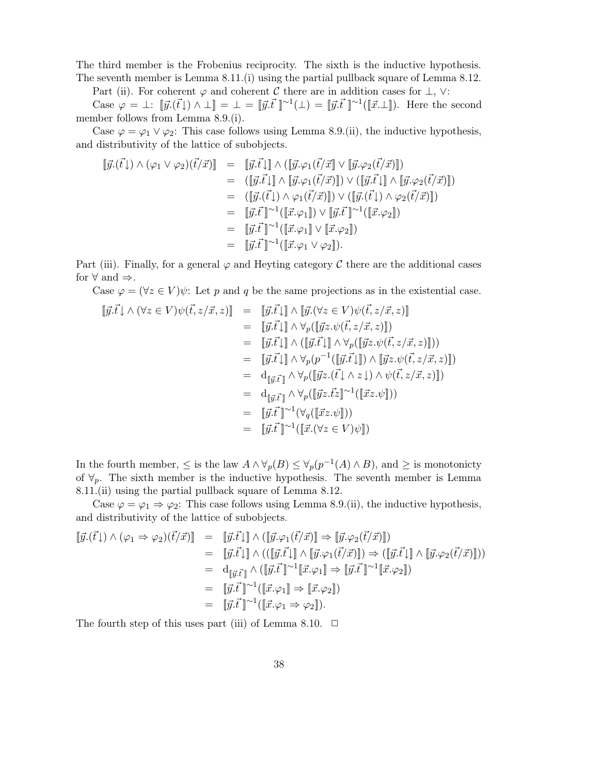The third member is the Frobenius reciprocity. The sixth is the inductive hypothesis. The seventh member is Lemma 8.11.(i) using the partial pullback square of Lemma 8.12.

Part (ii). For coherent  $\varphi$  and coherent C there are in addition cases for  $\bot$ ,  $\vee$ :

Case  $\varphi = \bot$ :  $[\![\vec{y} \cdot (\vec{t}) \land \bot]\!] = \bot = [\![\vec{y} \cdot \vec{t}]\!]^{\sim 1}(\bot) = [\![\vec{y} \cdot \vec{t}]\!]^{\sim 1}([\![\vec{x} \cdot \bot]\!]).$  Here the second member follows from Lemma 8.9.(i).

Case  $\varphi = \varphi_1 \vee \varphi_2$ : This case follows using Lemma 8.9.(ii), the inductive hypothesis, and distributivity of the lattice of subobjects.

$$
\begin{array}{rcl}\n\llbracket\vec{y}.(\vec{t}\!\downarrow)\wedge(\varphi_1\vee\varphi_2)(\vec{t}/\vec{x})\rrbracket &=& \llbracket\vec{y}.\vec{t}\!\downarrow\rrbracket\wedge(\llbracket\vec{y}.\varphi_1(\vec{t}/\vec{x}\rrbracket\vee\llbracket\vec{y}.\varphi_2(\vec{t}/\vec{x})\rrbracket)) \\
&=& (\llbracket\vec{y}.\vec{t}\!\downarrow\rrbracket\wedge\llbracket\vec{y}.\varphi_1(\vec{t}/\vec{x})\rrbracket)\vee(\llbracket\vec{y}.\vec{t}\!\downarrow\rrbracket\wedge\llbracket\vec{y}.\varphi_2(\vec{t}/\vec{x})\rrbracket)) \\
&=& (\llbracket\vec{y}.(\vec{t}\!\downarrow)\wedge\varphi_1(\vec{t}/\vec{x})\rrbracket)\vee(\llbracket\vec{y}.(\vec{t}\!\downarrow)\wedge\varphi_2(\vec{t}/\vec{x})\rrbracket)) \\
&=& \llbracket\vec{y}.\vec{t}\rrbracket^{\sim1}(\llbracket\vec{x}.\varphi_1\rrbracket)\vee\llbracket\vec{y}.\vec{t}\rrbracket^{\sim1}(\llbracket\vec{x}.\varphi_2\rrbracket) \\
&=& \llbracket\vec{y}.\vec{t}\rrbracket^{\sim1}(\llbracket\vec{x}.\varphi_1\rrbracket\vee\llbracket\vec{x}.\varphi_2\rrbracket) \\
&=& \llbracket\vec{y}.\vec{t}\rrbracket^{\sim1}(\llbracket\vec{x}.\varphi_1\vee\varphi_2\rrbracket).\n\end{array}
$$

Part (iii). Finally, for a general  $\varphi$  and Heyting category C there are the additional cases for  $\forall$  and  $\Rightarrow$ .

Case  $\varphi = (\forall z \in V)\psi$ : Let p and q be the same projections as in the existential case.

$$
\llbracket \vec{y}.\vec{t}\rrbracket \wedge (\forall z \in V)\psi(\vec{t},z/\vec{x},z)\rrbracket = \llbracket \vec{y}.\vec{t}\rrbracket \rrbracket \wedge \llbracket \vec{y}.(\forall z \in V)\psi(\vec{t},z/\vec{x},z)\rrbracket) \n= \llbracket \vec{y}.\vec{t}\rrbracket \rrbracket \wedge \forall_p (\llbracket \vec{y}z.\psi(\vec{t},z/\vec{x},z)\rrbracket)) \n= \llbracket \vec{y}.\vec{t}\rrbracket \rrbracket \wedge (\llbracket \vec{y}.\vec{t}\rrbracket \rrbracket \wedge \forall_p (\llbracket \vec{y}z.\psi(\vec{t},z/\vec{x},z)\rrbracket)) \n= \llbracket \vec{y}.\vec{t}\rrbracket \parallel \wedge \forall_p (p^{-1}([\llbracket \vec{y}.\vec{t}\rrbracket \rrbracket) \wedge [\llbracket \vec{y}z.\psi(\vec{t},z/\vec{x},z)\rrbracket)) \n= d_{\llbracket \vec{y}.\vec{t}\rrbracket} \wedge \forall_p (\llbracket \vec{y}z.(\vec{t}\rrbracket \wedge z \rrbracket) \wedge \psi(\vec{t},z/\vec{x},z)\rrbracket) \n= d_{\llbracket \vec{y}.\vec{t}\rrbracket} \wedge \forall_p (\llbracket \vec{y}z.\vec{t}z\rrbracket^{\sim 1}([\llbracket \vec{x}z.\psi \rrbracket))) \n= \llbracket \vec{y}.\vec{t}\rrbracket^{\sim 1} (\forall_q (\llbracket \vec{x}.(\forall z \in V)\psi \rrbracket) \n= \llbracket \vec{y}.\vec{t}\rrbracket^{\sim 1} ([\llbracket \vec{x}.(\forall z \in V)\psi \rrbracket)
$$

In the fourth member,  $\leq$  is the law  $A \wedge \forall_p(B) \leq \forall_p(p^{-1}(A) \wedge B)$ , and  $\geq$  is monotonicty of  $\forall_p$ . The sixth member is the inductive hypothesis. The seventh member is Lemma 8.11.(ii) using the partial pullback square of Lemma 8.12.

Case  $\varphi = \varphi_1 \Rightarrow \varphi_2$ : This case follows using Lemma 8.9.(ii), the inductive hypothesis, and distributivity of the lattice of subobjects.

$$
\begin{array}{rcl}\n[\vec{y} \cdot (\vec{t}) \wedge (\varphi_1 \Rightarrow \varphi_2)(\vec{t}/\vec{x})] & = & [\vec{y} \cdot \vec{t} \downarrow] \wedge (\llbracket \vec{y} \cdot \varphi_1(\vec{t}/\vec{x}) \rrbracket \Rightarrow \llbracket \vec{y} \cdot \varphi_2(\vec{t}/\vec{x}) \rrbracket) \\
& = & [\vec{y} \cdot \vec{t} \downarrow] \wedge ((\llbracket \vec{y} \cdot \vec{t} \downarrow \rrbracket \wedge \llbracket \vec{y} \cdot \varphi_1(\vec{t}/\vec{x}) \rrbracket) \Rightarrow (\llbracket \vec{y} \cdot \vec{t} \downarrow \rrbracket \wedge \llbracket \vec{y} \cdot \varphi_2(\vec{t}/\vec{x}) \rrbracket)) \\
& = & d_{\llbracket \vec{y} \cdot \vec{t} \rrbracket} \wedge (\llbracket \vec{y} \cdot \vec{t} \rrbracket^{\sim 1} [\llbracket \vec{x} \cdot \varphi_1 \rrbracket \Rightarrow \llbracket \vec{y} \cdot \vec{t} \rrbracket^{\sim 1} [\llbracket \vec{x} \cdot \varphi_2 \rrbracket)) \\
& = & [\llbracket \vec{y} \cdot \vec{t} \rrbracket^{\sim 1} (\llbracket \vec{x} \cdot \varphi_1 \rrbracket \Rightarrow \llbracket \vec{x} \cdot \varphi_2 \rrbracket).\n\end{array}
$$

The fourth step of this uses part (iii) of Lemma 8.10.  $\Box$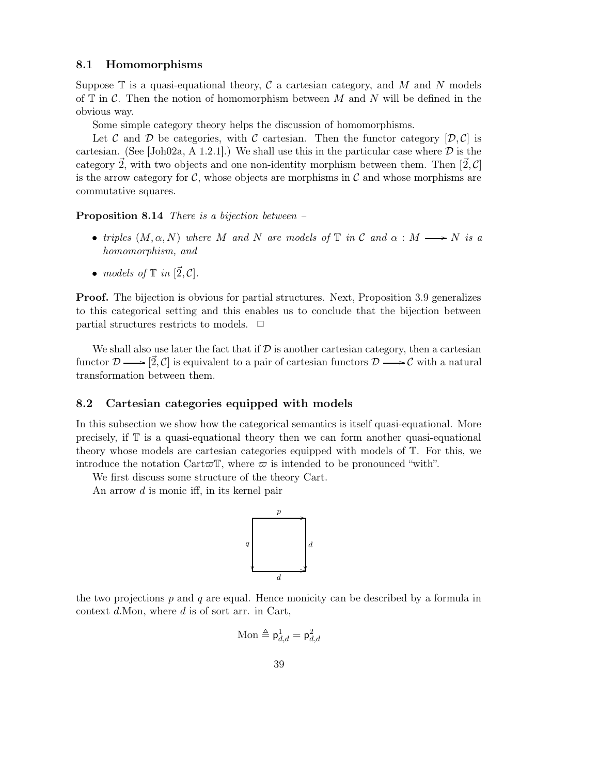### 8.1 Homomorphisms

Suppose  $\mathbb T$  is a quasi-equational theory,  $\mathcal C$  a cartesian category, and  $M$  and  $N$  models of  $\mathbb T$  in C. Then the notion of homomorphism between M and N will be defined in the obvious way.

Some simple category theory helps the discussion of homomorphisms.

Let C and D be categories, with C cartesian. Then the functor category  $[\mathcal{D}, \mathcal{C}]$  is cartesian. (See [Joh02a, A 1.2.1].) We shall use this in the particular case where  $\mathcal D$  is the category  $\vec{2}$ , with two objects and one non-identity morphism between them. Then  $[\vec{2}, \mathcal{C}]$ is the arrow category for  $C$ , whose objects are morphisms in  $C$  and whose morphisms are commutative squares.

Proposition 8.14 There is a bijection between –

- triples  $(M, \alpha, N)$  where M and N are models of  $\mathbb T$  in C and  $\alpha : M \longrightarrow N$  is a homomorphism, and
- models of  $\mathbb T$  in  $[\vec{2}, \mathcal{C}].$

Proof. The bijection is obvious for partial structures. Next, Proposition 3.9 generalizes to this categorical setting and this enables us to conclude that the bijection between partial structures restricts to models.  $\Box$ 

We shall also use later the fact that if  $\mathcal D$  is another cartesian category, then a cartesian functor  $\mathcal{D} \longrightarrow [\vec{2}, \mathcal{C}]$  is equivalent to a pair of cartesian functors  $\mathcal{D} \longrightarrow \mathcal{C}$  with a natural transformation between them.

### 8.2 Cartesian categories equipped with models

In this subsection we show how the categorical semantics is itself quasi-equational. More precisely, if  $\mathbb T$  is a quasi-equational theory then we can form another quasi-equational theory whose models are cartesian categories equipped with models of T. For this, we introduce the notation Cart $\varpi$ , where  $\varpi$  is intended to be pronounced "with".

We first discuss some structure of the theory Cart.

An arrow d is monic iff, in its kernel pair

![](_page_38_Figure_13.jpeg)

the two projections  $p$  and  $q$  are equal. Hence monicity can be described by a formula in context d.Mon, where d is of sort arr. in Cart,

$$
\mathrm{Mon}\triangleq\mathsf{p}^1_{d,d}=\mathsf{p}^2_{d,d}
$$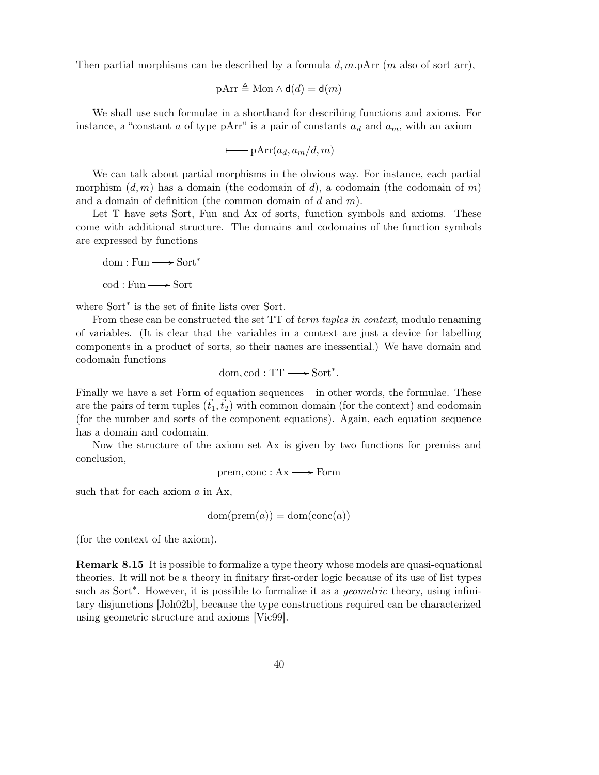Then partial morphisms can be described by a formula  $d, m$ . pArr  $(m$  also of sort arr),

$$
pArr \triangleq \text{Mon} \wedge \mathsf{d}(d) = \mathsf{d}(m)
$$

We shall use such formulae in a shorthand for describing functions and axioms. For instance, a "constant a of type pArr" is a pair of constants  $a_d$  and  $a_m$ , with an axiom

$$
\longmapsto \operatorname{pArr}(a_d, a_m/d, m)
$$

We can talk about partial morphisms in the obvious way. For instance, each partial morphism  $(d, m)$  has a domain (the codomain of d), a codomain (the codomain of m) and a domain of definition (the common domain of  $d$  and  $m$ ).

Let  $\mathbb T$  have sets Sort, Fun and Ax of sorts, function symbols and axioms. These come with additional structure. The domains and codomains of the function symbols are expressed by functions

 $dom : Fun \longrightarrow Sort^*$  $\text{cod}: \text{Fun} \longrightarrow \text{Sort}$ 

where Sort<sup>∗</sup> is the set of finite lists over Sort.

From these can be constructed the set TT of *term tuples in context*, modulo renaming of variables. (It is clear that the variables in a context are just a device for labelling components in a product of sorts, so their names are inessential.) We have domain and codomain functions

 $dom, cod : TT \longrightarrow Sort^*.$ 

Finally we have a set Form of equation sequences – in other words, the formulae. These are the pairs of term tuples  $(t_1,t_2)$  with common domain (for the context) and codomain (for the number and sorts of the component equations). Again, each equation sequence has a domain and codomain.

Now the structure of the axiom set Ax is given by two functions for premiss and conclusion,

 $prem, conc : Ax \longrightarrow Form$ 

such that for each axiom  $a$  in Ax,

$$
dom(\mathrm{prem}(a)) = dom(\mathrm{conc}(a))
$$

(for the context of the axiom).

Remark 8.15 It is possible to formalize a type theory whose models are quasi-equational theories. It will not be a theory in finitary first-order logic because of its use of list types such as Sort<sup>\*</sup>. However, it is possible to formalize it as a *geometric* theory, using infinitary disjunctions [Joh02b], because the type constructions required can be characterized using geometric structure and axioms [Vic99].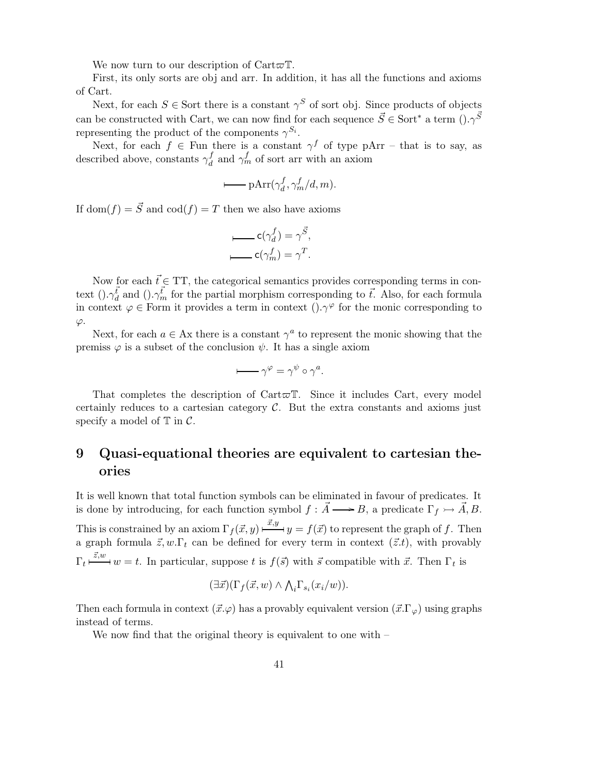We now turn to our description of  $Cart \varpi T$ .

First, its only sorts are obj and arr. In addition, it has all the functions and axioms of Cart.

Next, for each  $S \in S$  ort there is a constant  $\gamma^S$  of sort obj. Since products of objects can be constructed with Cart, we can now find for each sequence  $\vec{S} \in \text{Sort}^*$  a term  $(.)\gamma^{\vec{S}}$ representing the product of the components  $\gamma^{S_i}$ .

Next, for each  $f \in$  Fun there is a constant  $\gamma^f$  of type pArr – that is to say, as described above, constants  $\gamma_d^f$  $d \atop d$  and  $\gamma_m^f$  of sort arr with an axiom

$$
\longmapsto \mathbf{pArr}(\gamma_d^f, \gamma_m^f/d, m).
$$

If dom(f) =  $\vec{S}$  and cod(f) = T then we also have axioms

$$
\begin{aligned}\n &\longleftarrow \mathsf{c}(\gamma_d^f) = \gamma^{\vec{S}}, \\
 &\longleftarrow \mathsf{c}(\gamma_m^f) = \gamma^T.\n\end{aligned}
$$

Now for each  $\vec{t} \in TT$ , the categorical semantics provides corresponding terms in context  $(.)\gamma_d^{\vec{t}}$  and  $(.)\gamma_m^{\vec{t}}$  for the partial morphism corresponding to  $\vec{t}$ . Also, for each formula in context  $\varphi \in \text{Form it provides a term in context } (.) . \gamma^{\varphi}$  for the monic corresponding to  $\varphi$ .

Next, for each  $a \in Ax$  there is a constant  $\gamma^a$  to represent the monic showing that the premiss  $\varphi$  is a subset of the conclusion  $\psi$ . It has a single axiom

$$
\longmapsto \gamma^{\varphi} = \gamma^{\psi} \circ \gamma^{a}.
$$

That completes the description of  $Cart \varpi \mathbb{T}$ . Since it includes Cart, every model certainly reduces to a cartesian category  $C$ . But the extra constants and axioms just specify a model of  $\mathbb T$  in  $\mathcal C$ .

## 9 Quasi-equational theories are equivalent to cartesian theories

It is well known that total function symbols can be eliminated in favour of predicates. It is done by introducing, for each function symbol  $f : \vec{A} \longrightarrow B$ , a predicate  $\Gamma_f \rightarrow \vec{A}, B$ . This is constrained by an axiom  $\Gamma_f(\vec{x}, y) \xrightarrow{\vec{x}, y} y = f(\vec{x})$  to represent the graph of f. Then a graph formula  $\vec{z}, w.\Gamma_t$  can be defined for every term in context  $(\vec{z}.t)$ , with provably  $\Gamma_t \stackrel{\vec{z},w}{\longmapsto} w = t$ . In particular, suppose t is  $f(\vec{s})$  with  $\vec{s}$  compatible with  $\vec{x}$ . Then  $\Gamma_t$  is

$$
(\exists \vec{x}) (\Gamma_f(\vec{x}, w) \wedge \bigwedge_i \Gamma_{s_i}(x_i/w)).
$$

Then each formula in context  $(\vec{x}.\varphi)$  has a provably equivalent version  $(\vec{x}.\Gamma_{\varphi})$  using graphs instead of terms.

We now find that the original theory is equivalent to one with –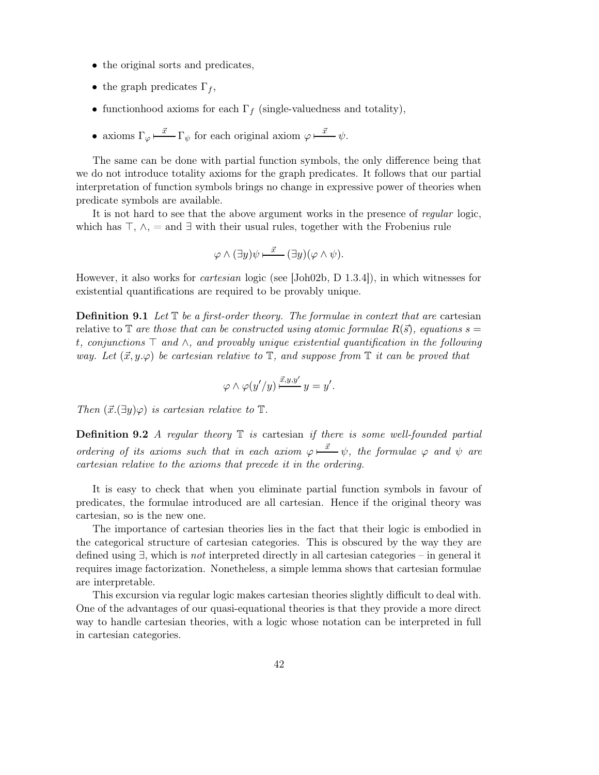- the original sorts and predicates,
- the graph predicates  $\Gamma_f$ ,
- functionhood axioms for each  $\Gamma_f$  (single-valuedness and totality),
- axioms  $\Gamma_{\varphi} \xrightarrow{\vec{x}} \Gamma_{\psi}$  for each original axiom  $\varphi \xrightarrow{\vec{x}} \psi$ .

The same can be done with partial function symbols, the only difference being that we do not introduce totality axioms for the graph predicates. It follows that our partial interpretation of function symbols brings no change in expressive power of theories when predicate symbols are available.

It is not hard to see that the above argument works in the presence of regular logic, which has  $\top$ ,  $\wedge$ , = and  $\exists$  with their usual rules, together with the Frobenius rule

$$
\varphi \wedge (\exists y)\psi \vdash^{\vec{x}} (\exists y)(\varphi \wedge \psi).
$$

However, it also works for *cartesian* logic (see [Joh02b, D 1.3.4]), in which witnesses for existential quantifications are required to be provably unique.

**Definition 9.1** Let  $\mathbb{T}$  be a first-order theory. The formulae in context that are cartesian relative to  $\mathbb T$  are those that can be constructed using atomic formulae  $R(\vec{s})$ , equations  $s =$ t, conjunctions  $\top$  and  $\wedge$ , and provably unique existential quantification in the following way. Let  $(\vec{x}, y, \varphi)$  be cartesian relative to  $\mathbb{T}$ , and suppose from  $\mathbb{T}$  it can be proved that

$$
\varphi \wedge \varphi(y'/y) \stackrel{\vec{x},y,y'}{\longmapsto} y = y'.
$$

Then  $(\vec{x}.(\exists y)\varphi)$  is cartesian relative to  $\mathbb T$ .

**Definition 9.2** A regular theory  $\mathbb T$  is cartesian if there is some well-founded partial ordering of its axioms such that in each axiom  $\varphi \stackrel{\vec{x}}{\longmapsto} \psi$ , the formulae  $\varphi$  and  $\psi$  are cartesian relative to the axioms that precede it in the ordering.

It is easy to check that when you eliminate partial function symbols in favour of predicates, the formulae introduced are all cartesian. Hence if the original theory was cartesian, so is the new one.

The importance of cartesian theories lies in the fact that their logic is embodied in the categorical structure of cartesian categories. This is obscured by the way they are defined using ∃, which is not interpreted directly in all cartesian categories – in general it requires image factorization. Nonetheless, a simple lemma shows that cartesian formulae are interpretable.

This excursion via regular logic makes cartesian theories slightly difficult to deal with. One of the advantages of our quasi-equational theories is that they provide a more direct way to handle cartesian theories, with a logic whose notation can be interpreted in full in cartesian categories.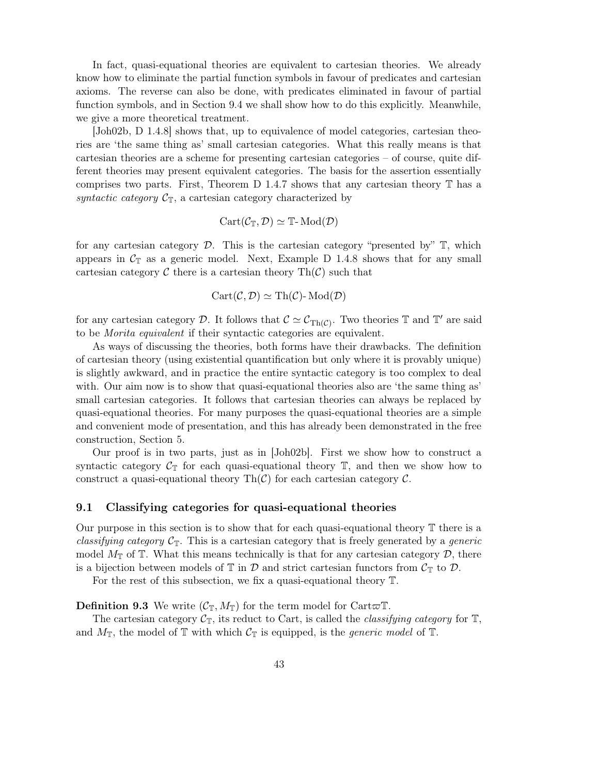In fact, quasi-equational theories are equivalent to cartesian theories. We already know how to eliminate the partial function symbols in favour of predicates and cartesian axioms. The reverse can also be done, with predicates eliminated in favour of partial function symbols, and in Section 9.4 we shall show how to do this explicitly. Meanwhile, we give a more theoretical treatment.

[Joh02b, D 1.4.8] shows that, up to equivalence of model categories, cartesian theories are 'the same thing as' small cartesian categories. What this really means is that cartesian theories are a scheme for presenting cartesian categories – of course, quite different theories may present equivalent categories. The basis for the assertion essentially comprises two parts. First, Theorem D 1.4.7 shows that any cartesian theory  $\mathbb T$  has a syntactic category  $\mathcal{C}_{\mathbb{T}}$ , a cartesian category characterized by

$$
\mathrm{Cart}(\mathcal{C}_{\mathbb{T}}, \mathcal{D}) \simeq \mathbb{T} \text{-} \mathrm{Mod}(\mathcal{D})
$$

for any cartesian category  $\mathcal{D}$ . This is the cartesian category "presented by"  $\mathbb{T}$ , which appears in  $C_{\mathbb{T}}$  as a generic model. Next, Example D 1.4.8 shows that for any small cartesian category  $\mathcal C$  there is a cartesian theory  $\text{Th}(\mathcal C)$  such that

$$
\mathrm{Cart}(\mathcal{C},\mathcal{D}) \simeq \mathrm{Th}(\mathcal{C})\text{-}\operatorname{Mod}(\mathcal{D})
$$

for any cartesian category D. It follows that  $C \simeq C_{\text{Th}(C)}$ . Two theories T and T' are said to be Morita equivalent if their syntactic categories are equivalent.

As ways of discussing the theories, both forms have their drawbacks. The definition of cartesian theory (using existential quantification but only where it is provably unique) is slightly awkward, and in practice the entire syntactic category is too complex to deal with. Our aim now is to show that quasi-equational theories also are 'the same thing as' small cartesian categories. It follows that cartesian theories can always be replaced by quasi-equational theories. For many purposes the quasi-equational theories are a simple and convenient mode of presentation, and this has already been demonstrated in the free construction, Section 5.

Our proof is in two parts, just as in [Joh02b]. First we show how to construct a syntactic category  $\mathcal{C}_{\mathbb{T}}$  for each quasi-equational theory  $\mathbb{T}$ , and then we show how to construct a quasi-equational theory  $\text{Th}(\mathcal{C})$  for each cartesian category  $\mathcal{C}$ .

### 9.1 Classifying categories for quasi-equational theories

Our purpose in this section is to show that for each quasi-equational theory  $\mathbb T$  there is a *classifying category*  $C_T$ . This is a cartesian category that is freely generated by a *generic* model  $M_{\mathbb{T}}$  of  $\mathbb{T}$ . What this means technically is that for any cartesian category  $\mathcal{D}$ , there is a bijection between models of  $\mathbb T$  in  $\mathcal D$  and strict cartesian functors from  $\mathcal C_{\mathbb T}$  to  $\mathcal D$ .

For the rest of this subsection, we fix a quasi-equational theory T.

**Definition 9.3** We write  $(C_{\mathbb{T}}, M_{\mathbb{T}})$  for the term model for Cart $\varpi$ T.

The cartesian category  $C_{\mathbb{T}}$ , its reduct to Cart, is called the *classifying category* for  $\mathbb{T}$ , and  $M_{\mathbb{T}}$ , the model of  $\mathbb{T}$  with which  $\mathcal{C}_{\mathbb{T}}$  is equipped, is the *generic model* of  $\mathbb{T}$ .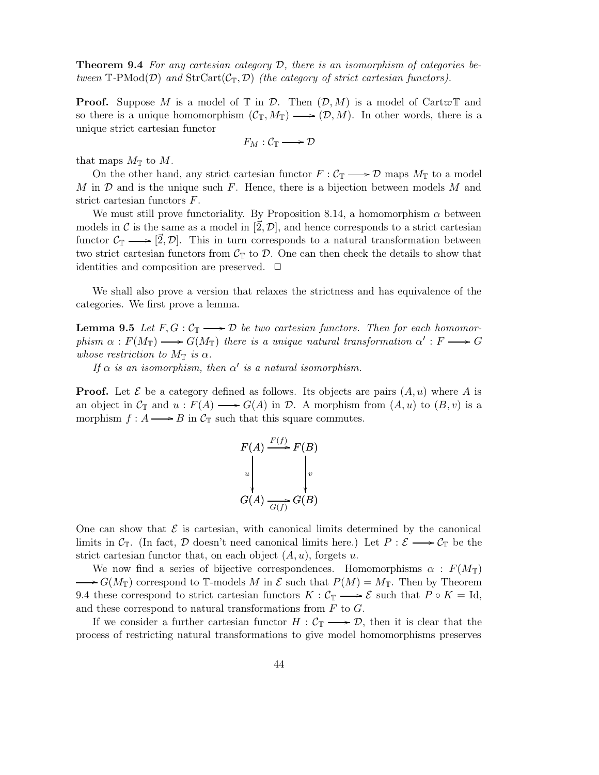**Theorem 9.4** For any cartesian category  $D$ , there is an isomorphism of categories between  $\mathbb{T}\text{-}\mathrm{PMod}(\mathcal{D})$  and  $\mathrm{StrCart}(\mathcal{C}_{\mathbb{T}}, \mathcal{D})$  (the category of strict cartesian functors).

**Proof.** Suppose M is a model of  $\mathbb T$  in  $\mathcal D$ . Then  $(\mathcal D, M)$  is a model of Cart $\varpi \mathbb T$  and so there is a unique homomorphism  $(C_{\mathbb{T}}, M_{\mathbb{T}}) \longrightarrow (D, M)$ . In other words, there is a unique strict cartesian functor

$$
F_M:\mathcal{C}_\mathbb{T}\longrightarrow \mathcal{D}
$$

that maps  $M_{\mathbb{T}}$  to  $M$ .

On the other hand, any strict cartesian functor  $F: \mathcal{C}_{\mathbb{T}} \longrightarrow \mathcal{D}$  maps  $M_{\mathbb{T}}$  to a model M in  $\mathcal D$  and is the unique such F. Hence, there is a bijection between models M and strict cartesian functors F.

We must still prove functoriality. By Proposition 8.14, a homomorphism  $\alpha$  between models in C is the same as a model in  $[\overline{2}, \mathcal{D}]$ , and hence corresponds to a strict cartesian functor  $\mathcal{C}_{\mathbb{T}} \longrightarrow [\vec{2}, \mathcal{D}]$ . This in turn corresponds to a natural transformation between two strict cartesian functors from  $C_T$  to  $D$ . One can then check the details to show that identities and composition are preserved.  $\Box$ 

We shall also prove a version that relaxes the strictness and has equivalence of the categories. We first prove a lemma.

**Lemma 9.5** Let  $F, G: \mathcal{C}_{\mathbb{T}} \longrightarrow \mathcal{D}$  be two cartesian functors. Then for each homomorphism  $\alpha : F(M_{\mathbb{T}}) \longrightarrow G(M_{\mathbb{T}})$  there is a unique natural transformation  $\alpha' : F \longrightarrow G$ whose restriction to  $M_{\mathbb{T}}$  is  $\alpha$ .

If  $\alpha$  is an isomorphism, then  $\alpha'$  is a natural isomorphism.

**Proof.** Let  $\mathcal{E}$  be a category defined as follows. Its objects are pairs  $(A, u)$  where A is an object in  $\mathcal{C}_{\mathbb{T}}$  and  $u : F(A) \longrightarrow G(A)$  in  $\mathcal{D}$ . A morphism from  $(A, u)$  to  $(B, v)$  is a morphism  $f : A \longrightarrow B$  in  $C_{\mathbb{T}}$  such that this square commutes.

$$
F(A) \xrightarrow{F(f)} F(B)
$$
  
\n
$$
u \downarrow \qquad \qquad v
$$
  
\n
$$
G(A) \xrightarrow{\overline{G(f)}} G(B)
$$

One can show that  $\mathcal E$  is cartesian, with canonical limits determined by the canonical limits in  $C_{\mathbb{T}}$ . (In fact,  $\mathcal{D}$  doesn't need canonical limits here.) Let  $P : \mathcal{E} \longrightarrow C_{\mathbb{T}}$  be the strict cartesian functor that, on each object  $(A, u)$ , forgets u.

We now find a series of bijective correspondences. Homomorphisms  $\alpha : F(M_{\mathbb{T}})$  $\longrightarrow G(M_{\mathbb{T}})$  correspond to T-models M in E such that  $P(M) = M_{\mathbb{T}}$ . Then by Theorem 9.4 these correspond to strict cartesian functors  $K : \mathcal{C}_{\mathbb{T}} \longrightarrow \mathcal{E}$  such that  $P \circ K = \text{Id}$ , and these correspond to natural transformations from F to G.

If we consider a further cartesian functor  $H: \mathcal{C}_{\mathbb{T}} \longrightarrow \mathcal{D}$ , then it is clear that the process of restricting natural transformations to give model homomorphisms preserves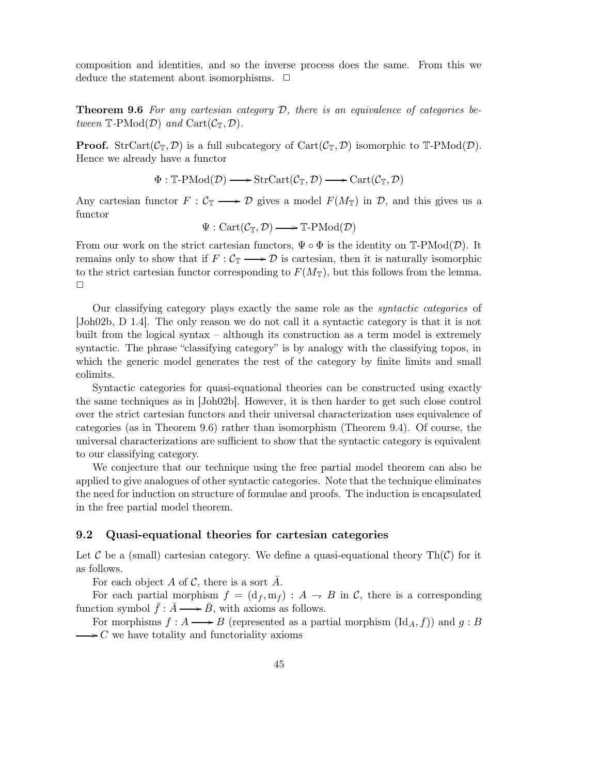composition and identities, and so the inverse process does the same. From this we deduce the statement about isomorphisms.  $\Box$ 

**Theorem 9.6** For any cartesian category  $\mathcal{D}$ , there is an equivalence of categories between  $\mathbb{T}\text{-}\mathrm{PMod}(\mathcal{D})$  and  $\mathrm{Cart}(\mathcal{C}_\mathbb{T}, \mathcal{D})$ .

**Proof.** StrCart( $\mathcal{C}_{\mathbb{T}}, \mathcal{D}$ ) is a full subcategory of Cart( $\mathcal{C}_{\mathbb{T}}, \mathcal{D}$ ) isomorphic to T-PMod( $\mathcal{D}$ ). Hence we already have a functor

$$
\Phi: \mathbb{T}\text{-}\mathrm{PMod}(\mathcal{D}) \longrightarrow \mathrm{StrCart}(\mathcal{C}_\mathbb{T}, \mathcal{D}) \longrightarrow \mathrm{Cart}(\mathcal{C}_\mathbb{T}, \mathcal{D})
$$

Any cartesian functor  $F: \mathcal{C}_{\mathbb{T}} \longrightarrow \mathcal{D}$  gives a model  $F(M_{\mathbb{T}})$  in  $\mathcal{D}$ , and this gives us a functor

$$
\Psi: \mathrm{Cart}(\mathcal{C}_{\mathbb{T}}, \mathcal{D}) \longrightarrow \mathbb{T}\text{-}\mathrm{PMod}(\mathcal{D})
$$

From our work on the strict cartesian functors,  $\Psi \circ \Phi$  is the identity on T-PMod(D). It remains only to show that if  $F: \mathcal{C}_{\mathbb{T}} \longrightarrow \mathcal{D}$  is cartesian, then it is naturally isomorphic to the strict cartesian functor corresponding to  $F(M_T)$ , but this follows from the lemma.  $\Box$ 

Our classifying category plays exactly the same role as the syntactic categories of [Joh02b, D 1.4]. The only reason we do not call it a syntactic category is that it is not built from the logical syntax – although its construction as a term model is extremely syntactic. The phrase "classifying category" is by analogy with the classifying topos, in which the generic model generates the rest of the category by finite limits and small colimits.

Syntactic categories for quasi-equational theories can be constructed using exactly the same techniques as in [Joh02b]. However, it is then harder to get such close control over the strict cartesian functors and their universal characterization uses equivalence of categories (as in Theorem 9.6) rather than isomorphism (Theorem 9.4). Of course, the universal characterizations are sufficient to show that the syntactic category is equivalent to our classifying category.

We conjecture that our technique using the free partial model theorem can also be applied to give analogues of other syntactic categories. Note that the technique eliminates the need for induction on structure of formulae and proofs. The induction is encapsulated in the free partial model theorem.

### 9.2 Quasi-equational theories for cartesian categories

Let C be a (small) cartesian category. We define a quasi-equational theory  $\text{Th}(\mathcal{C})$  for it as follows.

For each object A of C, there is a sort A.

For each partial morphism  $f = (d_f, m_f) : A \to B$  in C, there is a corresponding function symbol  $\bar{f} : \bar{A} \longrightarrow \bar{B}$ , with axioms as follows.

For morphisms  $f : A \longrightarrow B$  (represented as a partial morphism  $(\mathrm{Id}_A, f)$ ) and  $g : B$  $\longrightarrow C$  we have totality and functoriality axioms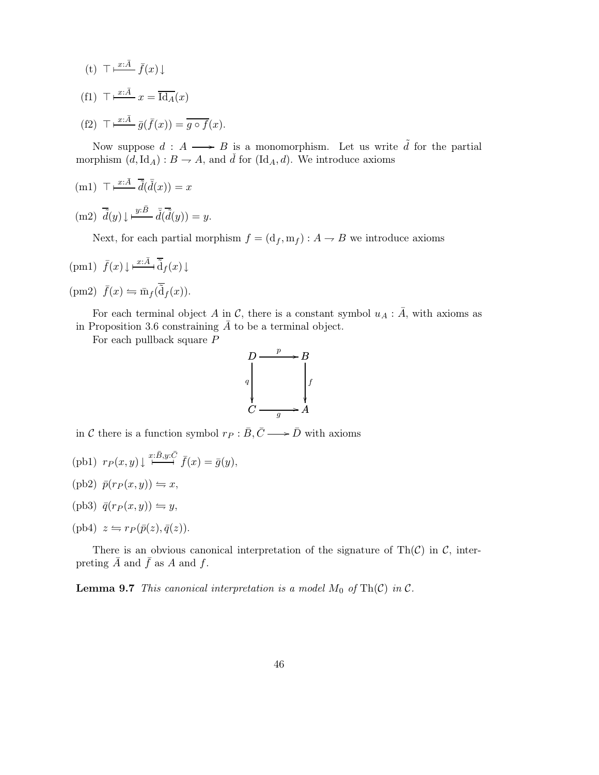$$
(t) \top \vdash^{\underline{x}:\bar{A}} \bar{f}(x) \downarrow
$$

$$
(f1) \top \vdash^{\underline{x}:\bar{A}} x = \overline{\mathrm{Id}_A}(x)
$$

$$
(f2) \top \vdash^{\underline{x}:\bar{A}} \bar{g}(\bar{f}(x)) = \overline{g \circ f}(x).
$$

Now suppose  $d : A \longrightarrow B$  is a monomorphism. Let us write  $\tilde{d}$  for the partial morphism  $(d, \mathrm{Id}_A) : B \to A$ , and  $\check{d}$  for  $(\mathrm{Id}_A, d)$ . We introduce axioms

(m1) 
$$
\top \stackrel{x:\bar{A}}{\longrightarrow} \overline{\tilde{d}}(\tilde{d}(x)) = x
$$

 $(m2) \ \overline{\tilde{d}}(y) \downarrow \frac{y \cdot \overline{B}}{\tilde{d}} \overline{\tilde{d}}(\overline{\tilde{d}}(y)) = y.$  $\mathsf{I}$ 

Next, for each partial morphism  $f = (d_f, m_f) : A \to B$  we introduce axioms

$$
\text{(pm1)}\ \bar{f}(x) \downarrow \xrightarrow{x:\bar{A}} \bar{\tilde{d}}_f(x) \downarrow
$$

 $(pm2) \bar{f}(x) \leftrightharpoons \bar{m}_f(\tilde{d}_f(x)).$ 

For each terminal object A in C, there is a constant symbol  $u_A : \overline{A}$ , with axioms as in Proposition 3.6 constraining  $\overline{A}$  to be a terminal object.

For each pullback square P

![](_page_45_Figure_9.jpeg)

in  $\mathcal C$  there is a function symbol  $r_P: \bar B, \bar C \longrightarrow \bar D$  with axioms

- (pb1)  $r_P(x, y) \downarrow \stackrel{x: \bar{B}, y: \bar{C}}{\longmapsto} \bar{f}(x) = \bar{g}(y),$
- $(\text{pb2}) \ \bar{p}(r_P(x, y)) \leftrightharpoons x,$
- (pb3)  $\bar{q}(r_P(x, y)) \leftrightharpoons y,$
- $(\text{pb}4)$   $z \leftrightharpoons r_P(\bar{p}(z), \bar{q}(z)).$

There is an obvious canonical interpretation of the signature of  $\text{Th}(\mathcal{C})$  in  $\mathcal{C}$ , interpreting  $\bar{A}$  and  $\bar{f}$  as A and f.

**Lemma 9.7** This canonical interpretation is a model  $M_0$  of Th(C) in C.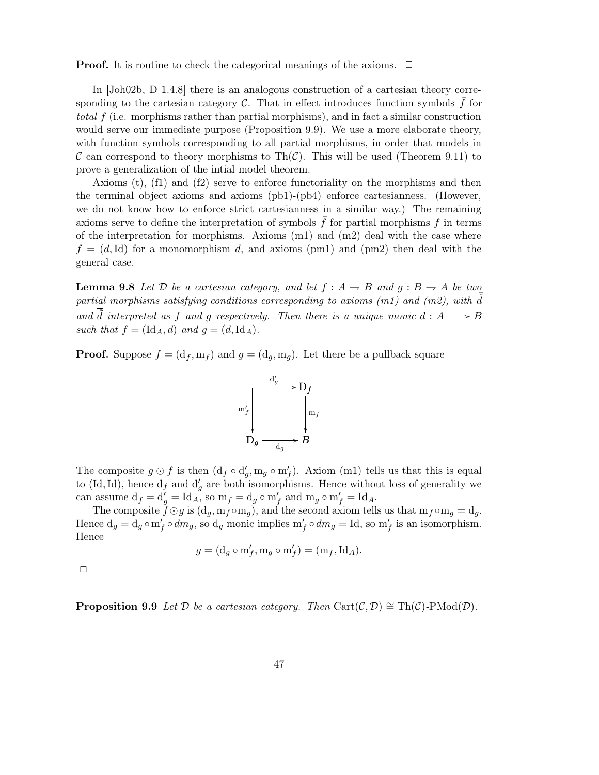**Proof.** It is routine to check the categorical meanings of the axioms.  $\Box$ 

In [Joh02b, D 1.4.8] there is an analogous construction of a cartesian theory corresponding to the cartesian category C. That in effect introduces function symbols  $\bar{f}$  for total f (i.e. morphisms rather than partial morphisms), and in fact a similar construction would serve our immediate purpose (Proposition 9.9). We use a more elaborate theory, with function symbols corresponding to all partial morphisms, in order that models in C can correspond to theory morphisms to Th(C). This will be used (Theorem 9.11) to prove a generalization of the intial model theorem.

Axioms (t), (f1) and (f2) serve to enforce functoriality on the morphisms and then the terminal object axioms and axioms (pb1)-(pb4) enforce cartesianness. (However, we do not know how to enforce strict cartesianness in a similar way.) The remaining axioms serve to define the interpretation of symbols  $f$  for partial morphisms  $f$  in terms of the interpretation for morphisms. Axioms  $(m1)$  and  $(m2)$  deal with the case where  $f = (d, Id)$  for a monomorphism d, and axioms (pm1) and (pm2) then deal with the general case.

**Lemma 9.8** Let D be a cartesian category, and let  $f : A \rightarrow B$  and  $g : B \rightarrow A$  be two partial morphisms satisfying conditions corresponding to axioms  $(m1)$  and  $(m2)$ , with  $\check{d}$ and  $\overline{\tilde{d}}$  interpreted as f and g respectively. Then there is a unique monic  $d : A \longrightarrow B$ such that  $f = (\mathrm{Id}_A, d)$  and  $g = (d, \mathrm{Id}_A)$ .

**Proof.** Suppose  $f = (d_f, m_f)$  and  $g = (d_g, m_g)$ . Let there be a pullback square

![](_page_46_Figure_5.jpeg)

The composite  $g \odot f$  is then  $(d_f \circ d'_g, m_g \circ m'_f)$ . Axiom (m1) tells us that this is equal to (Id, Id), hence  $d_f$  and  $d_g$  are both isomorphisms. Hence without loss of generality we can assume  $d_f = d_g = Id_A$ , so  $m_f = d_g \circ m_f$  and  $m_g \circ m_f' = Id_A$ .

The composite  $f \odot g$  is  $(d_g, m_f \circ m_g)$ , and the second axiom tells us that  $m_f \circ m_g = d_g$ . Hence  $d_g = d_g \circ m'_f \circ dm_g$ , so  $d_g$  monic implies  $m'_f \circ dm_g = Id$ , so  $m'_f$  is an isomorphism. Hence

$$
g = (\mathrm{d}_g \circ \mathrm{m}'_f, \mathrm{m}_g \circ \mathrm{m}'_f) = (\mathrm{m}_f, \mathrm{Id}_A).
$$

 $\Box$ 

**Proposition 9.9** Let  $\mathcal{D}$  be a cartesian category. Then Cart $(\mathcal{C}, \mathcal{D}) \cong \text{Th}(\mathcal{C})$ -PMod $(\mathcal{D})$ .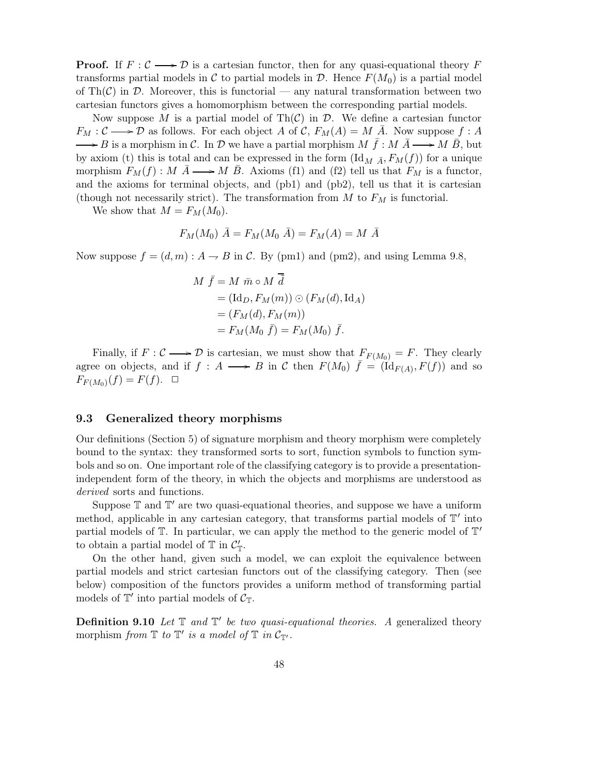**Proof.** If  $F: \mathcal{C} \longrightarrow \mathcal{D}$  is a cartesian functor, then for any quasi-equational theory F transforms partial models in C to partial models in D. Hence  $F(M_0)$  is a partial model of Th(C) in  $\mathcal{D}$ . Moreover, this is functorial — any natural transformation between two cartesian functors gives a homomorphism between the corresponding partial models.

Now suppose  $M$  is a partial model of Th $(\mathcal{C})$  in  $\mathcal{D}$ . We define a cartesian functor  $F_M : \mathcal{C} \longrightarrow \mathcal{D}$  as follows. For each object A of C,  $F_M(A) = M$  A. Now suppose  $f : A$  $\longrightarrow B$  is a morphism in C. In D we have a partial morphism  $M \bar{f} : M \bar{A} \longrightarrow M \bar{B}$ , but by axiom (t) this is total and can be expressed in the form  $(\mathrm{Id}_{M, \bar{A}}, F_M(f))$  for a unique morphism  $F_M(f) : M \to M \to M$ . Axioms (f1) and (f2) tell us that  $F_M$  is a functor, and the axioms for terminal objects, and (pb1) and (pb2), tell us that it is cartesian (though not necessarily strict). The transformation from  $M$  to  $F_M$  is functorial.

We show that  $M = F_M(M_0)$ .

$$
F_M(M_0) \ \bar{A} = F_M(M_0 \ \bar{A}) = F_M(A) = M \ \bar{A}
$$

Now suppose  $f = (d, m) : A \rightarrow B$  in C. By (pm1) and (pm2), and using Lemma 9.8,

$$
M \bar{f} = M \bar{m} \circ M \tilde{d}
$$
  
=  $(\text{Id}_D, F_M(m)) \odot (F_M(d), \text{Id}_A)$   
=  $(F_M(d), F_M(m))$   
=  $F_M(M_0 \bar{f}) = F_M(M_0) \bar{f}.$ 

Finally, if  $F: \mathcal{C} \longrightarrow \mathcal{D}$  is cartesian, we must show that  $F_{F(M_0)} = F$ . They clearly agree on objects, and if  $f : A \longrightarrow B$  in C then  $F(M_0) \bar{f} = (\mathrm{id}_{F(A)}, F(f))$  and so  $F_{F(M_0)}(f) = F(f). \quad \Box$ 

#### 9.3 Generalized theory morphisms

Our definitions (Section 5) of signature morphism and theory morphism were completely bound to the syntax: they transformed sorts to sort, function symbols to function symbols and so on. One important role of the classifying category is to provide a presentationindependent form of the theory, in which the objects and morphisms are understood as derived sorts and functions.

Suppose  $\mathbb T$  and  $\mathbb T'$  are two quasi-equational theories, and suppose we have a uniform method, applicable in any cartesian category, that transforms partial models of  $\mathbb{T}'$  into partial models of  $\mathbb{T}$ . In particular, we can apply the method to the generic model of  $\mathbb{T}'$ to obtain a partial model of  $\mathbb T$  in  $\mathcal{C}'_{\mathbb T}$ .

On the other hand, given such a model, we can exploit the equivalence between partial models and strict cartesian functors out of the classifying category. Then (see below) composition of the functors provides a uniform method of transforming partial models of  $\mathbb{T}'$  into partial models of  $\mathcal{C}_{\mathbb{T}}$ .

**Definition 9.10** Let  $\mathbb{T}$  and  $\mathbb{T}'$  be two quasi-equational theories. A generalized theory morphism from  $\mathbb T$  to  $\mathbb T'$  is a model of  $\mathbb T$  in  $\mathcal C_{\mathbb T'}$ .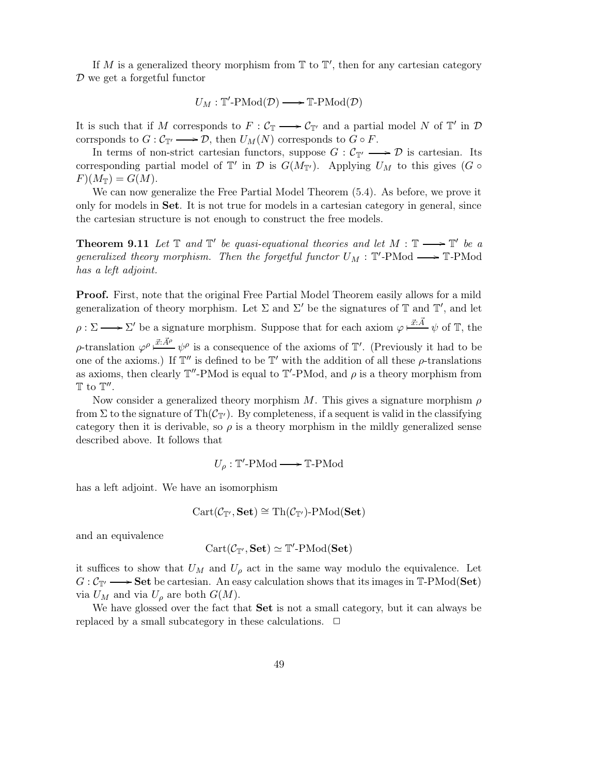If M is a generalized theory morphism from  $\mathbb T$  to  $\mathbb T'$ , then for any cartesian category D we get a forgetful functor

$$
U_M : \mathbb{T}'\text{-}\mathsf{PMod}(\mathcal{D}) \longrightarrow \mathbb{T}\text{-}\mathsf{PMod}(\mathcal{D})
$$

It is such that if M corresponds to  $F: \mathcal{C}_{\mathbb{T}} \longrightarrow \mathcal{C}_{\mathbb{T}'}$  and a partial model N of  $\mathbb{T}'$  in D corrsponds to  $G: \mathcal{C}_{\mathbb{T}'} \longrightarrow \mathcal{D}$ , then  $U_M(N)$  corresponds to  $G \circ F$ .

In terms of non-strict cartesian functors, suppose  $G: \mathcal{C}_{\mathbb{T}'} \longrightarrow \mathcal{D}$  is cartesian. Its corresponding partial model of  $\mathbb{T}'$  in  $\mathcal{D}$  is  $G(M_{\mathbb{T}'})$ . Applying  $U_M$  to this gives  $(G \circ$  $F)(M_{\mathbb{T}}) = G(M).$ 

We can now generalize the Free Partial Model Theorem (5.4). As before, we prove it only for models in Set. It is not true for models in a cartesian category in general, since the cartesian structure is not enough to construct the free models.

**Theorem 9.11** Let  $\mathbb{T}$  and  $\mathbb{T}'$  be quasi-equational theories and let  $M : \mathbb{T} \longrightarrow \mathbb{T}'$  be a generalized theory morphism. Then the forgetful functor  $U_M : \mathbb{T}'$ -PMod  $\longrightarrow \mathbb{T}$ -PMod has a left adjoint.

Proof. First, note that the original Free Partial Model Theorem easily allows for a mild generalization of theory morphism. Let  $\Sigma$  and  $\Sigma'$  be the signatures of  $\mathbb T$  and  $\mathbb T'$ , and let  $\rho : \Sigma \longrightarrow \Sigma'$  be a signature morphism. Suppose that for each axiom  $\varphi \vdash^{\vec{x} : \vec{A}} \psi$  of  $\mathbb{T}$ , the ρ-translation  $\varphi^{\rho} \stackrel{\vec{x} \cdot \vec{A}^{\rho}}{\sim} \psi^{\rho}$  is a consequence of the axioms of T'. (Previously it had to be one of the axioms.) If  $\mathbb{T}''$  is defined to be  $\mathbb{T}'$  with the addition of all these  $\rho$ -translations as axioms, then clearly  $\mathbb{T}''$ -PMod is equal to  $\mathbb{T}'$ -PMod, and  $\rho$  is a theory morphism from  $\mathbb T$  to  $\mathbb T''.$ 

Now consider a generalized theory morphism  $M$ . This gives a signature morphism  $\rho$ from  $\Sigma$  to the signature of Th( $\mathcal{C}_{T}$ ). By completeness, if a sequent is valid in the classifying category then it is derivable, so  $\rho$  is a theory morphism in the mildly generalized sense described above. It follows that

 $U_{\rho} : \mathbb{T}'\text{-PMod} \longrightarrow \mathbb{T}\text{-PMod}$ 

has a left adjoint. We have an isomorphism

$$
\mathrm{Cart}(\mathcal{C}_{\mathbb{T}'}, \mathbf{Set}) \cong \mathrm{Th}(\mathcal{C}_{\mathbb{T}'})\text{-}\mathrm{PMod}(\mathbf{Set})
$$

and an equivalence

$$
\mathrm{Cart}(\mathcal{C}_{\mathbb{T}'}, \mathbf{Set}) \simeq \mathbb{T}'\text{-}\mathrm{PMod}(\mathbf{Set})
$$

it suffices to show that  $U_M$  and  $U_\rho$  act in the same way modulo the equivalence. Let  $G: \mathcal{C}_{\mathbb{T}'} \longrightarrow$  Set be cartesian. An easy calculation shows that its images in T-PMod(Set) via  $U_M$  and via  $U_\rho$  are both  $G(M)$ .

We have glossed over the fact that Set is not a small category, but it can always be replaced by a small subcategory in these calculations.  $\Box$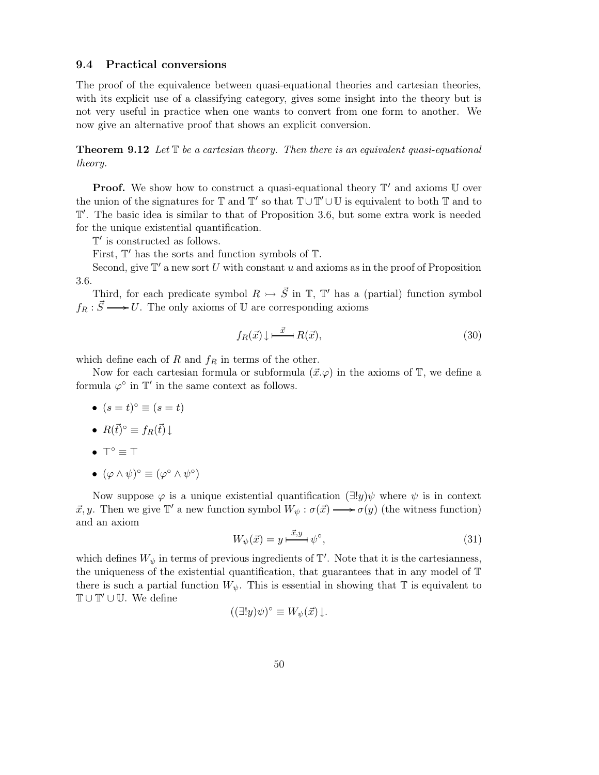### 9.4 Practical conversions

The proof of the equivalence between quasi-equational theories and cartesian theories, with its explicit use of a classifying category, gives some insight into the theory but is not very useful in practice when one wants to convert from one form to another. We now give an alternative proof that shows an explicit conversion.

**Theorem 9.12** Let  $\mathbb{T}$  be a cartesian theory. Then there is an equivalent quasi-equational theory.

**Proof.** We show how to construct a quasi-equational theory  $\mathbb{T}'$  and axioms  $\mathbb{U}$  over the union of the signatures for  $\mathbb T$  and  $\mathbb T'$  so that  $\mathbb T \cup \mathbb T' \cup \mathbb U$  is equivalent to both  $\mathbb T$  and to T 0 . The basic idea is similar to that of Proposition 3.6, but some extra work is needed for the unique existential quantification.

 $\mathbb{T}'$  is constructed as follows.

First,  $T'$  has the sorts and function symbols of  $T$ .

Second, give  $\mathbb{T}'$  a new sort U with constant u and axioms as in the proof of Proposition 3.6.

Third, for each predicate symbol  $R \rightarrow \vec{S}$  in  $\mathbb{T}$ ,  $\mathbb{T}'$  has a (partial) function symbol  $f_R : \vec{S} \longrightarrow U$ . The only axioms of U are corresponding axioms

$$
f_R(\vec{x}) \downarrow \frac{\vec{x}}{1-\mathcal{R}(\vec{x})},\tag{30}
$$

which define each of R and  $f_R$  in terms of the other.

Now for each cartesian formula or subformula  $(\vec{x}, \varphi)$  in the axioms of T, we define a formula  $\varphi^{\circ}$  in  $\mathbb{T}'$  in the same context as follows.

- $(s=t)^{\circ} \equiv (s=t)$
- $R(\vec{t})^{\circ} \equiv f_R(\vec{t}) \downarrow$
- $T^{\circ} \equiv T$
- $(\varphi \wedge \psi)^{\circ} \equiv (\varphi^{\circ} \wedge \psi^{\circ})$

Now suppose  $\varphi$  is a unique existential quantification  $(\exists ! y)\psi$  where  $\psi$  is in context  $\vec{x}, y$ . Then we give  $\mathbb{T}'$  a new function symbol  $W_{\psi} : \sigma(\vec{x}) \longrightarrow \sigma(y)$  (the witness function) and an axiom

$$
W_{\psi}(\vec{x}) = y \xrightarrow{\vec{x}, y} \psi^{\circ}, \tag{31}
$$

which defines  $W_{\psi}$  in terms of previous ingredients of  $\mathbb{T}'$ . Note that it is the cartesianness, the uniqueness of the existential quantification, that guarantees that in any model of T there is such a partial function  $W_{\psi}$ . This is essential in showing that  $\mathbb T$  is equivalent to T∪T'∪U. We define

$$
((\exists!y)\psi)^\circ \equiv W_\psi(\vec{x}) \downarrow.
$$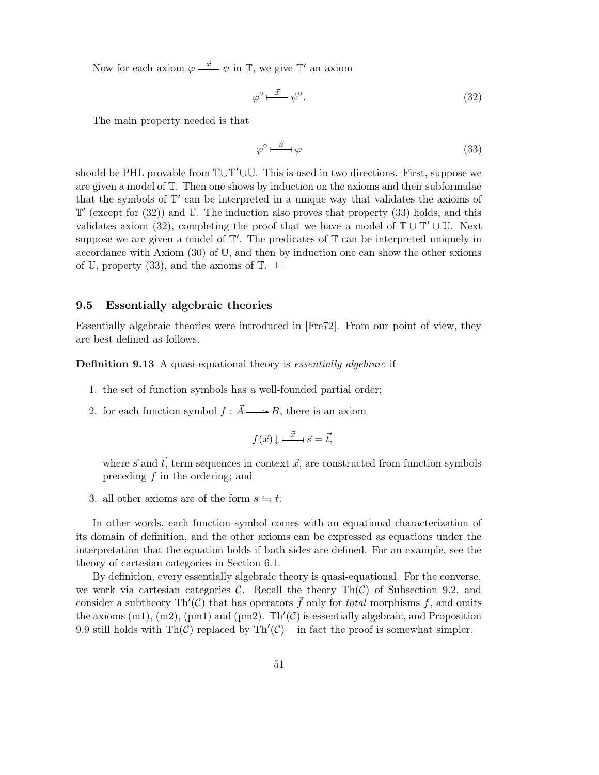Now for each axiom  $\varphi \mapsto \psi$  in  $\mathbb{T}$ , we give  $\mathbb{T}'$  an axiom

$$
\varphi^{\circ} \xleftarrow{\vec{x}} \psi^{\circ}.\tag{32}
$$

The main property needed is that

$$
\varphi^{\circ} \longmapsto \psi \tag{33}
$$

should be PHL provable from  $T \cup T' \cup U$ . This is used in two directions. First, suppose we are given a model of T. Then one shows by induction on the axioms and their subformulae that the symbols of  $\mathbb{T}'$  can be interpreted in a unique way that validates the axioms of  $\mathbb{T}'$  (except for  $(32)$ ) and  $\mathbb{U}$ . The induction also proves that property  $(33)$  holds, and this validates axiom (32), completing the proof that we have a model of  $\mathbb{T} \cup \mathbb{T}' \cup \mathbb{U}$ . Next suppose we are given a model of  $\mathbb{T}'$ . The predicates of  $\mathbb{T}$  can be interpreted uniquely in accordance with Axiom (30) of U, and then by induction one can show the other axioms of U, property (33), and the axioms of  $\mathbb{T}$ .  $\Box$ 

### 9.5 Essentially algebraic theories

Essentially algebraic theories were introduced in [Fre72]. From our point of view, they are best defined as follows.

**Definition 9.13** A quasi-equational theory is *essentially algebraic* if

- 1. the set of function symbols has a well-founded partial order;
- 2. for each function symbol  $f : \vec{A} \longrightarrow B$ , there is an axiom

$$
f(\vec{x}) \downarrow \frac{\vec{x}}{1} \vec{s} = \vec{t},
$$

where  $\vec{s}$  and  $\vec{t}$ , term sequences in context  $\vec{x}$ , are constructed from function symbols preceding  $f$  in the ordering; and

3. all other axioms are of the form  $s = t$ .

In other words, each function symbol comes with an equational characterization of its domain of definition, and the other axioms can be expressed as equations under the interpretation that the equation holds if both sides are defined. For an example, see the theory of cartesian categories in Section 6.1.

By definition, every essentially algebraic theory is quasi-equational. For the converse, we work via cartesian categories C. Recall the theory  $\text{Th}(\mathcal{C})$  of Subsection 9.2, and consider a subtheory  $\text{Th}'(\mathcal{C})$  that has operators  $\bar{f}$  only for *total* morphisms f, and omits the axioms  $(m1)$ ,  $(m2)$ ,  $(pm1)$  and  $(pm2)$ . Th' $(\mathcal{C})$  is essentially algebraic, and Proposition 9.9 still holds with  $\text{Th}(\mathcal{C})$  replaced by  $\text{Th}'(\mathcal{C})$  – in fact the proof is somewhat simpler.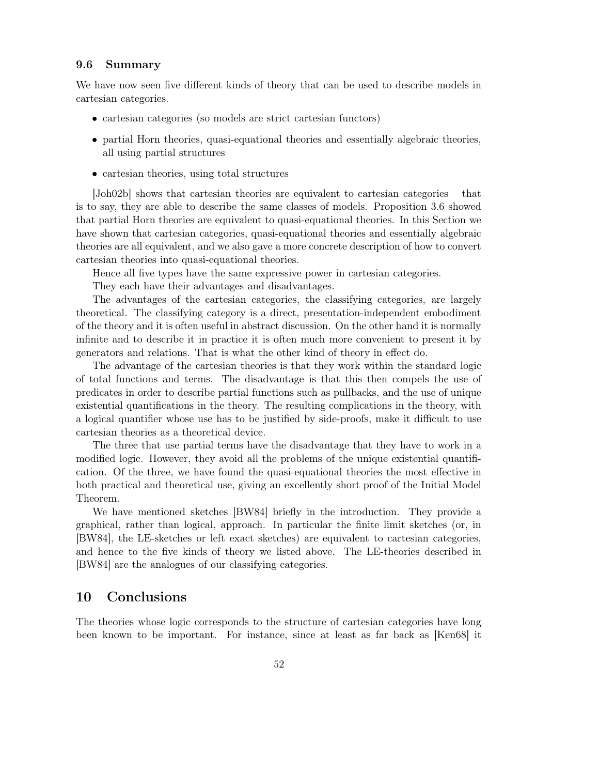### 9.6 Summary

We have now seen five different kinds of theory that can be used to describe models in cartesian categories.

- cartesian categories (so models are strict cartesian functors)
- partial Horn theories, quasi-equational theories and essentially algebraic theories, all using partial structures
- cartesian theories, using total structures

[Joh02b] shows that cartesian theories are equivalent to cartesian categories – that is to say, they are able to describe the same classes of models. Proposition 3.6 showed that partial Horn theories are equivalent to quasi-equational theories. In this Section we have shown that cartesian categories, quasi-equational theories and essentially algebraic theories are all equivalent, and we also gave a more concrete description of how to convert cartesian theories into quasi-equational theories.

Hence all five types have the same expressive power in cartesian categories.

They each have their advantages and disadvantages.

The advantages of the cartesian categories, the classifying categories, are largely theoretical. The classifying category is a direct, presentation-independent embodiment of the theory and it is often useful in abstract discussion. On the other hand it is normally infinite and to describe it in practice it is often much more convenient to present it by generators and relations. That is what the other kind of theory in effect do.

The advantage of the cartesian theories is that they work within the standard logic of total functions and terms. The disadvantage is that this then compels the use of predicates in order to describe partial functions such as pullbacks, and the use of unique existential quantifications in the theory. The resulting complications in the theory, with a logical quantifier whose use has to be justified by side-proofs, make it difficult to use cartesian theories as a theoretical device.

The three that use partial terms have the disadvantage that they have to work in a modified logic. However, they avoid all the problems of the unique existential quantification. Of the three, we have found the quasi-equational theories the most effective in both practical and theoretical use, giving an excellently short proof of the Initial Model Theorem.

We have mentioned sketches [BW84] briefly in the introduction. They provide a graphical, rather than logical, approach. In particular the finite limit sketches (or, in [BW84], the LE-sketches or left exact sketches) are equivalent to cartesian categories, and hence to the five kinds of theory we listed above. The LE-theories described in [BW84] are the analogues of our classifying categories.

### 10 Conclusions

The theories whose logic corresponds to the structure of cartesian categories have long been known to be important. For instance, since at least as far back as [Ken68] it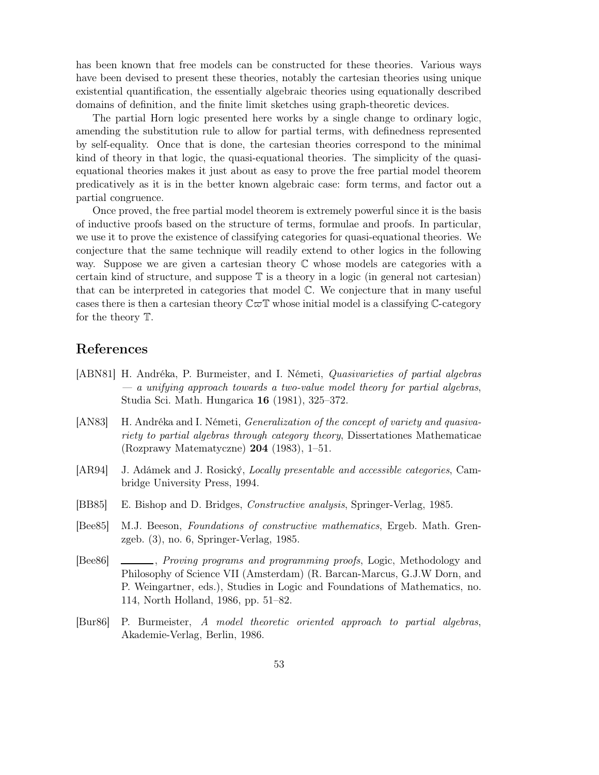has been known that free models can be constructed for these theories. Various ways have been devised to present these theories, notably the cartesian theories using unique existential quantification, the essentially algebraic theories using equationally described domains of definition, and the finite limit sketches using graph-theoretic devices.

The partial Horn logic presented here works by a single change to ordinary logic, amending the substitution rule to allow for partial terms, with definedness represented by self-equality. Once that is done, the cartesian theories correspond to the minimal kind of theory in that logic, the quasi-equational theories. The simplicity of the quasiequational theories makes it just about as easy to prove the free partial model theorem predicatively as it is in the better known algebraic case: form terms, and factor out a partial congruence.

Once proved, the free partial model theorem is extremely powerful since it is the basis of inductive proofs based on the structure of terms, formulae and proofs. In particular, we use it to prove the existence of classifying categories for quasi-equational theories. We conjecture that the same technique will readily extend to other logics in the following way. Suppose we are given a cartesian theory C whose models are categories with a certain kind of structure, and suppose  $\mathbb T$  is a theory in a logic (in general not cartesian) that can be interpreted in categories that model C. We conjecture that in many useful cases there is then a cartesian theory  $\mathbb{C}\overline{\omega}\mathbb{T}$  whose initial model is a classifying  $\mathbb{C}\text{-category}$ for the theory T.

### References

- [ABN81] H. Andréka, P. Burmeister, and I. Németi, Quasivarieties of partial algebras  $-$  a unifying approach towards a two-value model theory for partial algebras, Studia Sci. Math. Hungarica 16 (1981), 325–372.
- [AN83] H. Andréka and I. Németi, Generalization of the concept of variety and quasivariety to partial algebras through category theory, Dissertationes Mathematicae (Rozprawy Matematyczne) 204 (1983), 1–51.
- [AR94] J. Adámek and J. Rosický, Locally presentable and accessible categories, Cambridge University Press, 1994.
- [BB85] E. Bishop and D. Bridges, Constructive analysis, Springer-Verlag, 1985.
- [Bee85] M.J. Beeson, Foundations of constructive mathematics, Ergeb. Math. Grenzgeb. (3), no. 6, Springer-Verlag, 1985.
- [Bee86]  $\_\_\_\_\_\_\$  *Proving programs and programming proofs*, Logic, Methodology and Philosophy of Science VII (Amsterdam) (R. Barcan-Marcus, G.J.W Dorn, and P. Weingartner, eds.), Studies in Logic and Foundations of Mathematics, no. 114, North Holland, 1986, pp. 51–82.
- [Bur86] P. Burmeister, A model theoretic oriented approach to partial algebras, Akademie-Verlag, Berlin, 1986.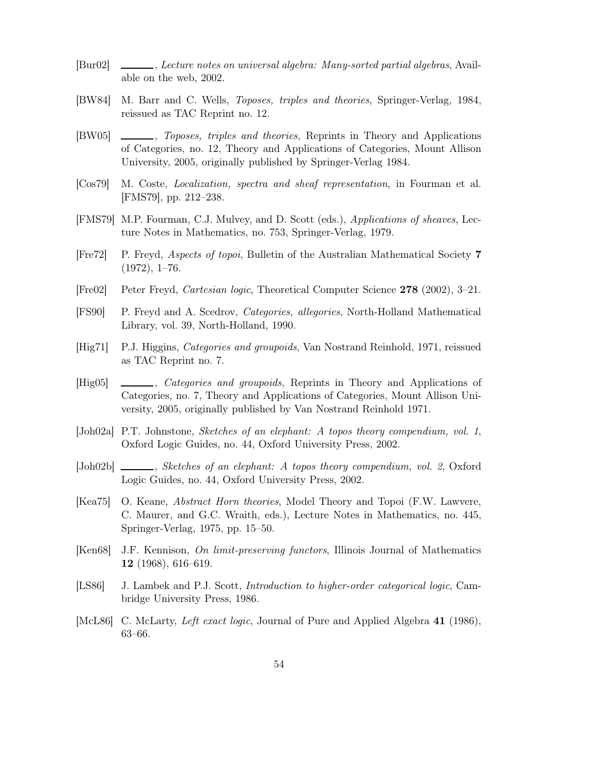- [Bur02] , Lecture notes on universal algebra: Many-sorted partial algebras, Available on the web, 2002.
- [BW84] M. Barr and C. Wells, Toposes, triples and theories, Springer-Verlag, 1984, reissued as TAC Reprint no. 12.
- [BW05]  $\_\_\_\_\_\_\$  Toposes, triples and theories, Reprints in Theory and Applications of Categories, no. 12, Theory and Applications of Categories, Mount Allison University, 2005, originally published by Springer-Verlag 1984.
- [Cos79] M. Coste, Localization, spectra and sheaf representation, in Fourman et al. [FMS79], pp. 212–238.
- [FMS79] M.P. Fourman, C.J. Mulvey, and D. Scott (eds.), Applications of sheaves, Lecture Notes in Mathematics, no. 753, Springer-Verlag, 1979.
- [Fre72] P. Freyd, Aspects of topoi, Bulletin of the Australian Mathematical Society 7  $(1972), 1–76.$
- [Fre02] Peter Freyd, Cartesian logic, Theoretical Computer Science 278 (2002), 3–21.
- [FS90] P. Freyd and A. Scedrov, Categories, allegories, North-Holland Mathematical Library, vol. 39, North-Holland, 1990.
- [Hig71] P.J. Higgins, Categories and groupoids, Van Nostrand Reinhold, 1971, reissued as TAC Reprint no. 7.
- [Hig05]  $\_\_\_\_\_\_$  Categories and groupoids, Reprints in Theory and Applications of Categories, no. 7, Theory and Applications of Categories, Mount Allison University, 2005, originally published by Van Nostrand Reinhold 1971.
- [Joh02a] P.T. Johnstone, Sketches of an elephant: A topos theory compendium, vol. 1, Oxford Logic Guides, no. 44, Oxford University Press, 2002.
- [Joh02b]  $\_\_\_\_\_\_\$  Sketches of an elephant: A topos theory compendium, vol. 2, Oxford Logic Guides, no. 44, Oxford University Press, 2002.
- [Kea75] O. Keane, Abstract Horn theories, Model Theory and Topoi (F.W. Lawvere, C. Maurer, and G.C. Wraith, eds.), Lecture Notes in Mathematics, no. 445, Springer-Verlag, 1975, pp. 15–50.
- [Ken68] J.F. Kennison, On limit-preserving functors, Illinois Journal of Mathematics 12 (1968), 616–619.
- [LS86] J. Lambek and P.J. Scott, Introduction to higher-order categorical logic, Cambridge University Press, 1986.
- [McL86] C. McLarty, Left exact logic, Journal of Pure and Applied Algebra 41 (1986), 63–66.